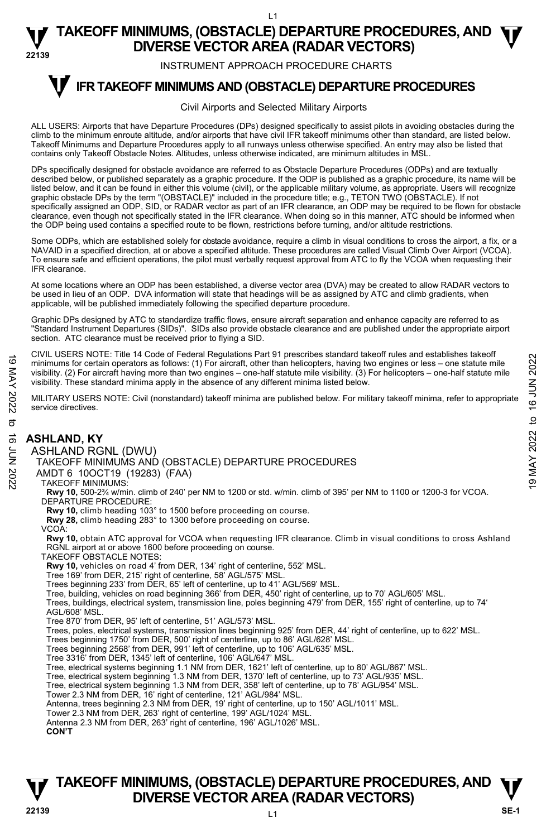INSTRUMENT APPROACH PROCEDURE CHARTS

#### **IFR TAKEOFF MINIMUMS AND (OBSTACLE) DEPARTURE PROCEDURES T**

#### Civil Airports and Selected Military Airports

ALL USERS: Airports that have Departure Procedures (DPs) designed specifically to assist pilots in avoiding obstacles during the climb to the minimum enroute altitude, and/or airports that have civil IFR takeoff minimums other than standard, are listed below. Takeoff Minimums and Departure Procedures apply to all runways unless otherwise specified. An entry may also be listed that contains only Takeoff Obstacle Notes. Altitudes, unless otherwise indicated, are minimum altitudes in MSL.

DPs specifically designed for obstacle avoidance are referred to as Obstacle Departure Procedures (ODPs) and are textually described below, or published separately as a graphic procedure. If the ODP is published as a graphic procedure, its name will be listed below, and it can be found in either this volume (civil), or the applicable military volume, as appropriate. Users will recognize graphic obstacle DPs by the term "(OBSTACLE)" included in the procedure title; e.g., TETON TWO (OBSTACLE). If not specifically assigned an ODP, SID, or RADAR vector as part of an IFR clearance, an ODP may be required to be flown for obstacle clearance, even though not specifically stated in the IFR clearance. When doing so in this manner, ATC should be informed when the ODP being used contains a specified route to be flown, restrictions before turning, and/or altitude restrictions.

Some ODPs, which are established solely for obstacle avoidance, require a climb in visual conditions to cross the airport, a fix, or a NAVAID in a specified direction, at or above a specified altitude. These procedures are called Visual Climb Over Airport (VCOA). To ensure safe and efficient operations, the pilot must verbally request approval from ATC to fly the VCOA when requesting their IFR clearance.

At some locations where an ODP has been established, a diverse vector area (DVA) may be created to allow RADAR vectors to<br>be used in lieu of an ODP. DVA information will state that headings will be as assigned by ATC and applicable, will be published immediately following the specified departure procedure.

Graphic DPs designed by ATC to standardize traffic flows, ensure aircraft separation and enhance capacity are referred to as "Standard Instrument Departures (SIDs)". SIDs also provide obstacle clearance and are published under the appropriate airport section. ATC clearance must be received prior to flying a SID.

CIVIL USERS NOTE: Title 14 Code of Federal Regulations Part 91 prescribes standard takeoff rules and establishes takeoff minimums for certain operators as follows: (1) For aircraft, other than helicopters, having two engines or less – one statute mile visibility. (2) For aircraft having more than two engines – one-half statute mile visibility. (3) For helicopters – one-half statute mile visibility. These standard minima apply in the absence of any different minima listed below. For the Control of the Control of the Control of the Control of the Control of Control of the Control of the Control of the Control of the Control of the Control of the Control of the Control of the Control of the Contro

MILITARY USERS NOTE: Civil (nonstandard) takeoff minima are published below. For military takeoff minima, refer to appropriate service directives.

# **ASHLAND, KY**  ASHLAND RGNL (DWU)

TAKEOFF MINIMUMS AND (OBSTACLE) DEPARTURE PROCEDURES

- AMDT 6 10OCT19 (19283) (FAA)
- TAKEOFF MINIMUMS:
- **Rwy 10,** 500-2¾ w/min. climb of 240' per NM to 1200 or std. w/min. climb of 395' per NM to 1100 or 1200-3 for VCOA. DEPARTURE PROCEDURE:
- **Rwy 10,** climb heading 103° to 1500 before proceeding on course.
- **Rwy 28,** climb heading 283° to 1300 before proceeding on course.
- VCOA:

**Rwy 10,** obtain ATC approval for VCOA when requesting IFR clearance. Climb in visual conditions to cross Ashland RGNL airport at or above 1600 before proceeding on course.

TAKEOFF OBSTACLE NOTES:

**Rwy 10,** vehicles on road 4' from DER, 134' right of centerline, 552' MSL.

- Tree 169' from DER, 215' right of centerline, 58' AGL/575' MSL.
- Trees beginning 233' from DER, 65' left of centerline, up to 41' AGL/569' MSL.
- Tree, building, vehicles on road beginning 366' from DER, 450' right of centerline, up to 70' AGL/605' MSL.

Trees, buildings, electrical system, transmission line, poles beginning 479' from DER, 155' right of centerline, up to 74' AGL/608' MSL.

- Tree 870' from DER, 95' left of centerline, 51' AGL/573' MSL.
- Trees, poles, electrical systems, transmission lines beginning 925' from DER, 44' right of centerline, up to 622' MSL.
- Trees beginning 1750' from DER, 500' right of centerline, up to 86' AGL/628' MSL.
- Trees beginning 2568' from DER, 991' left of centerline, up to 106' AGL/635' MSL.
- Tree 3316' from DER, 1345' left of centerline, 106' AGL/647' MSL.
- Tree, electrical systems beginning 1.1 NM from DER, 1621' left of centerline, up to 80' AGL/867' MSL.
- Tree, electrical system beginning 1.3 NM from DER, 1370' left of centerline, up to 73' AGL/935' MSL.
- Tree, electrical system beginning 1.3 NM from DER, 358' left of centerline, up to 78' AGL/954' MSL. Tower 2.3 NM from DER, 16' right of centerline, 121' AGL/984' MSL.

Antenna, trees beginning 2.3 NM from DER, 19' right of centerline, up to 150' AGL/1011' MSL.

- Tower 2.3 NM from DER, 263' right of centerline, 199' AGL/1024' MSL.
- Antenna 2.3 NM from DER, 263' right of centerline, 196' AGL/1026' MSL.

**CON'T**

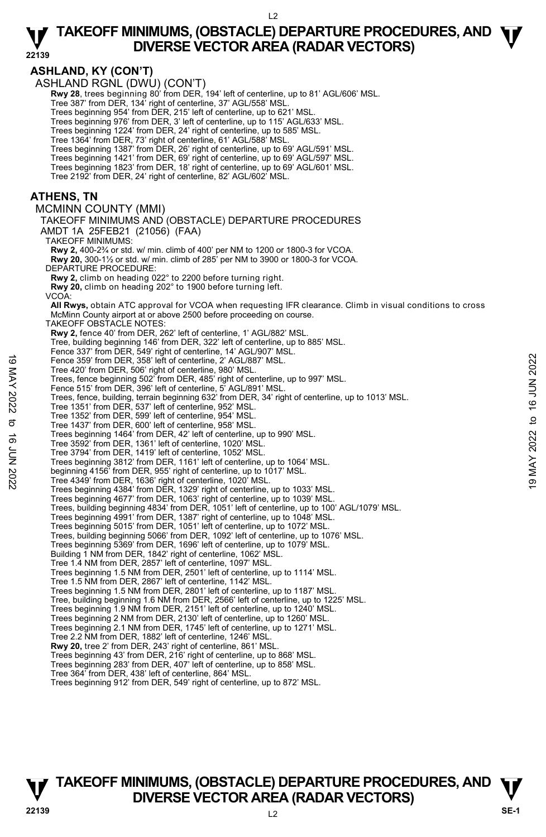**22139** 

**ASHLAND, KY (CON'T)**  ASHLAND RGNL (DWU) (CON'T)  **Rwy 28**, trees beginning 80' from DER, 194' left of centerline, up to 81' AGL/606' MSL. Tree 387' from DER, 134' right of centerline, 37' AGL/558' MSL. Trees beginning 954' from DER, 215' left of centerline, up to 621' MSL. Trees beginning 976' from DER, 3' left of centerline, up to 115' AGL/633' MSL. Trees beginning 1224' from DER, 24' right of centerline, up to 585' MSL. Tree 1364' from DER, 73' right of centerline, 61' AGL/588' MSL.<br>Trees beginning 1387' from DER, 26' right of centerline, up to 69' AGL/591' MSL.<br>Trees beginning 1421' from DER, 69' right of centerline, up to 69' AGL/597' M Tree 2192' from DER, 24' right of centerline, 82' AGL/602' MSL. **ATHENS, TN**  MCMINN COUNTY (MMI) TAKEOFF MINIMUMS AND (OBSTACLE) DEPARTURE PROCEDURES AMDT 1A 25FEB21 (21056) (FAA) TAKEOFF MINIMUMS: **Rwy 2,** 400-2¾ or std. w/ min. climb of 400' per NM to 1200 or 1800-3 for VCOA.  **Rwy 20,** 300-1½ or std. w/ min. climb of 285' per NM to 3900 or 1800-3 for VCOA. DEPARTURE PROCEDURE: **Rwy 2,** climb on heading 022° to 2200 before turning right. **Rwy 20,** climb on heading 202° to 1900 before turning left. VCOA:  **All Rwys,** obtain ATC approval for VCOA when requesting IFR clearance. Climb in visual conditions to cross McMinn County airport at or above 2500 before proceeding on course. TAKEOFF OBSTACLE NOTES: **Rwy 2,** fence 40' from DER, 262' left of centerline, 1' AGL/882' MSL. Tree, building beginning 146' from DER, 322' left of centerline, up to 885' MSL. Fence 337' from DER, 549' right of centerline, 14' AGL/907' MSL. Fence 359' from DER, 358' left of centerline, 2' AGL/887' MSL. Tree 420' from DER, 506' right of centerline, 980' MSL. Trees, fence beginning 502' from DER, 485' right of centerline, up to 997' MSL. Fence 515' from DER, 396' left of centerline, 5' AGL/891' MSL. Trees, fence, building, terrain beginning 632' from DER, 34' right of centerline, up to 1013' MSL. Tree 1351' from DER, 537' left of centerline, 952' MSL. Tree 1352' from DER, 599' left of centerline, 954' MSL. Tree 1437' from DER, 600' left of centerline, 958' MSL. Trees beginning 1464' from DER, 42' left of centerline, up to 990' MSL. Tree 3592' from DER, 1361' left of centerline, 1020' MSL. Tree 3794' from DER, 1419' left of centerline, 1052' MSL. Trees beginning 3812' from DER, 1161' left of centerline, up to 1064' MSL. beginning 4156' from DER, 955' right of centerline, up to 1017' MSL. Tree 4349' from DER, 1636' right of centerline, 1020' MSL. Trees beginning 4384' from DER, 1329' right of centerline, up to 1033' MSL. Trees beginning 4677' from DER, 1063' right of centerline, up to 1039' MSL.<br>Trees, building beginning 4834' from DER, 1051' left of centerline, up to 100' AGL/1079' MSL. Trees beginning 4991' from DER, 1387' right of centerline, up to 1048' MSL. Trees beginning 5015' from DER, 1051' left of centerline, up to 1072' MSL. Trees, building beginning 5066' from DER, 1092' left of centerline, up to 1076' MSL. Trees beginning 5369' from DER, 1696' left of centerline, up to 1079' MSL. Building 1 NM from DER, 1842' right of centerline, 1062' MSL. Tree 1.4 NM from DER, 2857' left of centerline, 1097' MSL. Trees beginning 1.5 NM from DER, 2501' left of centerline, up to 1114' MSL. Tree 1.5 NM from DER, 2867' left of centerline, 1142' MSL. Trees beginning 1.5 NM from DER, 2801' left of centerline, up to 1187' MSL. Tree, building beginning 1.6 NM from DER, 2566' left of centerline, up to 1225' MSL. Trees beginning 1.9 NM from DER, 2151' left of centerline, up to 1240' MSL. Trees beginning 2 NM from DER, 2130' left of centerline, up to 1260' MSL. Trees beginning 2.1 NM from DER, 1745' left of centerline, up to 1271' MSL. Tree 2.2 NM from DER, 1882' left of centerline, 1246' MSL. **Rwy 20,** tree 2' from DER, 243' right of centerline, 861' MSL. Trees beginning 43' from DER, 216' right of centerline, up to 868' MSL. Trees beginning 283' from DER, 407' left of centerline, up to 858' MSL. Tree 364' from DER, 438' left of centerline, 864' MSL. Trees beginning 912' from DER, 549' right of centerline, up to 872' MSL. 19 Fence 359' from DER, 358' left of centerline, 2' AGL/887' MSL.<br>
Tree 420' from DER, 368' ight of centerline, 900' MSL.<br>
Trees, fence beginning 502' from DER, 485' right of centerline, up to 997' MSL.<br>
Trees, fence, bui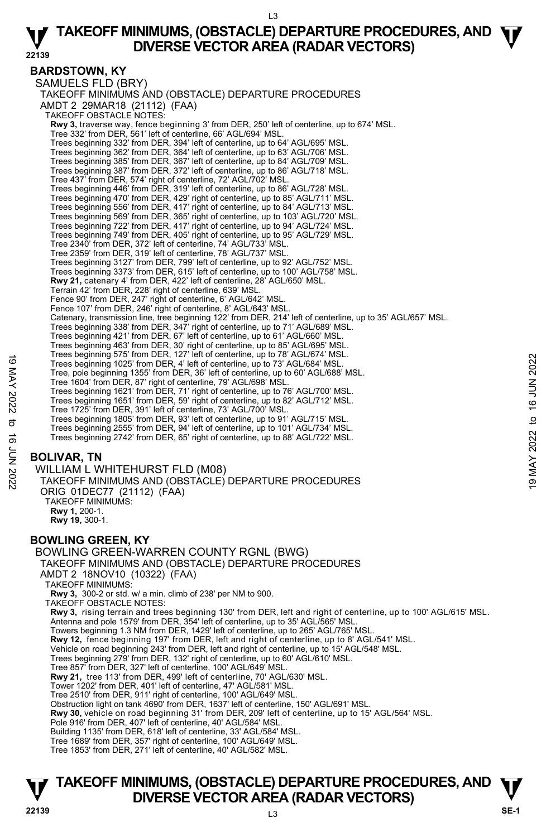**22139** 

**T T TAKEOFF MINIMUMS, (OBSTACLE) DEPARTURE PROCEDURES, AND V** DIVERSE VECTOR AREA (RADAR VECTORS) **V**<br>22139 SE-1 **BARDSTOWN, KY**  SAMUELS FLD (BRY) TAKEOFF MINIMUMS AND (OBSTACLE) DEPARTURE PROCEDURES AMDT 2 29MAR18 (21112) (FAA) TAKEOFF OBSTACLE NOTES: **Rwy 3,** traverse way, fence beginning 3' from DER, 250' left of centerline, up to 674' MSL. Tree 332' from DER, 561' left of centerline, 66' AGL/694' MSL. Trees beginning 332' from DER, 394' left of centerline, up to 64' AGL/695' MSL. Trees beginning 362' from DER, 364' left of centerline, up to 63' AGL/706' MSL. Trees beginning 385' from DER, 367' left of centerline, up to 84' AGL/709' MSL. Trees beginning 387' from DER, 372' left of centerline, up to 86' AGL/718' MSL. Tree 437' from DER, 574' right of centerline, 72' AGL/702' MSL. Trees beginning 446' from DER, 319' left of centerline, up to 86' AGL/728' MSL. Trees beginning 470' from DER, 429' right of centerline, up to 85' AGL/711' MSL. Trees beginning 556' from DER, 417' right of centerline, up to 84' AGL/713' MSL. Trees beginning 569' from DER, 365' right of centerline, up to 103' AGL/720' MSL. Trees beginning 722' from DER, 417' right of centerline, up to 94' AGL/724' MSL. Trees beginning 749' from DER, 405' right of centerline, up to 95' AGL/729' MSL. Tree 2340' from DER, 372' left of centerline, 74' AGL/733' MSL. Tree 2359' from DER, 319' left of centerline, 78' AGL/737' MSL.<br>Trees beginning 3127' from DER, 799' left of centerline, up to 92' AGL/752' MSL.<br>Trees beginning 3373' from DER, 615' left of centerline, up to 100' AGL/758' **Rwy 21,** catenary 4' from DER, 422' left of centerline, 28' AGL/650' MSL.<br>Terrain 42' from DER, 228' right of centerline, 639' MSL. Fence 90' from DER, 247' right of centerline, 6' AGL/642' MSL. Fence 107' from DER, 246' right of centerline, 8' AGL/643' MSL. Catenary, transmission line, tree beginning 122' from DER, 214' left of centerline, up to 35' AGL/657' MSL.<br>Trees beginning 338' from DER, 347' right of centerline, up to 71' AGL/689' MSL. Trees beginning 421' from DER, 67' left of centerline, up to 61' AGL/660' MSL. Trees beginning 463' from DER, 30' right of centerline, up to 85' AGL/695' MSL. Trees beginning 575' from DER, 127' left of centerline, up to 78' AGL/674' MSL. Trees beginning 1025' from DER, 4' left of centerline, up to 73' AGL/684' MSL. Tree, pole beginning 1355' from DER, 36' left of centerline, up to 60' AGL/688' MSL. Tree 1604' from DER, 87' right of centerline, 79' AGL/698' MSL. Trees beginning 1621' from DER, 71' right of centerline, up to 76' AGL/700' MSL. Trees beginning 1651' from DER, 59' right of centerline, up to 82' AGL/712' MSL. Tree 1725' from DER, 391' left of centerline, 73' AGL/700' MSL. Trees beginning 1805' from DER, 93' left of centerline, up to 91' AGL/715' MSL. Trees beginning 2555' from DER, 94' left of centerline, up to 101' AGL/734' MSL. Trees beginning 2742' from DER, 65' right of centerline, up to 88' AGL/722' MSL. **BOLIVAR, TN**  WILLIAM L WHITEHURST FLD (M08) TAKEOFF MINIMUMS AND (OBSTACLE) DEPARTURE PROCEDURES ORIG 01DEC77 (21112) (FAA) TAKEOFF MINIMUMS: **Rwy 1,** 200-1. **Rwy 19,** 300-1. **BOWLING GREEN, KY**  BOWLING GREEN-WARREN COUNTY RGNL (BWG) TAKEOFF MINIMUMS AND (OBSTACLE) DEPARTURE PROCEDURES AMDT 2 18NOV10 (10322) (FAA) TAKEOFF MINIMUMS: **Rwy 3,** 300-2 or std. w/ a min. climb of 238' per NM to 900. TAKEOFF OBSTACLE NOTES: **Rwy 3,** rising terrain and trees beginning 130' from DER, left and right of centerline, up to 100' AGL/615' MSL. Antenna and pole 1579' from DER, 354' left of centerline, up to 35' AGL/565' MSL. Towers beginning 1.3 NM from DER, 1429' left of centerline, up to 265' AGL/765' MSL.<br>**Rwy 12,** fence beginning 197' from DER, left and right of centerline, up to 8' AGL/541' MSL. Vehicle on road beginning 243' from DER, left and right of centerline, up to 15' AGL/548' MSL. Trees beginning 279' from DER, 132' right of centerline, up to 60' AGL/610' MSL. Tree 857' from DER, 327' left of centerline, 100' AGL/649' MSL. **Rwy 21,** tree 113' from DER, 499' left of centerline, 70' AGL/630' MSL. Tower 1202' from DER, 401' left of centerline, 47' AGL/581' MSL. Tree 2510' from DER, 911' right of centerline, 100' AGL/649' MSL. Obstruction light on tank 4690' from DER, 1637' left of centerline, 150' AGL/691' MSL. **Rwy 30,** vehicle on road beginning 31' from DER, 209' left of centerline, up to 15' AGL/564' MSL. Pole 916' from DER, 407' left of centerline, 40' AGL/584' MSL. Building 1135' from DER, 618' left of centerline, 33' AGL/584' MSL. Tree 1689' from DER, 357' right of centerline, 100' AGL/649' MSL. Tree 1853' from DER, 271' left of centerline, 40' AGL/582' MSL. Trees beginning 375 if form DER,  $4$ ' left of centerline, up to 73' AGL/684' MSL.<br>
Tree, pole beginning 1355' from DER,  $3$ ' left of centerline, up to 60' AGL/688' MSL.<br>
Tree 1604 from DER, 87' right of centerline, up to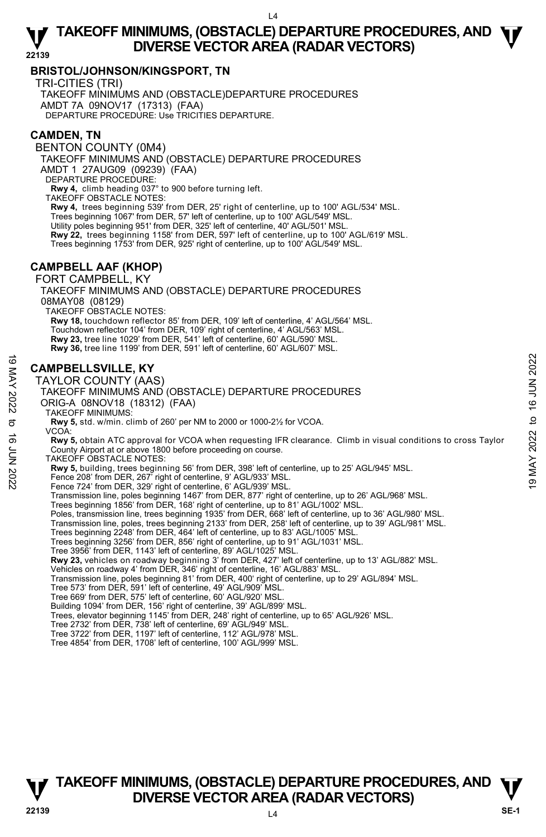# **BRISTOL/JOHNSON/KINGSPORT, TN**

TRI-CITIES (TRI)

TAKEOFF MINIMUMS AND (OBSTACLE)DEPARTURE PROCEDURES AMDT 7A 09NOV17 (17313) (FAA) DEPARTURE PROCEDURE: Use TRICITIES DEPARTURE.

# **CAMDEN, TN**

BENTON COUNTY (0M4)

TAKEOFF MINIMUMS AND (OBSTACLE) DEPARTURE PROCEDURES AMDT 1 27AUG09 (09239) (FAA)

DEPARTURE PROCEDURE:

**Rwy 4,** climb heading 037° to 900 before turning left. TAKEOFF OBSTACLE NOTES:

**Rwy 4,** trees beginning 539' from DER, 25' right of centerline, up to 100' AGL/534' MSL. Trees beginning 1067' from DER, 57' left of centerline, up to 100' AGL/549' MSL. Utility poles beginning 951' from DER, 325' left of centerline, 40' AGL/501' MSL. **Rwy 22,** trees beginning 1158' from DER, 597' left of centerline, up to 100' AGL/619' MSL. Trees beginning 1753' from DER, 925' right of centerline, up to 100' AGL/549' MSL.

# **CAMPBELL AAF (KHOP)**

FORT CAMPBELL, KY

TAKEOFF MINIMUMS AND (OBSTACLE) DEPARTURE PROCEDURES TAKEOFF OBSTACLE NOTES: **Rwy 18,** touchdown reflector 85' from DER, 109' left of centerline, 4' AGL/564' MSL.

Touchdown reflector 104' from DER, 109' right of centerline, 4' AGL/563' MSL. **Rwy 23,** tree line 1029' from DER, 541' left of centerline, 60' AGL/590' MSL.

**Rwy 36,** tree line 1199' from DER, 591' left of centerline, 60' AGL/607' MSL.

# **CAMPBELLSVILLE, KY**

TAYLOR COUNTY (AAS) TAKEOFF MINIMUMS AND (OBSTACLE) DEPARTURE PROCEDURES ORIG-A 08NOV18 (18312) (FAA) TAKEOFF MINIMUMS: **Rwy 5,** std. w/min. climb of 260' per NM to 2000 or 1000-2½ for VCOA. VCOA: **Rwy 5,** obtain ATC approval for VCOA when requesting IFR clearance. Climb in visual conditions to cross Taylor County Airport at or above 1800 before proceeding on course. TAKEOFF OBSTACLE NOTES: **Rwy 5,** building, trees beginning 56' from DER, 398' left of centerline, up to 25' AGL/945' MSL.<br>Fence 208' from DER, 267' right of centerline, 9' AGL/933' MSL. Fence 724' from DER, 329' right of centerline, 6' AGL/939' MSL. Transmission line, poles beginning 1467' from DER, 877' right of centerline, up to 26' AGL/968' MSL. Trees beginning 1856' from DER, 168' right of centerline, up to 81' AGL/1002' MSL.<br>Poles, transmission line, trees beginning 1935' from DER, 668' left of centerline, up to 36' AGL/980' MSL. Transmission line, poles, trees beginning 2133' from DER, 258' left of centerline, up to 39' AGL/981' MSL. Trees beginning 2248' from DER, 464' left of centerline, up to 83' AGL/1005' MSL Trees beginning 3256' from DER, 856' right of centerline, up to 91' AGL/1031' MSL. Tree 3956' from DER, 1143' left of centerline, 89' AGL/1025' MSL. **Rwy 23,** vehicles on roadway beginning 3' from DER, 427' left of centerline, up to 13' AGL/882' MSL. Vehicles on roadway 4' from DER, 346' right of centerline, 16' AGL/883' MSL.<br>Transmission line, poles beginning 81' from DER, 400' right of centerline, up to 29' AGL/894' MSL. Tree 573' from DER, 591' left of centerline, 49' AGL/909' MSL. Tree 669' from DER, 575' left of centerline, 60' AGL/920' MSL. COMPERILISVILLE, KY<br>
TAYLOR COUNTY (AAS)<br>
TAKEOFF MINIMUMS AND (OBSTACLE) DEPARTURE PROCEDURES<br>
TAKEOFF MINIMUMS:<br>
TAKEOFF MINIMUMS:<br>
TAKEOFF MINIMUMS:<br>
TAKEOFF MINIMUMS:<br>
TAKEOFF MINIMUMS:<br>
TAKEOFF MINIMUMS:<br>
TAKEOFF MI

Building 1094' from DER, 156' right of centerline, 39' AGL/899' MSL.

Trees, elevator beginning 1145' from DER, 248' right of centerline, up to 65' AGL/926' MSL.

Tree 2732' from DER, 738' left of centerline, 69' AGL/949' MSL.

Tree 3722' from DER, 1197' left of centerline, 112' AGL/978' MSL.

Tree 4854' from DER, 1708' left of centerline, 100' AGL/999' MSL.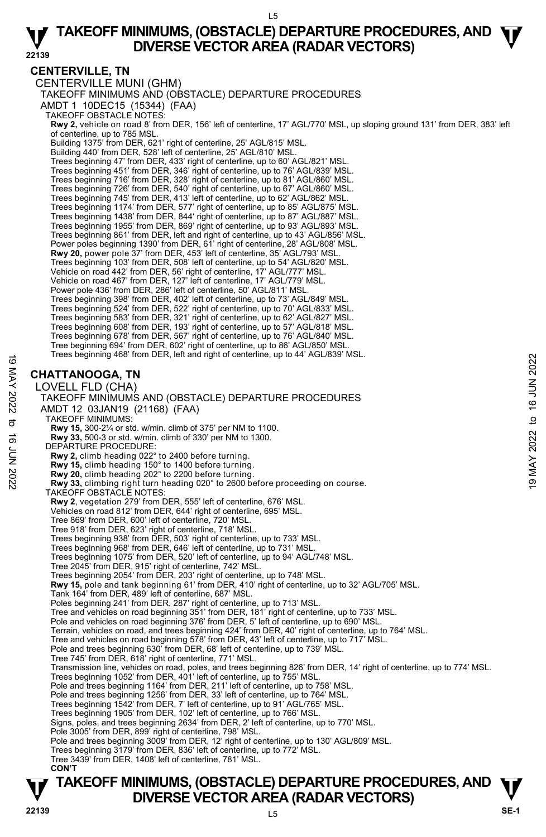## **CENTERVILLE, TN**

CENTERVILLE MUNI (GHM) TAKEOFF MINIMUMS AND (OBSTACLE) DEPARTURE PROCEDURES AMDT 1 10DEC15 (15344) (FAA) TAKEOFF OBSTACLE NOTES: **Rwy 2,** vehicle on road 8' from DER, 156' left of centerline, 17' AGL/770' MSL, up sloping ground 131' from DER, 383' left of centerline, up to 785 MSL. Building 1375' from DER, 621' right of centerline, 25' AGL/815' MSL. Building 440' from DER, 528' left of centerline, 25' AGL/810' MSL. Trees beginning 47' from DER, 433' right of centerline, up to 60' AGL/821' MSL. Trees beginning 451' from DER, 346' right of centerline, up to 76' AGL/839' MSL. Trees beginning 716' from DER, 328' right of centerline, up to 81' AGL/860' MSL. Trees beginning 726' from DER, 540' right of centerline, up to 67' AGL/860' MSL. Trees beginning 745' from DER, 413' left of centerline, up to 62' AGL/862' MSL. Trees beginning 1174' from DER, 577' right of centerline, up to 85' AGL/875' MSL. Trees beginning 1438' from DER, 844' right of centerline, up to 87' AGL/887' MSL. Trees beginning 1955' from DER, 869' right of centerline, up to 93' AGL/893' MSL. Trees beginning 861' from DER, left and right of centerline, up to 43' AGL/856' MSL. Power poles beginning 1390' from DER, 61' right of centerline, 28' AGL/808' MSL. **Rwy 20,** power pole 37' from DER, 453' left of centerline, 35' AGL/793' MSL. Trees beginning 103' from DER, 508' left of centerline, up to 54' AGL/820' MSL. Vehicle on road 442' from DER, 56' right of centerline, 17' AGL/777' MSL. Vehicle on road 467' from DER, 127' left of centerline, 17' AGL/779' MSL. Power pole 436' from DER, 286' left of centerline, 50' AGL/811' MSL. Trees beginning 398' from DER, 402' left of centerline, up to 73' AGL/849' MSL. Trees beginning 524' from DER, 522' right of centerline, up to 70' AGL/833' MSL. Trees beginning 583' from DER, 321' right of centerline, up to 62' AGL/827' MSL. Trees beginning 608' from DER, 193' right of centerline, up to 57' AGL/818' MSL. Trees beginning 678' from DER, 567' right of centerline, up to 76' AGL/840' MSL. Tree beginning 694' from DER, 602' right of centerline, up to 86' AGL/850' MSL. Trees beginning 468' from DER, left and right of centerline, up to 44' AGL/839' MSL. **CHATTANOOGA, TN**  LOVELL FLD (CHA) TAKEOFF MINIMUMS AND (OBSTACLE) DEPARTURE PROCEDURES AMDT 12 03JAN19 (21168) (FAA) TAKEOFF MINIMUMS: **Rwy 15,** 300-2¼ or std. w/min. climb of 375' per NM to 1100. **Rwy 33,** 500-3 or std. w/min. climb of 330' per NM to 1300. DEPARTURE PROCEDURE: **Rwy 2,** climb heading 022° to 2400 before turning. **Rwy 15,** climb heading 150° to 1400 before turning. Thees beginning 466 from DER, felt and right of centerline, up to 44 AGLASS9 MISL.<br> **CHATTANOOGA, TN**<br>
LOVELL FLD (CHA)<br>
TAKEOFF MINIMUMS AND (OBSTACLE) DEPARTURE PROCEDURES<br>
AND T12 03JAN19 (21168) (FAA)<br>
TAKEOFF MINIMUM TAKEOFF OBSTACLE NOTES: **Rwy 2**, vegetation 279' from DER, 555' left of centerline, 676' MSL. Vehicles on road 812' from DER, 644' right of centerline, 695' MSL. Tree 869' from DER, 600' left of centerline, 720' MSL. Tree 918' from DER, 623' right of centerline, 718' MSL. Trees beginning 938' from DER, 503' right of centerline, up to 733' MSL. Trees beginning 968' from DER, 646' left of centerline, up to 731' MSL. Trees beginning 1075' from DER, 520' left of centerline, up to 94' AGL/748' MSL. Tree 2045' from DER, 915' right of centerline, 742' MSL. Trees beginning 2054' from DER, 203' right of centerline, up to 748' MSL. **Rwy 15,** pole and tank beginning 61' from DER, 410' right of centerline, up to 32' AGL/705' MSL. Tank 164' from DER, 489' left of centerline, 687' MSL. Poles beginning 241' from DER, 287' right of centerline, up to 713' MSL. Tree and vehicles on road beginning 351' from DER, 181' right of centerline, up to 733' MSL. Pole and vehicles on road beginning 376' from DER, 5' left of centerline, up to 690' MSL. Terrain, vehicles on road, and trees beginning 424' from DER, 40' right of centerline, up to 764' MSL.<br>Tree and vehicles on road beginning 578' from DER, 43' left of centerline, up to 717' MSL. Pole and trees beginning 630' from DER, 68' left of centerline, up to 739' MSL. Tree 745' from DER, 618' right of centerline, 771' MSL. Transmission line, vehicles on road, poles, and trees beginning 826' from DER, 14' right of centerline, up to 774' MSL. Trees beginning 1052' from DER, 401' left of centerline, up to 755' MSL. Pole and trees beginning 1164' from DER, 211' left of centerline, up to 758' MSL. Pole and trees beginning 1256' from DER, 33' left of centerline, up to 764' MSL. Trees beginning 1542' from DER, 7' left of centerline, up to 91' AGL/765' MSL. Trees beginning 1905' from DER, 102' left of centerline, up to 766' MSL. Signs, poles, and trees beginning 2634' from DER, 2' left of centerline, up to 770' MSL. Pole 3005' from DER, 899' right of centerline, 798' MSL. Pole and trees beginning 3009' from DER, 12' right of centerline, up to 130' AGL/809' MSL. Trees beginning 3179' from DER, 836' left of centerline, up to 772' MSL. Tree 3439' from DER, 1408' left of centerline, 781' MSL.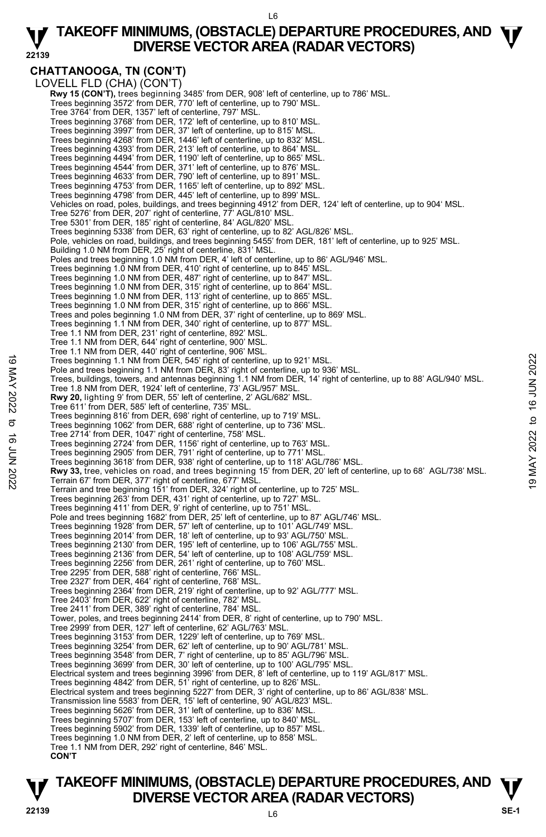L6

#### **22139 TAKEOFF MINIMUMS, (OBSTACLE) DEPARTURE PROCEDURES, AND**  $\Psi$ **<br>DIVERSE VECTOR AREA (RADAR VECTORS) DIVERSE VECTOR AREA (RADAR VECTORS)**

**CHATTANOOGA, TN (CON'T)**  LOVELL FLD (CHA) (CON'T) **Rwy 15 (CON'T),** trees beginning 3485' from DER, 908' left of centerline, up to 786' MSL.<br>Trees beginning 3572' from DER, 770' left of centerline, up to 790' MSL. Tree 3764' from DER, 1357' left of centerline, 797' MSL. Trees beginning 3768' from DER, 172' left of centerline, up to 810' MSL. Trees beginning 3997' from DER, 37' left of centerline, up to 815' MSL. Trees beginning 4268' from DER, 1446' left of centerline, up to 832' MSL. Trees beginning 4393' from DER, 213' left of centerline, up to 864' MSL. Trees beginning 4494' from DER, 1190' left of centerline, up to 865' MSL. Trees beginning 4544' from DER, 371' left of centerline, up to 876' MSL. Trees beginning 4633' from DER, 790' left of centerline, up to 891' MSL. Trees beginning 4753' from DER, 1165' left of centerline, up to 892' MSL. Trees beginning 4798' from DER, 445' left of centerline, up to 899' MSL. Vehicles on road, poles, buildings, and trees beginning 4912' from DER, 124' left of centerline, up to 904' MSL. Tree 5276' from DER, 207' right of centerline, 77' AGL/810' MSL. Tree 5301' from DER, 185' right of centerline, 84' AGL/820' MSL. Trees beginning 5338' from DER, 63' right of centerline, up to 82' AGL/826' MSL. Pole, vehicles on road, buildings, and trees beginning 5455' from DER, 181' left of centerline, up to 925' MSL. Building 1.0 NM from DER, 25<sup>7</sup> right of centerline, 831' MSL. Poles and trees beginning 1.0 NM from DER, 4' left of centerline, up to 86' AGL/946' MSL. Trees beginning 1.0 NM from DER, 410' right of centerline, up to 845' MSL. Trees beginning 1.0 NM from DER, 487' right of centerline, up to 847' MSL. Trees beginning 1.0 NM from DER, 315' right of centerline, up to 864' MSL. Trees beginning 1.0 NM from DER, 113' right of centerline, up to 865' MSL. Trees beginning 1.0 NM from DER, 315' right of centerline, up to 866' MSL. Trees and poles beginning 1.0 NM from DER, 37' right of centerline, up to 869' MSL. Trees beginning 1.1 NM from DER, 340' right of centerline, up to 877' MSL. Tree 1.1 NM from DER, 231' right of centerline, 892' MSL. Tree 1.1 NM from DER, 644' right of centerline, 900' MSL. Tree 1.1 NM from DER, 440' right of centerline, 906' MSL. Trees beginning 1.1 NM from DER, 545' right of centerline, up to 921' MSL. Pole and trees beginning 1.1 NM from DER, 83' right of centerline, up to 936' MSL. Trees, buildings, towers, and antennas beginning 1.1 NM from DER, 14' right of centerline, up to 88' AGL/940' MSL. Tree 1.8 NM from DER, 1924' left of centerline, 73' AGL/957' MSL.  **Rwy 20,** lighting 9' from DER, 55' left of centerline, 2' AGL/682' MSL. Tree 611' from DER, 585' left of centerline, 735' MSL. Trees beginning 816' from DER, 698' right of centerline, up to 719' MSL. Trees beginning 1062' from DER, 688' right of centerline, up to 736' MSL. Tree 2714' from DER, 1047' right of centerline, 758' MSL. Trees beginning 2724' from DER, 1156' right of centerline, up to 763' MSL. Trees beginning 2905' from DER, 791' right of centerline, up to 771' MSL. Trees beginning 3618' from DER, 938' right of centerline, up to 118' AGL/786' MSL. Trees beginning 1.1 NM from DER, 545' right of centerline, up to 921' MSL.<br>
Pole and trees beginning 1.1 NM from DER, 837' right of centerline, up to 936' MSL.<br>
Trees, buildings, towers, and antennas beginning 1.1 NM from Terrain and tree beginning 151' from DER, 324' right of centerline, up to 725' MSL. Trees beginning 263' from DER, 431' right of centerline, up to 727' MSL. Trees beginning 411' from DER, 9' right of centerline, up to 751' MSL. Pole and trees beginning 1682' from DER, 25' left of centerline, up to 87' AGL/746' MSL. Trees beginning 1928' from DER, 57' left of centerline, up to 101' AGL/749' MSL. Trees beginning 2014' from DER, 18' left of centerline, up to 93' AGL/750' MSL. Trees beginning 2130' from DER, 195' left of centerline, up to 106' AGL/755' MSL. Trees beginning 2136' from DER, 54' left of centerline, up to 108' AGL/759' MSL. Trees beginning 2256' from DER, 261' right of centerline, up to 760' MSL. Tree 2295' from DER, 588' right of centerline, 766' MSL. Tree 2327' from DER, 464' right of centerline, 768' MSL. Trees beginning 2364' from DER, 219' right of centerline, up to 92' AGL/777' MSL. Tree 2403' from DER, 622' right of centerline, 782' MSL. Tree 2411' from DER, 389' right of centerline, 784' MSL. Tower, poles, and trees beginning 2414' from DER, 8' right of centerline, up to 790' MSL. Tree 2999' from DER, 127' left of centerline, 62' AGL/763' MSL. Trees beginning 3153' from DER, 1229' left of centerline, up to 769' MSL. Trees beginning 3254' from DER, 62' left of centerline, up to 90' AGL/781' MSL. Trees beginning 3548' from DER, 7' right of centerline, up to 85' AGL/796' MSL. Trees beginning 3699' from DER, 30' left of centerline, up to 100' AGL/795' MSL. Electrical system and trees beginning 3996' from DER, 8' left of centerline, up to 119' AGL/817' MSL. Trees beginning 4842' from DER, 51' right of centerline, up to 826' MSL. Electrical system and trees beginning 5227' from DER, 3' right of centerline, up to 86' AGL/838' MSL.<br>Transmission line 5583' from DER, 15' left of centerline, 90' AGL/823' MSL. Trees beginning 5626' from DER, 31' left of centerline, up to 836' MSL. Trees beginning 5707' from DER, 153' left of centerline, up to 840' MSL. Trees beginning 5902' from DER, 1339' left of centerline, up to 857' MSL. Trees beginning 1.0 NM from DER, 2' left of centerline, up to 858' MSL. Tree 1.1 NM from DER, 292' right of centerline, 846' MSL. **CON'T**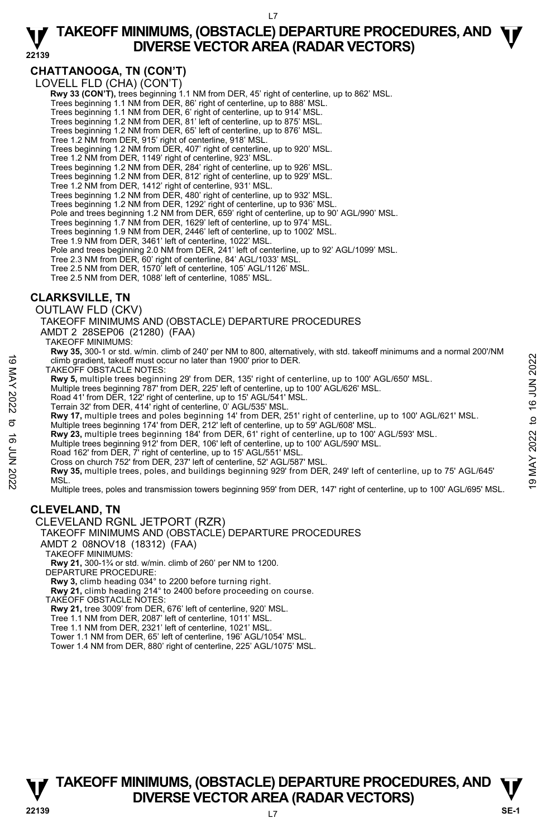L7

#### **22139 TAKEOFF MINIMUMS, (OBSTACLE) DEPARTURE PROCEDURES, AND**  $\Psi$ **<br>DIVERSE VECTOR AREA (RADAR VECTORS) DIVERSE VECTOR AREA (RADAR VECTORS)**

# **CHATTANOOGA, TN (CON'T)**

LOVELL FLD (CHA) (CON'T)

**Rwy 33 (CON'T),** trees beginning 1.1 NM from DER, 45' right of centerline, up to 862' MSL.<br>Trees beginning 1.1 NM from DER, 86' right of centerline, up to 888' MSL.

- Trees beginning 1.1 NM from DER, 6' right of centerline, up to 914' MSL. Trees beginning 1.2 NM from DER, 81' left of centerline, up to 875' MSL.
- 
- Trees beginning 1.2 NM from DER, 65' left of centerline, up to 876' MSL.
- Tree 1.2 NM from DER, 915' right of centerline, 918' MSL.
- Trees beginning 1.2 NM from DER, 407' right of centerline, up to 920' MSL.
- Tree 1.2 NM from DER, 1149' right of centerline, 923' MSL.
- Trees beginning 1.2 NM from DER, 284' right of centerline, up to 926' MSL. Trees beginning 1.2 NM from DER, 812' right of centerline, up to 929' MSL.
- 
- Tree 1.2 NM from DER, 1412' right of centerline, 931' MSL.
- Trees beginning 1.2 NM from DER, 480' right of centerline, up to 932' MSL.
- Trees beginning 1.2 NM from DER, 1292' right of centerline, up to 936' MSL.
- Pole and trees beginning 1.2 NM from DER, 659' right of centerline, up to 90' AGL/990' MSL.
- Trees beginning 1.7 NM from DER, 1629' left of centerline, up to 974' MSL. Trees beginning 1.9 NM from DER, 2446' left of centerline, up to 1002' MSL.
- 
- Tree 1.9 NM from DER, 3461' left of centerline, 1022' MSL.
- Pole and trees beginning 2.0 NM from DER, 241' left of centerline, up to 92' AGL/1099' MSL.
- Tree 2.3 NM from DER, 60' right of centerline, 84' AGL/1033' MSL.
- Tree 2.5 NM from DER, 1570' left of centerline, 105' AGL/1126' MSL.
- Tree 2.5 NM from DER, 1088' left of centerline, 1085' MSL.

# **CLARKSVILLE, TN**

OUTLAW FLD (CKV)

TAKEOFF MINIMUMS AND (OBSTACLE) DEPARTURE PROCEDURES

AMDT 2 28SEP06 (21280) (FAA)

- TAKEOFF MINIMUMS:
	- **Rwy 35,** 300-1 or std. w/min. climb of 240' per NM to 800, alternatively, with std. takeoff minimums and a normal 200'/NM climb gradient, takeoff must occur no later than 1900' prior to DER.
- TAKEOFF OBSTACLE NOTES:
- **Rwy 5,** multiple trees beginning 29' from DER, 135' right of centerline, up to 100' AGL/650' MSL.<br>Multiple trees beginning 787' from DER, 225' left of centerline, up to 100' AGL/626' MSL.
- 
- Road 41' from DER, 122' right of centerline, up to 15' AGL/541' MSL.
- Terrain 32' from DER, 414' right of centerline, 0' AGL/535' MSL.
- **Rwy 17,** multiple trees and poles beginning 14' from DER, 251' right of centerline, up to 100' AGL/621' MSL.
- Multiple trees beginning 174' from DER, 212' left of centerline, up to 59' AGL/608' MSL.
- **Rwy 23,** multiple trees beginning 184' from DER, 61' right of centerline, up to 100' AGL/593' MSL.<br>Multiple trees beginning 912' from DER, 106' left of centerline, up to 100' AGL/590' MSL.
- 
- Road 162' from DER, 7' right of centerline, up to 15' AGL/551' MSL.
- Cross on church 752' from DER, 237' left of centerline, 52' AGL/587' MSL.

**Rwy 35,** multiple trees, poles, and buildings beginning 929' from DER, 249' left of centerline, up to 75' AGL/645' MSL. 19 Complete the selection of the material of the material stream and the material stream and the material stream and the material street of exception of the MAY 5, multiple trees beginning 787 from DER, 135 right of cente

Multiple trees, poles and transmission towers beginning 959' from DER, 147' right of centerline, up to 100' AGL/695' MSL.

# **CLEVELAND, TN**

CLEVELAND RGNL JETPORT (RZR)

TAKEOFF MINIMUMS AND (OBSTACLE) DEPARTURE PROCEDURES

- AMDT 2 08NOV18 (18312) (FAA)
- TAKEOFF MINIMUMS:

**Rwy 21,** 300-1¾ or std. w/min. climb of 260' per NM to 1200. DEPARTURE PROCEDURE:

**Rwy 3,** climb heading 034° to 2200 before turning right.

**Rwy 21,** climb heading 214° to 2400 before proceeding on course.

TAKEOFF OBSTACLE NOTES:

**Rwy 21,** tree 3009' from DER, 676' left of centerline, 920' MSL.

- Tree 1.1 NM from DER, 2087' left of centerline, 1011' MSL.
- Tree 1.1 NM from DER, 2321' left of centerline, 1021' MSL.
- Tower 1.1 NM from DER, 65' left of centerline, 196' AGL/1054' MSL.
- Tower 1.4 NM from DER, 880' right of centerline, 225' AGL/1075' MSL.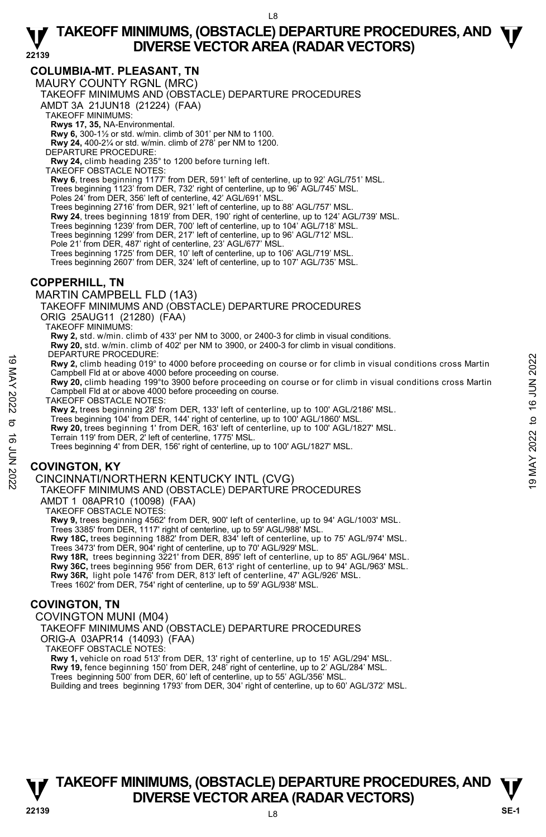# **COLUMBIA-MT. PLEASANT, TN**

MAURY COUNTY RGNL (MRC)

TAKEOFF MINIMUMS AND (OBSTACLE) DEPARTURE PROCEDURES

AMDT 3A 21JUN18 (21224) (FAA)

TAKEOFF MINIMUMS:

**Rwys 17, 35,** NA-Environmental.

**Rwy 6,** 300-1½ or std. w/min. climb of 301' per NM to 1100.

**Rwy 24,** 400-2¼ or std. w/min. climb of 278' per NM to 1200.

DEPARTURE PROCEDURE:

**Rwy 24,** climb heading 235° to 1200 before turning left. TAKEOFF OBSTACLE NOTES:

**Rwy 6**, trees beginning 1177' from DER, 591' left of centerline, up to 92' AGL/751' MSL.

Trees beginning 1123' from DER, 732' right of centerline, up to 96' AGL/745' MSL. Poles 24' from DER, 356' left of centerline, 42' AGL/691' MSL.

Trees beginning 2716' from DER, 921' left of centerline, up to 88' AGL/757' MSL.

**Rwy 24**, trees beginning 1819' from DER, 190' right of centerline, up to 124' AGL/739' MSL.

Trees beginning 1239' from DER, 700' left of centerline, up to 104' AGL/718' MSL.

Trees beginning 1299' from DER, 217' left of centerline, up to 96' AGL/712' MSL.

Pole 21' from DER, 487' right of centerline, 23' AGL/677' MSL.

Trees beginning 1725' from DER, 10' left of centerline, up to 106' AGL/719' MSL. Trees beginning 2607' from DER, 324' left of centerline, up to 107' AGL/735' MSL.

## **COPPERHILL, TN**

MARTIN CAMPBELL FLD (1A3) TAKEOFF MINIMUMS AND (OBSTACLE) DEPARTURE PROCEDURES ORIG 25AUG11 (21280) (FAA) TAKEOFF MINIMUMS: **Rwy 2,** std. w/min. climb of 433' per NM to 3000, or 2400-3 for climb in visual conditions. **Rwy 20,** std. w/min. climb of 402' per NM to 3900, or 2400-3 for climb in visual conditions.

DEPARTURE PROCEDURE:

**Rwy 2,** climb heading 019° to 4000 before proceeding on course or for climb in visual conditions cross Martin Campbell Fld at or above 4000 before proceeding on course. 19 METANTOEDURE:<br>
The New 2, climb heading 019° to 4000 before proceeding on course or for climb in visual conditions cross Martin<br>
Campbell Fld at or above 4000 before proceeding on course or for climb in visual conditio

**Rwy 20,** climb heading 199°to 3900 before proceeding on course or for climb in visual conditions cross Martin Campbell Fld at or above 4000 before proceeding on course.

TAKEOFF OBSTACLE NOTES:

**Rwy 2,** trees beginning 28' from DER, 133' left of centerline, up to 100' AGL/2186' MSL.<br>Trees beginning 104' from DER, 144' right of centerline, up to 100' AGL/1860' MSL.

**Rwy 20,** trees beginning 1' from DER, 163' left of centerline, up to 100' AGL/1827' MSL. Terrain 119' from DER, 2' left of centerline, 1775' MSL.

Trees beginning 4' from DER, 156' right of centerline, up to 100' AGL/1827' MSL.

# **COVINGTON, KY**

CINCINNATI/NORTHERN KENTUCKY INTL (CVG)

TAKEOFF MINIMUMS AND (OBSTACLE) DEPARTURE PROCEDURES AMDT 1 08APR10 (10098) (FAA)

TAKEOFF OBSTACLE NOTES:

**Rwy 9,** trees beginning 4562' from DER, 900' left of centerline, up to 94' AGL/1003' MSL.

Trees 3385' from DER, 1117' right of centerline, up to 59' AGL/988' MSL. **Rwy 18C,** trees beginning 1882' from DER, 834' left of centerline, up to 75' AGL/974' MSL.

Trees 3473' from DER, 904' right of centerline, up to 70' AGL/929' MSL.  **Rwy 18R,** trees beginning 3221' from DER, 895' left of centerline, up to 85' AGL/964' MSL. **Rwy 36C,** trees beginning 956' from DER, 613' right of centerline, up to 94' AGL/963' MSL. **Rwy 36R,** light pole 1476' from DER, 813' left of centerline, 47' AGL/926' MSL.

Trees 1602' from DER, 754' right of centerline, up to 59' AGL/938' MSL.

# **COVINGTON, TN**

COVINGTON MUNI (M04)

TAKEOFF MINIMUMS AND (OBSTACLE) DEPARTURE PROCEDURES ORIG-A 03APR14 (14093) (FAA)

TAKEOFF OBSTACLE NOTES:

**Rwy 1,** vehicle on road 513' from DER, 13' right of centerline, up to 15' AGL/294' MSL.<br>**Rwy 19,** fence beginning 150' from DER, 248' right of centerline, up to 2' AGL/284' MSL.

Trees beginning 500' from DER, 60' left of centerline, up to 55' AGL/356' MSL.

Building and trees beginning 1793' from DER, 304' right of centerline, up to 60' AGL/372' MSL.

# **T T TAKEOFF MINIMUMS, (OBSTACLE) DEPARTURE PROCEDURES, AND V** DIVERSE VECTOR AREA (RADAR VECTORS) **V**<br>22139 SE-1

L8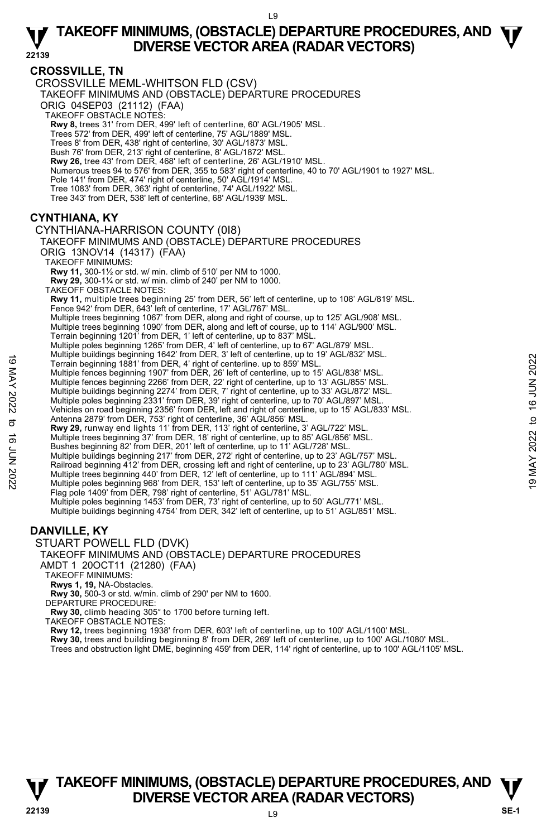# **CROSSVILLE, TN**

CROSSVILLE MEML-WHITSON FLD (CSV)

TAKEOFF MINIMUMS AND (OBSTACLE) DEPARTURE PROCEDURES

ORIG 04SEP03 (21112) (FAA)

TAKEOFF OBSTACLE NOTES:

**Rwy 8,** trees 31' from DER, 499' left of centerline, 60' AGL/1905' MSL.

Trees 572' from DER, 499' left of centerline, 75' AGL/1889' MSL.

Trees 8' from DER, 438' right of centerline, 30' AGL/1873' MSL.

Bush 76' from DER, 213' right of centerline, 8' AGL/1872' MSL.

**Rwy 26,** tree 43' from DER, 468' left of centerline, 26' AGL/1910' MSL.

Numerous trees 94 to 576' from DER, 355 to 583' right of centerline, 40 to 70' AGL/1901 to 1927' MSL.

Pole 141' from DER, 474' right of centerline, 50' AGL/1914' MSL.

Tree 1083' from DER, 363' right of centerline, 74' AGL/1922' MSL.

Tree 343' from DER, 538' left of centerline, 68' AGL/1939' MSL.

# **CYNTHIANA, KY**

CYNTHIANA-HARRISON COUNTY (0I8)

TAKEOFF MINIMUMS AND (OBSTACLE) DEPARTURE PROCEDURES ORIG 13NOV14 (14317) (FAA)

TAKEOFF MINIMUMS:

**Rwy 11,** 300-1½ or std. w/ min. climb of 510' per NM to 1000.

**Rwy 29,** 300-1¼ or std. w/ min. climb of 240' per NM to 1000. TAKEOFF OBSTACLE NOTES:

**Rwy 11,** multiple trees beginning 25' from DER, 56' left of centerline, up to 108' AGL/819' MSL. Fence 942' from DER, 643' left of centerline, 17' AGL/767' MSL.

Multiple trees beginning 1067' from DER, along and right of course, up to 125' AGL/908' MSL. Multiple trees beginning 1090' from DER, along and left of course, up to 114' AGL/900' MSL.

Terrain beginning 1201' from DER, 1' left of centerline, up to 837' MSL.

Multiple poles beginning 1265' from DER, 4' left of centerline, up to 67' AGL/879' MSL. Multiple buildings beginning 1642' from DER, 3' left of centerline, up to 19' AGL/832' MSL. Terrain beginning 1881' from DER, 4' right of centerline. up to 859' MSL.

Multiple fences beginning 1907' from DER, 26' left of centerline, up to 15' AGL/838' MSL.<br>Multiple fences beginning 2266' from DER, 22' right of centerline, up to 13' AGL/855' MSL.

Multiple buildings beginning 2274' from DER, 7' right of centerline, up to 33' AGL/872' MSL.

Multiple poles beginning 2331' from DER, 39' right of centerline, up to 70' AGL/897' MSL.

Vehicles on road beginning 2356' from DER, left and right of centerline, up to 15' AGL/833' MSL.<br>Antenna 2879' from DER, 753' right of centerline, 36' AGL/856' MSL. Terrain beginning 1881' from DER, 4' right of center ine, up to 19 AGL/838' MSL.<br>
Multiple fences beginning 1907' from DER, 26' left of centerline, up to 15' AGL/838' MSL.<br>
Multiple fences beginning 2226' from DER, 22' ri

**Rwy 29,** runway end lights 11' from DER, 113' right of centerline, 3' AGL/722' MSL.

Multiple trees beginning 37' from DER, 18' right of centerline, up to 85' AGL/856' MSL.

Bushes beginning 82' from DER, 201' left of centerline, up to 11' AGL/728' MSL. Multiple buildings beginning 217' from DER, 272' right of centerline, up to 23' AGL/757' MSL.

Railroad beginning 412' from DER, crossing left and right of centerline, up to 23' AGL/780' MSL.

Multiple trees beginning 440' from DER, 12' left of centerline, up to 111' AGL/894' MSL. Multiple poles beginning 968' from DER, 153' left of centerline, up to 35' AGL/755' MSL.

Flag pole 1409' from DER, 798' right of centerline, 51' AGL/781' MSL.

Multiple poles beginning 1453' from DER, 73' right of centerline, up to 50' AGL/771' MSL.<br>Multiple buildings beginning 4754' from DER, 342' left of centerline, up to 51' AGL/851' MSL.

# **DANVILLE, KY**

STUART POWELL FLD (DVK)

## TAKEOFF MINIMUMS AND (OBSTACLE) DEPARTURE PROCEDURES

AMDT 1 20OCT11 (21280) (FAA)

TAKEOFF MINIMUMS:

**Rwys 1, 19,** NA-Obstacles.

**Rwy 30,** 500-3 or std. w/min. climb of 290' per NM to 1600. DEPARTURE PROCEDURE:

**Rwy 30,** climb heading 305° to 1700 before turning left.

TAKEOFF OBSTACLE NOTES:

**Rwy 12,** trees beginning 1938' from DER, 603' left of centerline, up to 100' AGL/1100' MSL.<br>**Rwy 30,** trees and building beginning 8' from DER, 269' left of centerline, up to 100' AGL/1080' MSL.

Trees and obstruction light DME, beginning 459' from DER, 114' right of centerline, up to 100' AGL/1105' MSL.

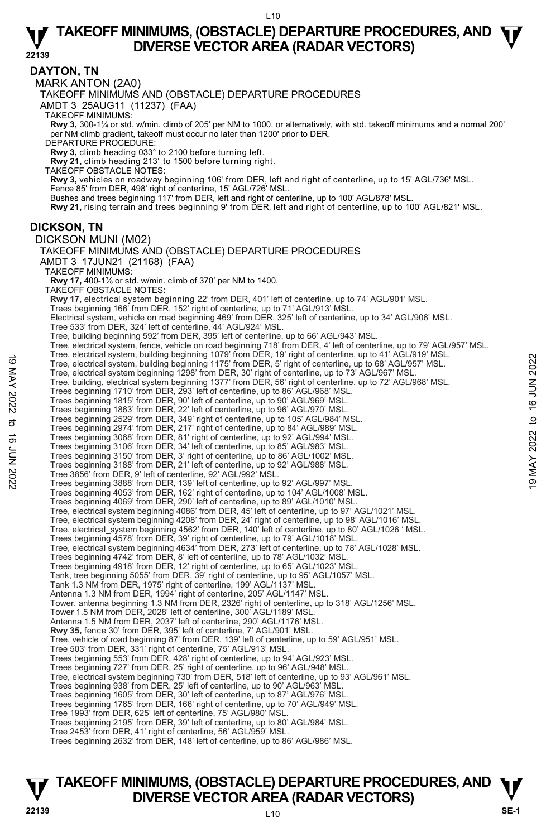**22139 DAYTON, TN**  MARK ANTON (2A0) TAKEOFF MINIMUMS AND (OBSTACLE) DEPARTURE PROCEDURES AMDT 3 25AUG11 (11237) (FAA) TAKEOFF MINIMUMS: **Rwy 3,** 300-1¼ or std. w/min. climb of 205' per NM to 1000, or alternatively, with std. takeoff minimums and a normal 200' per NM climb gradient, takeoff must occur no later than 1200' prior to DER. DEPARTURE PROCEDURE: **Rwy 3,** climb heading 033° to 2100 before turning left. **Rwy 21,** climb heading 213° to 1500 before turning right. TAKEOFF OBSTACLE NOTES: **Rwy 3,** vehicles on roadway beginning 106' from DER, left and right of centerline, up to 15' AGL/736' MSL. Fence 85' from DER, 498' right of centerline, 15' AGL/726' MSL. Bushes and trees beginning 117' from DER, left and right of centerline, up to 100' AGL/878' MSL. **Rwy 21,** rising terrain and trees beginning 9' from DER, left and right of centerline, up to 100' AGL/821' MSL. **DICKSON, TN**  DICKSON MUNI (M02) TAKEOFF MINIMUMS AND (OBSTACLE) DEPARTURE PROCEDURES AMDT 3 17JUN21 (21168) (FAA) TAKEOFF MINIMUMS: **Rwy 17,** 400-1½ or std. w/min. climb of 370' per NM to 1400.<br>TAKEOFF OBSTACLE NOTES: **Rwy 17,** electrical system beginning 22' from DER, 401' left of centerline, up to 74' AGL/901' MSL. Trees beginning 166' from DER, 152' right of centerline, up to 71' AGL/913' MSL. Electrical system, vehicle on road beginning 469' from DER, 325' left of centerline, up to 34' AGL/906' MSL.<br>Tree 533' from DER, 324' left of centerline, 44' AGL/924' MSL. Tree, building beginning 592' from DER, 395' left of centerline, up to 66' AGL/943' MSL. Tree, electrical system, fence, vehicle on road beginning 718' from DER, 4' left of centerline, up to 79' AGL/957' MSL.<br>Tree, electrical system, building beginning 1079' from DER, 19' right of centerline, up to 41' AGL/919 Tree, electrical system, building beginning 1175' from DER, 5' right of centerline, up to 68' AGL/957' MSL. Tree, electrical system beginning 1298' from DER, 30' right of centerline, up to 73' AGL/967' MSL. Tree, building, electrical system beginning 1377' from DER, 56' right of centerline, up to 72' AGL/968' MSL. Trees beginning 1710' from DER, 293' left of centerline, up to 86' AGL/968' MSL. Trees beginning 1815' from DER, 90' left of centerline, up to 90' AGL/969' MSL. Trees beginning 1863' from DER, 22' left of centerline, up to 96' AGL/970' MSL.<br>Trees beginning 2529' from DER, 349' right of centerline, up to 105' AGL/984' MSL.<br>Trees beginning 2974' from DER, 217' right of centerline, u Trees beginning 3068' from DER, 81' right of centerline, up to 92' AGL/994' MSL. Trees beginning 3106' from DER, 34' left of centerline, up to 85' AGL/983' MSL. Trees beginning 3150' from DER, 3' right of centerline, up to 86' AGL/1002' MSL. Trees beginning 3188' from DER, 21' left of centerline, up to 92' AGL/988' MSL. Tree 3856' from DER, 9' left of centerline, 92' AGL/992' MSL. Trees beginning 3888' from DER, 139' left of centerline, up to 92' AGL/997' MSL. Trees beginning 4053' from DER, 162' right of centerline, up to 104' AGL/1008' MSL. Trees beginning 4069' from DER, 290' left of centerline, up to 89' AGL/1010' MSL. Tree, electrical system beginning 4086' from DER, 45' left of centerline, up to 97' AGL/1021' MSL. Tree, electrical system beginning 4208' from DER, 24' right of centerline, up to 98' AGL/1016' MSL. Tree, electrical\_system beginning 4562' from DER, 140' left of centerline, up to 80' AGL/1026 ' MSL.<br>Trees beginning 4578' from DER, 39' right of centerline, up to 79' AGL/1018' MSL. Tree, electrical system beginning 4634' from DER, 273' left of centerline, up to 78' AGL/1028' MSL. Trees beginning 4742' from DER, 8' left of centerline, up to 78' AGL/1032' MSL. Trees beginning 4918' from DER, 12' right of centerline, up to 65' AGL/1023' MSL. Tank, tree beginning 5055' from DER, 39' right of centerline, up to 95' AGL/1057' MSL. Tank 1.3 NM from DER, 1975' right of centerline, 199' AGL/1137' MSL. Antenna 1.3 NM from DER, 1994' right of centerline, 205' AGL/1147' MSL. Tower, antenna beginning 1.3 NM from DER, 2326' right of centerline, up to 318' AGL/1256' MSL. Tower 1.5 NM from DER, 2028' left of centerline, 300' AGL/1189' MSL. Antenna 1.5 NM from DER, 2037' left of centerline, 290' AGL/1176' MSL. **Rwy 35,** fence 30' from DER, 395' left of centerline, 7' AGL/901' MSL.<br>Tree, vehicle of road beginning 87' from DER, 139' left of centerline, up to 59' AGL/951' MSL. Tree 503' from DER, 331' right of centerline, 75' AGL/913' MSL. Trees beginning 553' from DER, 428' right of centerline, up to 94' AGL/923' MSL. Trees beginning 727' from DER, 25' right of centerline, up to 96' AGL/948' MSL. Tree, electrical system beginning 730' from DER, 518' left of centerline, up to 93' AGL/961' MSL. Trees beginning 938' from DER, 25' left of centerline, up to 90' AGL/963' MSL. Trees beginning 1605' from DER, 30' left of centerline, up to 87' AGL/976' MSL. Trees beginning 1765' from DER, 166' right of centerline, up to 70' AGL/949' MSL. Tree 1993' from DER, 625' left of centerline, 75' AGL/980' MSL. Trees beginning 2195' from DER, 39' left of centerline, up to 80' AGL/984' MSL. Tree 2453' from DER, 41' right of centerline, 56' AGL/959' MSL. Tree, electrical system, building beginning 1075' from DER, 5' right of centerline, up to 68' AGL/957' MSL.<br>Tree, electrical system beginning 1298' from DER, 50' right of centerline, up to 68' AGL/957' MSL.<br>Tree, electrica

Trees beginning 2632' from DER, 148' left of centerline, up to 86' AGL/986' MSL.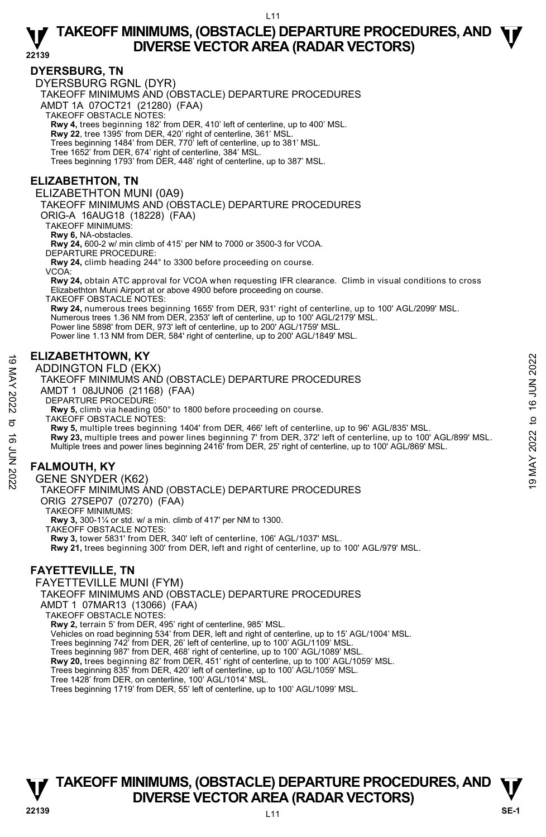**22139** 

## **DYERSBURG, TN**

DYERSBURG RGNL (DYR)

TAKEOFF MINIMUMS AND (OBSTACLE) DEPARTURE PROCEDURES

AMDT 1A 07OCT21 (21280) (FAA)

TAKEOFF OBSTACLE NOTES:

**Rwy 4,** trees beginning 182' from DER, 410' left of centerline, up to 400' MSL.

**Rwy 22**, tree 1395' from DER, 420' right of centerline, 361' MSL. Trees beginning 1484' from DER, 770' left of centerline, up to 381' MSL.

Tree 1652' from DER, 674' right of centerline, 384' MSL.

Trees beginning 1793' from DER, 448' right of centerline, up to 387' MSL.

## **ELIZABETHTON, TN**

ELIZABETHTON MUNI (0A9)

TAKEOFF MINIMUMS AND (OBSTACLE) DEPARTURE PROCEDURES

ORIG-A 16AUG18 (18228) (FAA)

TAKEOFF MINIMUMS:

**Rwy 6,** NA-obstacles.

**Rwy 24,** 600-2 w/ min climb of 415' per NM to 7000 or 3500-3 for VCOA.

DEPARTURE PROCEDURE

**Rwy 24,** climb heading 244° to 3300 before proceeding on course.

VCOA:

**Rwy 24,** obtain ATC approval for VCOA when requesting IFR clearance. Climb in visual conditions to cross Elizabethton Muni Airport at or above 4900 before proceeding on course.

TAKEOFF OBSTACLE NOTES: **Rwy 24,** numerous trees beginning 1655' from DER, 931' right of centerline, up to 100' AGL/2099' MSL. Numerous trees 1.36 NM from DER, 2353' left of centerline, up to 100' AGL/2179' MSL. Power line 5898' from DER, 973' left of centerline, up to 200' AGL/1759' MSL.

Power line 1.13 NM from DER, 584' right of centerline, up to 200' AGL/1849' MSL.

## **ELIZABETHTOWN, KY**

#### ADDINGTON FLD (EKX)

TAKEOFF MINIMUMS AND (OBSTACLE) DEPARTURE PROCEDURES

- AMDT 1 08JUN06 (21168) (FAA)
- DEPARTURE PROCEDURE:

**Rwy 5,** climb via heading 050° to 1800 before proceeding on course. TAKEOFF OBSTACLE NOTES:

**Rwy 5,** multiple trees beginning 1404' from DER, 466' left of centerline, up to 96' AGL/835' MSL.

**Rwy 23,** multiple trees and power lines beginning 7' from DER, 372' left of centerline, up to 100' AGL/899' MSL.<br>Multiple trees and power lines beginning 2416' from DER, 25' right of centerline, up to 100' AGL/869' MSL. **ELIZABETHTOWN, KY**<br>
ADDINGTON FLD (EKX)<br>
TAKEOFF MINIMUMS AND (OBSTACLE) DEPARTURE PROCEDURES<br>
AMDT 1 08JUN06 (21168) (FAA)<br>
DEPARTURE PROCEDURE:<br>
AW 5, climb via heading 05° to 1800 before proceeding on course.<br>
TAKEOFF

# **FALMOUTH, KY**

GENE SNYDER (K62)

TAKEOFF MINIMUMS AND (OBSTACLE) DEPARTURE PROCEDURES

ORIG 27SEP07 (07270) (FAA)

TAKEOFF MINIMUMS:

**Rwy 3,** 300-1¼ or std. w/ a min. climb of 417' per NM to 1300.

TAKEOFF OBSTACLE NOTES:

**Rwy 3,** tower 5831' from DER, 340' left of centerline, 106' AGL/1037' MSL.

**Rwy 21,** trees beginning 300' from DER, left and right of centerline, up to 100' AGL/979' MSL.

# **FAYETTEVILLE, TN**

FAYETTEVILLE MUNI (FYM) TAKEOFF MINIMUMS AND (OBSTACLE) DEPARTURE PROCEDURES AMDT 1 07MAR13 (13066) (FAA) TAKEOFF OBSTACLE NOTES: **Rwy 2,** terrain 5' from DER, 495' right of centerline, 985' MSL. Vehicles on road beginning 534' from DER, left and right of centerline, up to 15' AGL/1004' MSL. Trees beginning 742' from DER, 26' left of centerline, up to 100' AGL/1109' MSL. Trees beginning 987' from DER, 468' right of centerline, up to 100' AGL/1089' MSL. **Rwy 20,** trees beginning 82' from DER, 451' right of centerline, up to 100' AGL/1059' MSL.<br>Trees beginning 835' from DER, 420' left of centerline, up to 100' AGL/1059' MSL.

Tree 1428' from DER, on centerline, 100' AGL/1014' MSL.

Trees beginning 1719' from DER, 55' left of centerline, up to 100' AGL/1099' MSL.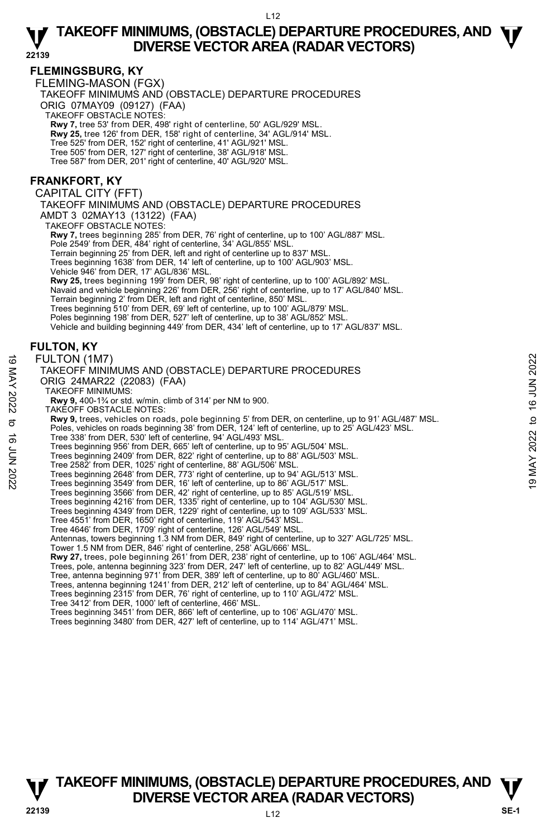# **FLEMINGSBURG, KY**

FLEMING-MASON (FGX)

TAKEOFF MINIMUMS AND (OBSTACLE) DEPARTURE PROCEDURES

ORIG 07MAY09 (09127) (FAA)

TAKEOFF OBSTACLE NOTES:

**Rwy 7,** tree 53' from DER, 498' right of centerline, 50' AGL/929' MSL. **Rwy 25,** tree 126' from DER, 158' right of centerline, 34' AGL/914' MSL.

Tree 525' from DER, 152' right of centerline, 41' AGL/921' MSL.

Tree 505' from DER, 127' right of centerline, 38' AGL/918' MSL. Tree 587' from DER, 201' right of centerline, 40' AGL/920' MSL.

## **FRANKFORT, KY**

CAPITAL CITY (FFT)

TAKEOFF MINIMUMS AND (OBSTACLE) DEPARTURE PROCEDURES AMDT 3 02MAY13 (13122) (FAA)

TAKEOFF OBSTACLE NOTES:

**Rwy 7,** trees beginning 285' from DER, 76' right of centerline, up to 100' AGL/887' MSL.

Pole 2549' from DER, 484' right of centerline, 34' AGL/855' MSL.

Terrain beginning 25' from DER, left and right of centerline up to 837' MSL. Trees beginning 1638' from DER, 14' left of centerline, up to 100' AGL/903' MSL.

Vehicle 946' from DER, 17' AGL/836' MSL.

**Rwy 25,** trees beginning 199' from DER, 98' right of centerline, up to 100' AGL/892' MSL.<br>Navaid and vehicle beginning 226' from DER, 256' right of centerline, up to 17' AGL/840' MSL.

Terrain beginning 2' from DER, left and right of centerline, 850' MSL.

Trees beginning 510' from DER, 69' left of centerline, up to 100' AGL/879' MSL.

Poles beginning 198' from DER, 527' left of centerline, up to 38' AGL/852' MSL. Vehicle and building beginning 449' from DER, 434' left of centerline, up to 17' AGL/837' MSL.

# **FULTON, KY**

#### FULTON (1M7) TAKEOFF MINIMUMS AND (OBSTACLE) DEPARTURE PROCEDURES ORIG 24MAR22 (22083) (FAA) TAKEOFF MINIMUMS: **Rwy 9,** 400-1¾ or std. w/min. climb of 314' per NM to 900. TAKEOFF OBSTACLE NOTES:  **Rwy 9,** trees, vehicles on roads, pole beginning 5' from DER, on centerline, up to 91' AGL/487' MSL. Poles, vehicles on roads beginning 38' from DER, 124' left of centerline, up to 25' AGL/423' MSL. Tree 338' from DER, 530' left of centerline, 94' AGL/493' MSL. Trees beginning 956' from DER, 665' left of centerline, up to 95' AGL/504' MSL. Trees beginning 2409' from DER, 822' right of centerline, up to 88' AGL/503' MSL. Tree 2582' from DER, 1025' right of centerline, 88' AGL/506' MSL. Trees beginning 2648' from DER, 773' right of centerline, up to 94' AGL/513' MSL. Trees beginning 3549' from DER, 16' left of centerline, up to 86' AGL/517' MSL. Trees beginning 3566' from DER, 42' right of centerline, up to 85' AGL/519' MSL. Trees beginning 4216' from DER, 1335' right of centerline, up to 104' AGL/530' MSL. Trees beginning 4349' from DER, 1229' right of centerline, up to 109' AGL/533' MSL. Tree 4551' from DER, 1650' right of centerline, 119' AGL/543' MSL. Tree 4646' from DER, 1709' right of centerline, 126' AGL/549' MSL. Antennas, towers beginning 1.3 NM from DER, 849' right of centerline, up to 327' AGL/725' MSL. Tower 1.5 NM from DER, 846' right of centerline, 258' AGL/666' MSL. **Rwy 27,** trees, pole beginning 261' from DER, 238' right of centerline, up to 106' AGL/464' MSL. Trees, pole, antenna beginning 323' from DER, 247' left of centerline, up to 82' AGL/449' MSL.<br>Tree, antenna beginning 971' from DER, 389' left of centerline, up to 80' AGL/460' MSL. Trees, antenna beginning 1241' from DER, 212' left of centerline, up to 84' AGL/464' MSL. Trees beginning 2315' from DER, 76' right of centerline, up to 110' AGL/472' MSL.<br>Tree 3412' from DER, 1000' left of centerline, 466' MSL.<br>Trees beginning 3451' from DER, 866' left of centerline, up to 106' AGL/470' MSL. Trees beginning 3480' from DER, 427' left of centerline, up to 114' AGL/471' MSL. FULTON (1M7)<br>
TAKEOFF MINIMUMS AND (OBSTACLE) DEPARTURE PROCEDURES<br>
ORIG 24MAR22 (22083) (FAA)<br>
TAKEOFF MINIMUMS:<br>
TAKEOFF MINIMUMS:<br>
TAKEOFF MINIMUMS:<br>
TAKEOFF MINIMUMS:<br>
TAKEOFF MINIMUMS:<br>
TAKEOFF MINIMUMS:<br>
TAKEOFF M

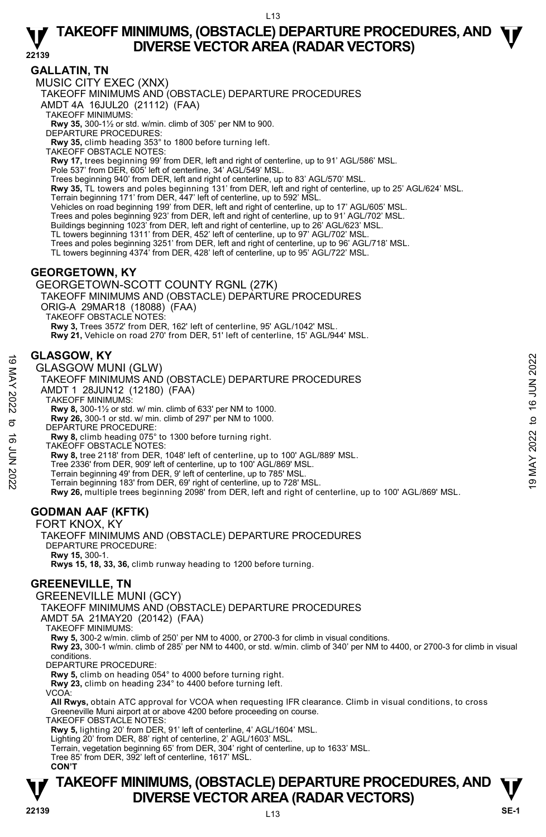## **GALLATIN, TN**

MUSIC CITY EXEC (XNX)

TAKEOFF MINIMUMS AND (OBSTACLE) DEPARTURE PROCEDURES

AMDT 4A 16JUL20 (21112) (FAA)

TAKEOFF MINIMUMS:

**Rwy 35,** 300-1½ or std. w/min. climb of 305' per NM to 900.

DEPARTURE PROCEDURES:

**Rwy 35,** climb heading 353° to 1800 before turning left. TAKEOFF OBSTACLE NOTES:

**Rwy 17,** trees beginning 99' from DER, left and right of centerline, up to 91' AGL/586' MSL.

Pole 537' from DER, 605' left of centerline, 34' AGL/549' MSL.

Trees beginning 940' from DER, left and right of centerline, up to 83' AGL/570' MSL.

**Rwy 35,** TL towers and poles beginning 131' from DER, left and right of centerline, up to 25' AGL/624' MSL.

Terrain beginning 171' from DER, 447' left of centerline, up to 592' MSL.

Vehicles on road beginning 199' from DER, left and right of centerline, up to 17' AGL/605' MSL. Trees and poles beginning 923' from DER, left and right of centerline, up to 91' AGL/702' MSL.

Buildings beginning 1023' from DER, left and right of centerline, up to 26' AGL/623' MSL.

TL towers beginning 1311' from DER, 452' left of centerline, up to 97' AGL/702' MSL.<br>Trees and poles beginning 3251' from DER, left and right of centerline, up to 96' AGL/718' MSL.

TL towers beginning 4374' from DER, 428' left of centerline, up to 95' AGL/722' MSL.

# **GEORGETOWN, KY**

GEORGETOWN-SCOTT COUNTY RGNL (27K)

TAKEOFF MINIMUMS AND (OBSTACLE) DEPARTURE PROCEDURES

ORIG-A 29MAR18 (18088) (FAA)

TAKEOFF OBSTACLE NOTES:

**Rwy 3,** Trees 3572' from DER, 162' left of centerline, 95' AGL/1042' MSL.

**Rwy 21,** Vehicle on road 270' from DER, 51' left of centerline, 15' AGL/944' MSL.

## **GLASGOW, KY**

GLASGOW MUNI (GLW)

TAKEOFF MINIMUMS AND (OBSTACLE) DEPARTURE PROCEDURES **GLASGOW, AY**<br>
GLASGOW MUNI (GLW)<br>
TAKEOFF MINIMUMS AND (OBSTACLE) DEPARTURE PROCEDURES<br>
AMDT 1 28JUN12 (12180) (FAA)<br>
TAKEOFF MINIMUMS:<br>
RW 8, 300-1 or std. w/ min. climb of 633' per NM to 1000.<br> **EVALUATE PROCEDURE:**<br>

AMDT 1 28JUN12 (12180) (FAA)

TAKEOFF MINIMUMS:

**Rwy 8,** 300-1½ or std. w/ min. climb of 633' per NM to 1000.

**Rwy 26,** 300-1 or std. w/ min. climb of 297' per NM to 1000.

DEPARTURE PROCEDURE:

**Rwy 8,** climb heading 075° to 1300 before turning right.

TAKEOFF OBSTACLE NOTES:

**Rwy 8,** tree 2118' from DER, 1048' left of centerline, up to 100' AGL/889' MSL.

Tree 2336' from DER, 909' left of centerline, up to 100' AGL/869' MSL.

Terrain beginning 49' from DER, 9' left of centerline, up to 785' MSL.

Terrain beginning 183' from DER, 69' right of centerline, up to 728' MSL.

**Rwy 26,** multiple trees beginning 2098' from DER, left and right of centerline, up to 100' AGL/869' MSL.

# **GODMAN AAF (KFTK)**

FORT KNOX, KY TAKEOFF MINIMUMS AND (OBSTACLE) DEPARTURE PROCEDURES DEPARTURE PROCEDURE: **Rwy 15,** 300-1. **Rwys 15, 18, 33, 36,** climb runway heading to 1200 before turning.

## **GREENEVILLE, TN**

GREENEVILLE MUNI (GCY)

TAKEOFF MINIMUMS AND (OBSTACLE) DEPARTURE PROCEDURES

AMDT 5A 21MAY20 (20142) (FAA)

TAKEOFF MINIMUMS:

**Rwy 5,** 300-2 w/min. climb of 250' per NM to 4000, or 2700-3 for climb in visual conditions.

**Rwy 23,** 300-1 w/min. climb of 285' per NM to 4400, or std. w/min. climb of 340' per NM to 4400, or 2700-3 for climb in visual conditions.

DEPARTURE PROCEDURE:

**Rwy 5,** climb on heading 054° to 4000 before turning right.

**Rwy 23,** climb on heading 234° to 4400 before turning left.

VCOA:

**All Rwys,** obtain ATC approval for VCOA when requesting IFR clearance. Climb in visual conditions, to cross Greeneville Muni airport at or above 4200 before proceeding on course.

TAKEOFF OBSTACLE NOTES:

**Rwy 5,** lighting 20' from DER, 91' left of centerline, 4' AGL/1604' MSL. Lighting 20' from DER, 88' right of centerline, 2' AGL/1603' MSL.

Terrain, vegetation beginning 65' from DER, 304' right of centerline, up to 1633' MSL.

Tree 85' from DER, 392' left of centerline, 1617' MSL.

**CON'T**

# **T T TAKEOFF MINIMUMS, (OBSTACLE) DEPARTURE PROCEDURES, AND DIVERSE VECTOR AREA (RADAR VECTORS) We consider the SE-1**  $\frac{1}{22139}$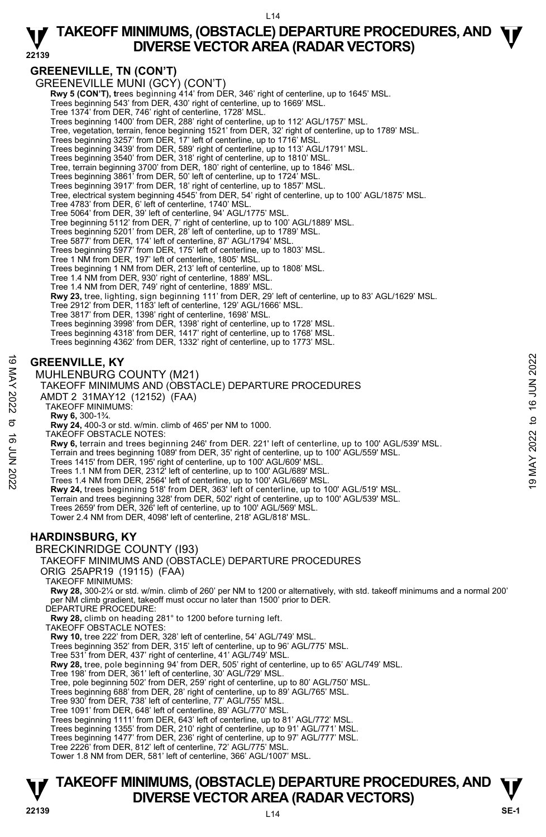# **GREENEVILLE, TN (CON'T)**

GREENEVILLE MUNI (GCY) (CON'T)

**Rwy 5 (CON'T), trees beginning 414' from DER, 346' right of centerline, up to 1645' MSL.** Trees beginning 543' from DER, 430' right of centerline, up to 1669' MSL.

Tree 1374' from DER, 746' right of centerline, 1728' MSL.

Trees beginning 1400' from DER, 288' right of centerline, up to 112' AGL/1757' MSL.

Tree, vegetation, terrain, fence beginning 1521' from DER, 32' right of centerline, up to 1789' MSL.

Trees beginning 3257' from DER, 17' left of centerline, up to 1716' MSL.<br>Trees beginning 3439' from DER, 589' right of centerline, up to 113' AGL/1791' MSL.<br>Trees beginning 3540' from DER, 318' right of centerline, up to 1

Trees beginning 3917' from DER, 18' right of centerline, up to 1857' MSL.<br>Tree, electrical system beginning 4545' from DER, 54' right of centerline, up to 100' AGL/1875' MSL.

Tree 4783' from DER, 6' left of centerline, 1740' MSL.

Tree 5064' from DER, 39' left of centerline, 94' AGL/1775' MSL.

Tree beginning 5112' from DER, 7' right of centerline, up to 100' AGL/1889' MSL. Trees beginning 5201' from DER, 28' left of centerline, up to 1789' MSL.

Tree 5877' from DER, 174' left of centerline, 87' AGL/1794' MSL.

Trees beginning 5977' from DER, 175' left of centerline, up to 1803' MSL. Tree 1 NM from DER, 197' left of centerline, 1805' MSL.

Trees beginning 1 NM from DER, 213' left of centerline, up to 1808' MSL.

Tree 1.4 NM from DER, 930' right of centerline, 1889' MSL. Tree 1.4 NM from DER, 749' right of centerline, 1889' MSL.

**Rwy 23,** tree, lighting, sign beginning 111' from DER, 29' left of centerline, up to 83' AGL/1629' MSL.

Tree 2912' from DER, 1183' left of centerline, 129' AGL/1666' MSL.

Tree 3817' from DER, 1398' right of centerline, 1698' MSL. Trees beginning 3998' from DER, 1398' right of centerline, up to 1728' MSL.

Trees beginning 4318' from DER, 1417' right of centerline, up to 1768' MSL.

Trees beginning 4362' from DER, 1332' right of centerline, up to 1773' MSL.

## **GREENVILLE, KY**

MUHLENBURG COUNTY (M21)

TAKEOFF MINIMUMS AND (OBSTACLE) DEPARTURE PROCEDURES

AMDT 2 31MAY12 (12152) (FAA)

TAKEOFF MINIMUMS:

**Rwy 6,** 300-1¾.

**Rwy 24,** 400-3 or std. w/min. climb of 465' per NM to 1000.

TAKEOFF OBSTACLE NOTES:

**Rwy 6,** terrain and trees beginning 246' from DER. 221' left of centerline, up to 100' AGL/539' MSL. **GREENVILLE, KY**<br>
MUHLENBURG COUNTY (M21)<br>
TAKEOFF MINIMUMS AND (OBSTACLE) DEPARTURE PROCEDURES<br>
TAKEOFF MINIMUMS AND (OBSTACLE) DEPARTURE PROCEDURES<br>
MUDT 2 31MAY12 (12152) (FAA)<br>
TAKEOFF MINIMUMS:<br>
TAKEOFF MINIMUMS:<br>
T

Terrain and trees beginning 1089' from DER, 35' right of centerline, up to 100' AGL/559' MSL. Trees 1415' from DER, 195' right of centerline, up to 100' AGL/609' MSL.

Trees 1.1 NM from DER, 2312' left of centerline, up to 100' AGL/689' MSL. Trees 1.4 NM from DER, 2564' left of centerline, up to 100' AGL/669' MSL.

**Rwy 24,** trees beginning 518' from DER, 363' left of centerline, up to 100' AGL/519' MSL.

Terrain and trees beginning 328' from DER, 502' right of centerline, up to 100' AGL/539' MSL. Trees 2659' from DER, 326' left of centerline, up to 100' AGL/569' MSL.

Tower 2.4 NM from DER, 4098' left of centerline, 218' AGL/818' MSL.

# **HARDINSBURG, KY**

BRECKINRIDGE COUNTY (I93)

#### TAKEOFF MINIMUMS AND (OBSTACLE) DEPARTURE PROCEDURES

ORIG 25APR19 (19115) (FAA)

TAKEOFF MINIMUMS:

**Rwy 28,** 300-2¼ or std. w/min. climb of 260' per NM to 1200 or alternatively, with std. takeoff minimums and a normal 200' per NM climb gradient, takeoff must occur no later than 1500' prior to DER.

DEPARTURE PROCEDURE:

**Rwy 28,** climb on heading 281° to 1200 before turning left.

TAKEOFF OBSTACLE NOTES:

**Rwy 10,** tree 222' from DER, 328' left of centerline, 54' AGL/749' MSL.

Trees beginning 352' from DER, 315' left of centerline, up to 96' AGL/775' MSL.

Tree 531' from DER, 437' right of centerline, 41' AGL/749' MSL.

**Rwy 28,** tree, pole beginning 94' from DER, 505' right of centerline, up to 65' AGL/749' MSL.<br>Tree 198' from DER, 361' left of centerline, 30' AGL/729' MSL.

Tree, pole beginning 502' from DER, 259' right of centerline, up to 80' AGL/750' MSL.

Trees beginning 688' from DER, 28' right of centerline, up to 89' AGL/765' MSL. Tree 930' from DER, 738' left of centerline, 77' AGL/755' MSL.

Tree 1091' from DER, 648' left of centerline, 89' AGL/770' MSL.

Trees beginning 1111' from DER, 643' left of centerline, up to 81' AGL/772' MSL. Trees beginning 1355' from DER, 210' right of centerline, up to 91' AGL/771' MSL.

Trees beginning 1477' from DER, 236' right of centerline, up to 97' AGL/777' MSL.

Tree 2226' from DER, 812' left of centerline, 72' AGL/775' MSL.

Tower 1.8 NM from DER, 581' left of centerline, 366' AGL/1007' MSL.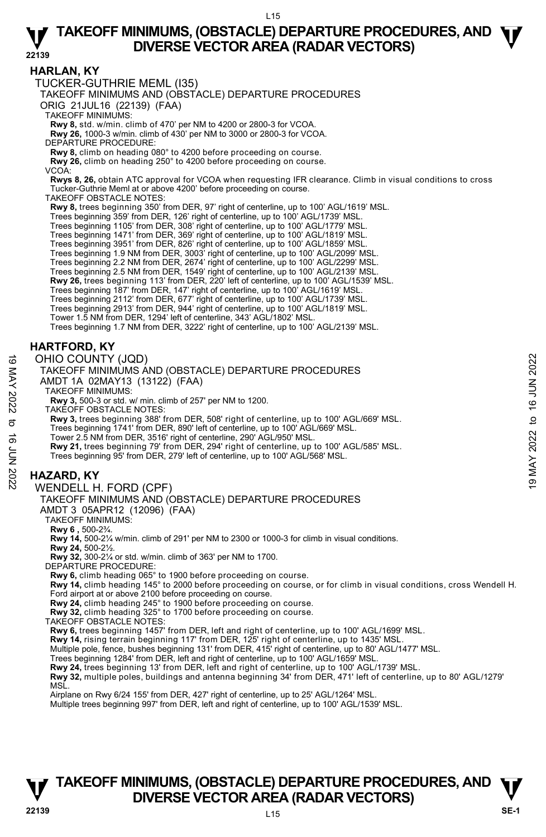## **HARLAN, KY**

TUCKER-GUTHRIE MEML (I35) TAKEOFF MINIMUMS AND (OBSTACLE) DEPARTURE PROCEDURES ORIG 21JUL16 (22139) (FAA) TAKEOFF MINIMUMS: **Rwy 8,** std. w/min. climb of 470' per NM to 4200 or 2800-3 for VCOA. **Rwy 26,** 1000-3 w/min. climb of 430' per NM to 3000 or 2800-3 for VCOA. DEPARTURE PROCEDURE: **Rwy 8,** climb on heading 080° to 4200 before proceeding on course. **Rwy 26,** climb on heading 250° to 4200 before proceeding on course. VCOA: **Rwys 8, 26,** obtain ATC approval for VCOA when requesting IFR clearance. Climb in visual conditions to cross Tucker-Guthrie Meml at or above 4200' before proceeding on course. TAKEOFF OBSTACLE NOTES: **Rwy 8,** trees beginning 350' from DER, 97' right of centerline, up to 100' AGL/1619' MSL. Trees beginning 359' from DER, 126' right of centerline, up to 100' AGL/1739' MSL. Trees beginning 1105' from DER, 308' right of centerline, up to 100' AGL/1779' MSL. Trees beginning 1471' from DER, 369' right of centerline, up to 100' AGL/1819' MSL. Trees beginning 3951' from DER, 826' right of centerline, up to 100' AGL/1859' MSL. Trees beginning 1.9 NM from DER, 3003' right of centerline, up to 100' AGL/2099' MSL.<br>Trees beginning 2.2 NM from DER, 2674' right of centerline, up to 100' AGL/2299' MSL.<br>Trees beginning 2.5 NM from DER, 1549' right of ce **Rwy 26,** trees beginning 113' from DER, 220' left of centerline, up to 100' AGL/1539' MSL. Trees beginning 187' from DER, 147' right of centerline, up to 100' AGL/1619' MSL. Trees beginning 2112' from DER, 677' right of centerline, up to 100' AGL/1739' MSL. Trees beginning 2913' from DER, 944' right of centerline, up to 100' AGL/1819' MSL. Tower 1.5 NM from DER, 1294' left of centerline, 343' AGL/1802' MSL. Trees beginning 1.7 NM from DER, 3222' right of centerline, up to 100' AGL/2139' MSL. **HARTFORD, KY**  OHIO COUNTY (JQD) TAKEOFF MINIMUMS AND (OBSTACLE) DEPARTURE PROCEDURES AMDT 1A 02MAY13 (13122) (FAA) TAKEOFF MINIMUMS: **Rwy 3,** 500-3 or std. w/ min. climb of 257' per NM to 1200. TAKEOFF OBSTACLE NOTES: **Rwy 3,** trees beginning 388' from DER, 508' right of centerline, up to 100' AGL/669' MSL. Trees beginning 1741' from DER, 890' left of centerline, up to 100' AGL/669' MSL. Tower 2.5 NM from DER, 3516' right of centerline, 290' AGL/950' MSL. **Rwy 21,** trees beginning 79' from DER, 294' right of centerline, up to 100' AGL/585' MSL. Trees beginning 95' from DER, 279' left of centerline, up to 100' AGL/568' MSL. **HAZARD, KY**  WENDELL H. FORD (CPF) TAKEOFF MINIMUMS AND (OBSTACLE) DEPARTURE PROCEDURES AMDT 3 05APR12 (12096) (FAA) TAKEOFF MINIMUMS: **Rwy 6 ,** 500-2¾. **Rwy 14,** 500-2¼ w/min. climb of 291' per NM to 2300 or 1000-3 for climb in visual conditions. **Rwy 24,** 500-2½. **Rwy 32,** 300-2¼ or std. w/min. climb of 363' per NM to 1700. DEPARTURE PROCEDURE: **Rwy 6,** climb heading 065° to 1900 before proceeding on course. **Rwy 14,** climb heading 145° to 2000 before proceeding on course, or for climb in visual conditions, cross Wendell H. Ford airport at or above 2100 before proceeding on course. **Rwy 24,** climb heading 245° to 1900 before proceeding on course. **Rwy 32,** climb heading 325° to 1700 before proceeding on course. OHIO COUNTY (JQD)<br>
TAKEOFF MINIMUMS AND (OBSTACLE) DEPARTURE PROCEDURES<br>
AMDT 1A 02MAY 13 (13122) (FAA)<br>
TAKEOFF MINIMUMS:<br>
TAKEOFF MINIMUMS:<br>
TAKEOFF MINIMUMS:<br>
TAKEOFF MINIMUMS:<br>
TAKEOFF MINIMUMS:<br>
TAKEOFF MINIMUMS:<br>

TAKEOFF OBSTACLE NOTES:

**Rwy 6,** trees beginning 1457' from DER, left and right of centerline, up to 100' AGL/1699' MSL. **Rwy 14,** rising terrain beginning 117' from DER, 125' right of centerline, up to 1435' MSL.

Multiple pole, fence, bushes beginning 131' from DER, 415' right of centerline, up to 80' AGL/1477' MSL.

Trees beginning 1284' from DER, left and right of centerline, up to 100' AGL/1659' MSL.<br>**Rwy 24,** trees beginning 13' from DER, left and right of centerline, up to 100' AGL/1739' MSL.

**Rwy 32,** multiple poles, buildings and antenna beginning 34' from DER, 471' left of centerline, up to 80' AGL/1279' **MS** 

Airplane on Rwy 6/24 155' from DER, 427' right of centerline, up to 25' AGL/1264' MSL.

Multiple trees beginning 997' from DER, left and right of centerline, up to 100' AGL/1539' MSL.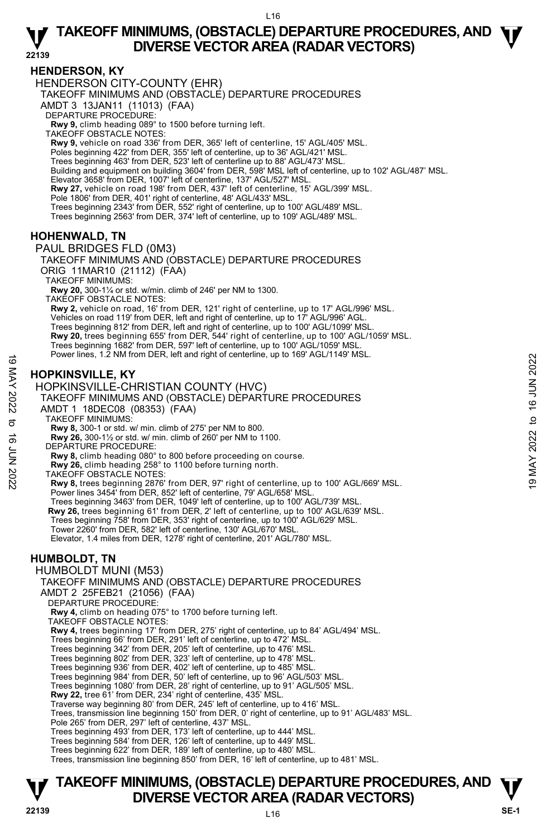## **HENDERSON, KY**

HENDERSON CITY-COUNTY (EHR)

TAKEOFF MINIMUMS AND (OBSTACLE) DEPARTURE PROCEDURES

AMDT 3 13JAN11 (11013) (FAA)

DEPARTURE PROCEDURE:

**Rwy 9,** climb heading 089° to 1500 before turning left. TAKEOFF OBSTACLE NOTES:

**Rwy 9,** vehicle on road 336' from DER, 365' left of centerline, 15' AGL/405' MSL.

Poles beginning 422' from DER, 355' left of centerline, up to 36' AGL/421' MSL.

Trees beginning 463' from DER, 523' left of centerline up to 88' AGL/473' MSL. Building and equipment on building 3604' from DER, 598' MSL left of centerline, up to 102' AGL/487' MSL.

Elevator 3658' from DER, 1007' left of centerline, 137' AGL/527' MSL.

**Rwy 27,** vehicle on road 198' from DER, 437' left of centerline, 15' AGL/399' MSL.

Pole 1806' from DER, 401' right of centerline, 48' AGL/433' MSL.

Trees beginning 2343' from DER, 552' right of centerline, up to 100' AGL/489' MSL.

Trees beginning 2563' from DER, 374' left of centerline, up to 109' AGL/489' MSL.

# **HOHENWALD, TN**

PAUL BRIDGES FLD (0M3)

TAKEOFF MINIMUMS AND (OBSTACLE) DEPARTURE PROCEDURES ORIG 11MAR10 (21112) (FAA)

TAKEOFF MINIMUMS:

**Rwy 20,** 300-1¼ or std. w/min. climb of 246' per NM to 1300.

TAKEOFF OBSTACLE NOTES:

**Rwy 2,** vehicle on road, 16' from DER, 121' right of centerline, up to 17' AGL/996' MSL. Vehicles on road 119' from DER, left and right of centerline, up to 17' AGL/996' AGL. Trees beginning 812' from DER, left and right of centerline, up to 100' AGL/1099' MSL. **Rwy 20,** trees beginning 655' from DER, 544' right of centerline, up to 100' AGL/1059' MSL. Trees beginning 1682' from DER, 597' left of centerline, up to 100' AGL/1059' MSL. Power lines, 1.2 NM from DER, left and right of centerline, up to 169' AGL/1149' MSL.

# **HOPKINSVILLE, KY**

HOPKINSVILLE-CHRISTIAN COUNTY (HVC)

# TAKEOFF MINIMUMS AND (OBSTACLE) DEPARTURE PROCEDURES Fower lines, 1.2 NM from DER, felt and right of centerline, up to 169 AGL/1149 MSL.<br>  $\frac{19}{25}$ <br>  $\frac{19}{25}$ <br>  $\frac{19}{25}$ <br>  $\frac{19}{25}$ <br>  $\frac{19}{25}$ <br>  $\frac{19}{25}$ <br>  $\frac{19}{25}$ <br>  $\frac{19}{25}$ <br>  $\frac{19}{25}$ <br>  $\frac{19}{25}$ <br>  $\frac{19$

AMDT 1 18DEC08 (08353) (FAA)

TAKEOFF MINIMUMS:

**Rwy 8,** 300-1 or std. w/ min. climb of 275' per NM to 800.

**Rwy 26,** 300-1½ or std. w/ min. climb of 260' per NM to 1100. DEPARTURE PROCEDURE:

**Rwy 8,** climb heading 080° to 800 before proceeding on course.

**Rwy 26,** climb heading 258° to 1100 before turning north.

TAKEOFF OBSTACLE NOTES:

**Rwy 8,** trees beginning 2876' from DER, 97' right of centerline, up to 100' AGL/669' MSL. Power lines 3454' from DER, 852' left of centerline, 79' AGL/658' MSL.

Trees beginning 3463' from DER, 1049' left of centerline, up to 100' AGL/739' MSL.  **Rwy 26,** trees beginning 61' from DER, 2' left of centerline, up to 100' AGL/639' MSL.

- Trees beginning 758' from DER, 353' right of centerline, up to 100' AGL/629' MSL.
- Tower 2260' from DER, 582' left of centerline, 130' AGL/670' MSL.

Elevator, 1.4 miles from DER, 1278' right of centerline, 201' AGL/780' MSL.

# **HUMBOLDT, TN**

HUMBOLDT MUNI (M53) TAKEOFF MINIMUMS AND (OBSTACLE) DEPARTURE PROCEDURES

AMDT 2 25FEB21 (21056) (FAA)

DEPARTURE PROCEDURE:

 **Rwy 4,** climb on heading 075° to 1700 before turning left.

TAKEOFF OBSTACLE NOTES:

**Rwy 4,** trees beginning 17' from DER, 275' right of centerline, up to 84' AGL/494' MSL. Trees beginning 66' from DER, 291' left of centerline, up to 472' MSL.

Trees beginning 342' from DER, 205' left of centerline, up to 476' MSL.

Trees beginning 802' from DER, 323' left of centerline, up to 478' MSL. Trees beginning 936' from DER, 402' left of centerline, up to 485' MSL.

Trees beginning 984' from DER, 50' left of centerline, up to 96' AGL/503' MSL.

Trees beginning 1080' from DER, 28' right of centerline, up to 91' AGL/505' MSL. **Rwy 22,** tree 61' from DER, 234' right of centerline, 435' MSL.

Traverse way beginning 80' from DER, 245' left of centerline, up to 416' MSL.

Trees, transmission line beginning 150' from DER, 0' right of centerline, up to 91' AGL/483' MSL.

Pole 265' from DER, 297' left of centerline, 437' MSL.

Trees beginning 493' from DER, 173' left of centerline, up to 444' MSL. Trees beginning 584' from DER, 126' left of centerline, up to 449' MSL.

Trees beginning 622' from DER, 189' left of centerline, up to 480' MSL.

Trees, transmission line beginning 850' from DER, 16' left of centerline, up to 481' MSL.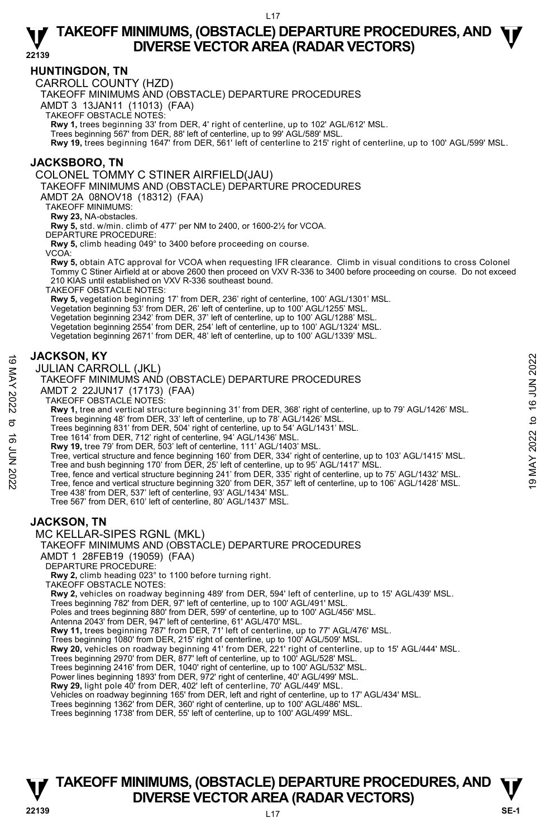## **HUNTINGDON, TN**

CARROLL COUNTY (HZD)

TAKEOFF MINIMUMS AND (OBSTACLE) DEPARTURE PROCEDURES

AMDT 3 13JAN11 (11013) (FAA)

TAKEOFF OBSTACLE NOTES:

**Rwy 1,** trees beginning 33' from DER, 4' right of centerline, up to 102' AGL/612' MSL.<br>Trees beginning 567' from DER, 88' left of centerline, up to 99' AGL/589' MSL.

**Rwy 19,** trees beginning 1647' from DER, 561' left of centerline to 215' right of centerline, up to 100' AGL/599' MSL.

## **JACKSBORO, TN**

COLONEL TOMMY C STINER AIRFIELD(JAU)

TAKEOFF MINIMUMS AND (OBSTACLE) DEPARTURE PROCEDURES

AMDT 2A 08NOV18 (18312) (FAA)

TAKEOFF MINIMUMS:

**Rwy 23,** NA-obstacles.

**Rwy 5,** std. w/min. climb of 477' per NM to 2400, or 1600-2½ for VCOA.

DEPARTURE PROCEDURE:

**Rwy 5,** climb heading 049° to 3400 before proceeding on course.

VCOA:

**Rwy 5,** obtain ATC approval for VCOA when requesting IFR clearance. Climb in visual conditions to cross Colonel Tommy C Stiner Airfield at or above 2600 then proceed on VXV R-336 to 3400 before proceeding on course. Do not exceed 210 KIAS until established on VXV R-336 southeast bound.

TAKEOFF OBSTACLE NOTES:

**Rwy 5,** vegetation beginning 17' from DER, 236' right of centerline, 100' AGL/1301' MSL.

Vegetation beginning 53' from DER, 26' left of centerline, up to 100' AGL/1255' MSL.

Vegetation beginning 2342' from DER, 37' left of centerline, up to 100' AGL/1288' MSL. Vegetation beginning 2554' from DER, 254' left of centerline, up to 100' AGL/1324' MSL.

Vegetation beginning 2671' from DER, 48' left of centerline, up to 100' AGL/1339' MSL.

## **JACKSON, KY**

JULIAN CARROLL (JKL)

#### TAKEOFF MINIMUMS AND (OBSTACLE) DEPARTURE PROCEDURES

AMDT 2 22JUN17 (17173) (FAA)

TAKEOFF OBSTACLE NOTES:

**Rwy 1,** tree and vertical structure beginning 31' from DER, 368' right of centerline, up to 79' AGL/1426' MSL.

Trees beginning 48' from DER, 33' left of centerline, up to 78' AGL/1426' MSL.

Trees beginning 831' from DER, 504' right of centerline, up to 54' AGL/1431' MSL.

Tree 1614' from DER, 712' right of centerline, 94' AGL/1436' MSL. **Rwy 19,** tree 79' from DER, 503' left of centerline, 111' AGL/1403' MSL.

- Tree, vertical structure and fence beginning 160' from DER, 334' right of centerline, up to 103' AGL/1415' MSL. Tree and bush beginning 170' from DER, 25' left of centerline, up to 95' AGL/1417' MSL. JACKSON, KY<br>
JULIAN CARROLL (JKL)<br>
TAKEOFF MINIMUMS AND (OBSTACLE) DEPARTURE PROCEDURES<br>
TAKEOFF MINIMUMS AND (OBSTACLE) DEPARTURE PROCEDURES<br>
AMDT 2 22JUN17 (17173) (FAA)<br>
TAKEOFF OBSTACLE NOTES:<br>
Revy 1, tree and verti
	-
	-
	-
	- Tree 438' from DER, 537' left of centerline, 93' AGL/1434' MSL.

Tree 567' from DER, 610' left of centerline, 80' AGL/1437' MSL.

# **JACKSON, TN**

MC KELLAR-SIPES RGNL (MKL)



AMDT 1 28FEB19 (19059) (FAA)

DEPARTURE PROCEDURE:

**Rwy 2,** climb heading 023° to 1100 before turning right.

TAKEOFF OBSTACLE NOTES:

**Rwy 2,** vehicles on roadway beginning 489' from DER, 594' left of centerline, up to 15' AGL/439' MSL.<br>Trees beginning 782' from DER, 97' left of centerline, up to 100' AGL/491' MSL.

Poles and trees beginning 880' from DER, 599' of centerline, up to 100' AGL/456' MSL.

Antenna 2043' from DER, 947' left of centerline, 61' AGL/470' MSL.

**Rwy 11,** trees beginning 787' from DER, 71' left of centerline, up to 77' AGL/476' MSL.<br>Trees beginning 1080' from DER, 215' right of centerline, up to 100' AGL/509' MSL.

**Rwy 20,** vehicles on roadway beginning 41' from DER, 221' right of centerline, up to 15' AGL/444' MSL.

Trees beginning 2970' from DER, 877' left of centerline, up to 100' AGL/528' MSL. Trees beginning 2416' from DER, 1040' right of centerline, up to 100' AGL/532' MSL.

Power lines beginning 1893' from DER, 972' right of centerline, 40' AGL/499' MSL.<br>**Rwy 29,** light pole 40' from DER, 402' left of centerline, 70' AGL/449' MSL.

Vehicles on roadway beginning 165' from DER, left and right of centerline, up to 17' AGL/434' MSL.

Trees beginning 1362' from DER, 360' right of centerline, up to 100' AGL/486' MSL.

Trees beginning 1738' from DER, 55' left of centerline, up to 100' AGL/499' MSL.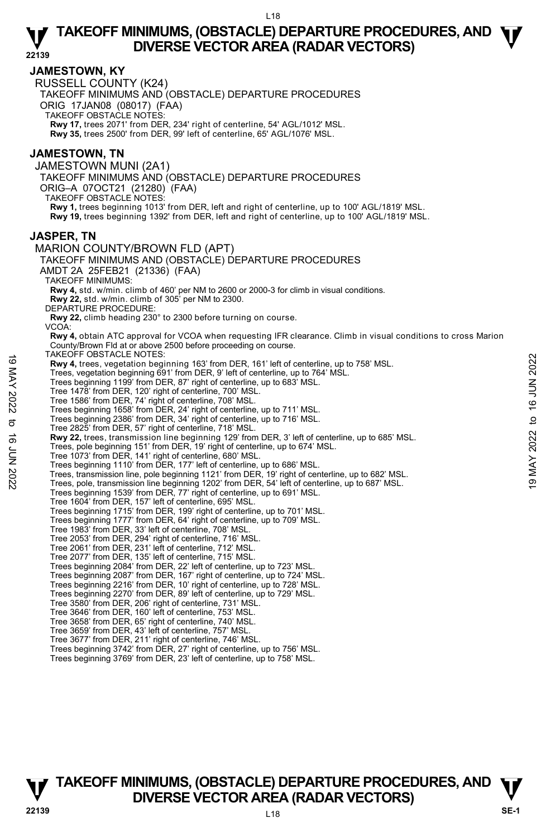## **JAMESTOWN, KY**

RUSSELL COUNTY (K24)

TAKEOFF MINIMUMS AND (OBSTACLE) DEPARTURE PROCEDURES

ORIG 17JAN08 (08017) (FAA)

TAKEOFF OBSTACLE NOTES:

**Rwy 17,** trees 2071' from DER, 234' right of centerline, 54' AGL/1012' MSL. **Rwy 35,** trees 2500' from DER, 99' left of centerline, 65' AGL/1076' MSL.

## **JAMESTOWN, TN**

JAMESTOWN MUNI (2A1) TAKEOFF MINIMUMS AND (OBSTACLE) DEPARTURE PROCEDURES ORIG–A 07OCT21 (21280) (FAA) TAKEOFF OBSTACLE NOTES: **Rwy 1,** trees beginning 1013' from DER, left and right of centerline, up to 100' AGL/1819' MSL. **Rwy 19,** trees beginning 1392' from DER, left and right of centerline, up to 100' AGL/1819' MSL.

## **JASPER, TN**

MARION COUNTY/BROWN FLD (APT) TAKEOFF MINIMUMS AND (OBSTACLE) DEPARTURE PROCEDURES AMDT 2A 25FEB21 (21336) (FAA) TAKEOFF MINIMUMS: **Rwy 4,** std. w/min. climb of 460' per NM to 2600 or 2000-3 for climb in visual conditions. **Rwy 22,** std. w/min. climb of 305' per NM to 2300. DEPARTURE PROCEDURE: **Rwy 22,** climb heading 230° to 2300 before turning on course. VCOA:  **Rwy 4,** obtain ATC approval for VCOA when requesting IFR clearance. Climb in visual conditions to cross Marion County/Brown Fld at or above 2500 before proceeding on course. TAKEOFF OBSTACLE NOTES: **Rwy 4,** trees, vegetation beginning 163' from DER, 161' left of centerline, up to 758' MSL. Trees, vegetation beginning 691' from DER, 9' left of centerline, up to 764' MSL. Trees beginning 1199' from DER, 87' right of centerline, up to 683' MSL. Tree 1478' from DER, 120' right of centerline, 700' MSL. Tree 1586' from DER, 74' right of centerline, 708' MSL. Trees beginning 1658' from DER, 24' right of centerline, up to 711' MSL. Trees beginning 2386' from DER, 34' right of centerline, up to 716' MSL. Tree 2825' from DER, 57' right of centerline, 718' MSL. **Rwy 22,** trees, transmission line beginning 129' from DER, 3' left of centerline, up to 685' MSL.<br>Trees, pole beginning 151' from DER, 19' right of centerline, up to 674' MSL. Tree 1073' from DER, 141' right of centerline, 680' MSL. Trees beginning 1110' from DER, 177' left of centerline, up to 686' MSL. The Survey of Distribution of the Survey of States (161' left of centerline, up to 758' MSL.<br>
Trees, vegetation beginning 163' from DER, 9' left of centerline, up to 764' MSL.<br>
Trees beginning 1199' from DER, 7 right of c Trees beginning 1539' from DER, 77' right of centerline, up to 691' MSL. Tree 1604' from DER, 157' left of centerline, 695' MSL. Trees beginning 1715' from DER, 199' right of centerline, up to 701' MSL. Trees beginning 1777' from DER, 64' right of centerline, up to 709' MSL. Tree 1983' from DER, 33' left of centerline, 708' MSL. Tree 2053' from DER, 294' right of centerline, 716' MSL. Tree 2061' from DER, 231' left of centerline, 712' MSL. Tree 2077' from DER, 135' left of centerline, 715' MSL. Trees beginning 2084' from DER, 22' left of centerline, up to 723' MSL. Trees beginning 2087' from DER, 167' right of centerline, up to 724' MSL. Trees beginning 2216' from DER, 10' right of centerline, up to 728' MSL. Trees beginning 2270' from DER, 89' left of centerline, up to 729' MSL. Tree 3580' from DER, 206' right of centerline, 731' MSL. Tree 3646' from DER, 160' left of centerline, 753' MSL. Tree 3658' from DER, 65' right of centerline, 740' MSL. Tree 3659' from DER, 43' left of centerline, 757' MSL. Tree 3677' from DER, 211' right of centerline, 746' MSL. Trees beginning 3742' from DER, 27' right of centerline, up to 756' MSL. Trees beginning 3769' from DER, 23' left of centerline, up to 758' MSL.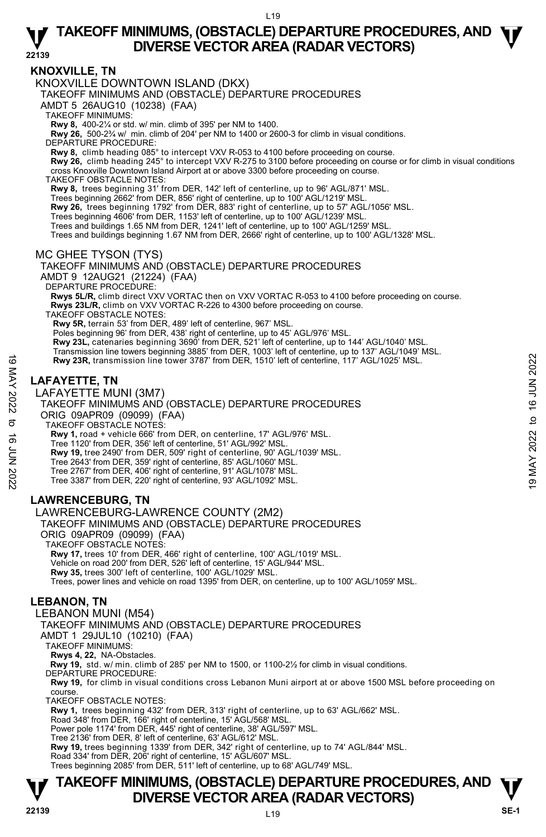**22139** 

## **KNOXVILLE, TN**

KNOXVILLE DOWNTOWN ISLAND (DKX)

TAKEOFF MINIMUMS AND (OBSTACLE) DEPARTURE PROCEDURES

AMDT 5 26AUG10 (10238) (FAA)

TAKEOFF MINIMUMS:

**Rwy 8,** 400-2¼ or std. w/ min. climb of 395' per NM to 1400.

**Rwy 26,** 500-2¾ w/ min. climb of 204' per NM to 1400 or 2600-3 for climb in visual conditions.

DEPARTURE PROCEDURE:

**Rwy 8,** climb heading 085° to intercept VXV R-053 to 4100 before proceeding on course.

**Rwy 26,** climb heading 245° to intercept VXV R-275 to 3100 before proceeding on course or for climb in visual conditions cross Knoxville Downtown Island Airport at or above 3300 before proceeding on course.

TAKEOFF OBSTACLE NOTES:

**Rwy 8,** trees beginning 31' from DER, 142' left of centerline, up to 96' AGL/871' MSL. Trees beginning 2662' from DER, 856' right of centerline, up to 100' AGL/1219' MSL.

**Rwy 26,** trees beginning 1792' from DER, 883' right of centerline, up to 57' AGL/1056' MSL.

Trees beginning 4606' from DER, 1153' left of centerline, up to 100' AGL/1239' MSL.

Trees and buildings 1.65 NM from DER, 1241' left of centerline, up to 100' AGL/1259' MSL.

Trees and buildings beginning 1.67 NM from DER, 2666' right of centerline, up to 100' AGL/1328' MSL.

MC GHEE TYSON (TYS)

TAKEOFF MINIMUMS AND (OBSTACLE) DEPARTURE PROCEDURES AMDT 9 12AUG21 (21224) (FAA) DEPARTURE PROCEDURE: **Rwys 5L/R,** climb direct VXV VORTAC then on VXV VORTAC R-053 to 4100 before proceeding on course.  **Rwys 23L/R,** climb on VXV VORTAC R-226 to 4300 before proceeding on course. TAKEOFF OBSTACLE NOTES: **Rwy 5R,** terrain 53' from DER, 489' left of centerline, 967' MSL. Poles beginning 96' from DER, 438' right of centerline, up to 45' AGL/976' MSL. **Rwy 23L,** catenaries beginning 3690' from DER, 521' left of centerline, up to 144' AGL/1040' MSL.

Transmission line towers beginning 3885' from DER, 1003' left of centerline, up to 137' AGL/1049' MSL.

 **Rwy 23R,** transmission line tower 3787' from DER, 1510' left of centerline, 117' AGL/1025' MSL.

# **LAFAYETTE, TN**

LAFAYETTE MUNI (3M7)



TAKEOFF OBSTACLE NOTES:

**Rwy 1,** road + vehicle 666' from DER, on centerline, 17' AGL/976' MSL.

Tree 1120' from DER, 356' left of centerline, 51' AGL/992' MSL.

**Rwy 19,** tree 2490' from DER, 509' right of centerline, 90' AGL/1039' MSL.

Tree 2643' from DER, 359' right of centerline, 85' AGL/1060' MSL.

Tree 2767' from DER, 406' right of centerline, 91' AGL/1078' MSL. Tree 3387' from DER, 220' right of centerline, 93' AGL/1092' MSL.

# **LAWRENCEBURG, TN**

LAWRENCEBURG-LAWRENCE COUNTY (2M2)

TAKEOFF MINIMUMS AND (OBSTACLE) DEPARTURE PROCEDURES

ORIG 09APR09 (09099) (FAA) TAKEOFF OBSTACLE NOTES:

**Rwy 17,** trees 10' from DER, 466' right of centerline, 100' AGL/1019' MSL.

Vehicle on road 200' from DER, 526' left of centerline, 15' AGL/944' MSL. **Rwy 35,** trees 300' left of centerline, 100' AGL/1029' MSL.

Trees, power lines and vehicle on road 1395' from DER, on centerline, up to 100' AGL/1059' MSL.

# **LEBANON, TN**

LEBANON MUNI (M54)

TAKEOFF MINIMUMS AND (OBSTACLE) DEPARTURE PROCEDURES

AMDT 1 29JUL10 (10210) (FAA)

TAKEOFF MINIMUMS:

**Rwys 4, 22,** NA-Obstacles.

**Rwy 19,** std. w/ min. climb of 285' per NM to 1500, or 1100-2½ for climb in visual conditions. DEPARTURE PROCEDURE:

**Rwy 19,** for climb in visual conditions cross Lebanon Muni airport at or above 1500 MSL before proceeding on course.

TAKEOFF OBSTACLE NOTES:

**Rwy 1,** trees beginning 432' from DER, 313' right of centerline, up to 63' AGL/662' MSL.

Road 348' from DER, 166' right of centerline, 15' AGL/568' MSL. Power pole 1174' from DER, 445' right of centerline, 38' AGL/597' MSL.

Tree 2136' from DER, 8' left of centerline, 63' AGL/612' MSL.

**Rwy 19,** trees beginning 1339' from DER, 342' right of centerline, up to 74' AGL/844' MSL.

Road 334' from DER, 206' right of centerline, 15' AGL/607' MSL.

Trees beginning 2085' from DER, 511' left of centerline, up to 68' AGL/749' MSL.

# **T T TAKEOFF MINIMUMS, (OBSTACLE) DEPARTURE PROCEDURES, AND DIVERSE VECTOR AREA (RADAR VECTORS) We consider the SE-1**  $\frac{1}{22139}$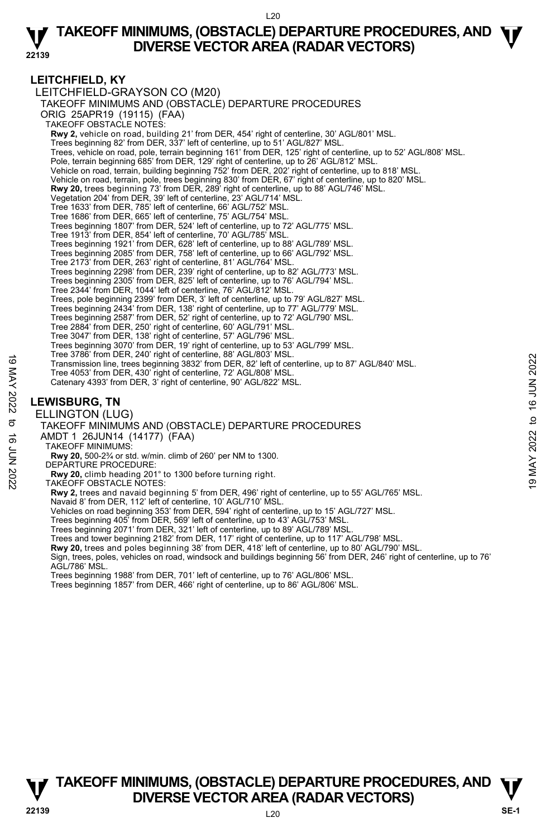## **LEITCHFIELD, KY**

LEITCHFIELD-GRAYSON CO (M20) TAKEOFF MINIMUMS AND (OBSTACLE) DEPARTURE PROCEDURES ORIG 25APR19 (19115) (FAA) TAKEOFF OBSTACLE NOTES: **Rwy 2,** vehicle on road, building 21' from DER, 454' right of centerline, 30' AGL/801' MSL. Trees beginning 82' from DER, 337' left of centerline, up to 51' AGL/827' MSL. Trees, vehicle on road, pole, terrain beginning 161' from DER, 125' right of centerline, up to 52' AGL/808' MSL. Pole, terrain beginning 685' from DER, 129' right of centerline, up to 26' AGL/812' MSL. Vehicle on road, terrain, building beginning 752' from DER, 202' right of centerline, up to 818' MSL. Vehicle on road, terrain, pole, trees beginning 830' from DER, 67' right of centerline, up to 820' MSL. **Rwy 20,** trees beginning 73' from DER, 289' right of centerline, up to 88' AGL/746' MSL.<br>Vegetation 204' from DER, 39' left of centerline, 23' AGL/714' MSL. Tree 1633' from DER, 785' left of centerline, 66' AGL/752' MSL. Tree 1686' from DER, 665' left of centerline, 75' AGL/754' MSL. Trees beginning 1807' from DER, 524' left of centerline, up to 72' AGL/775' MSL. Tree 1913' from DER, 854' left of centerline, 70' AGL/785' MSL. Trees beginning 1921' from DER, 628' left of centerline, up to 88' AGL/789' MSL. Trees beginning 2085' from DER, 758' left of centerline, up to 66' AGL/792' MSL. Tree 2173' from DER, 263' right of centerline, 81' AGL/764' MSL. Trees beginning 2298' from DER, 239' right of centerline, up to 82' AGL/773' MSL. Trees beginning 2305' from DER, 825' left of centerline, up to 76' AGL/794' MSL. Tree 2344' from DER, 1044' left of centerline, 76' AGL/812' MSL. Trees, pole beginning 2399' from DER, 3' left of centerline, up to 79' AGL/827' MSL. Trees beginning 2434' from DER, 138' right of centerline, up to 77' AGL/779' MSL. Trees beginning 2587' from DER, 52' right of centerline, up to 72' AGL/790' MSL. Tree 2884' from DER, 250' right of centerline, 60' AGL/791' MSL. Tree 3047' from DER, 138' right of centerline, 57' AGL/796' MSL. Trees beginning 3070' from DER, 19' right of centerline, up to 53' AGL/799' MSL. Tree 3786' from DER, 240' right of centerline, 88' AGL/803' MSL. Transmission line, trees beginning 3832' from DER, 82' left of centerline, up to 87' AGL/840' MSL. Tree 4053' from DER, 430' right of centerline, 72' AGL/808' MSL. Catenary 4393' from DER, 3' right of centerline, 90' AGL/822' MSL. **LEWISBURG, TN**  ELLINGTON (LUG) TAKEOFF MINIMUMS AND (OBSTACLE) DEPARTURE PROCEDURES AMDT 1 26JUN14 (14177) (FAA) TAKEOFF MINIMUMS: **Rwy 20,** 500-2¾ or std. w/min. climb of 260' per NM to 1300. DEPARTURE PROCEDURE: **Rwy 20,** climb heading 201° to 1300 before turning right. TAKEOFF OBSTACLE NOTES: Transmission line, tree beginning 3832 from DER, 82 left of centerline, up to 87' AGL/840' MSL.<br>
Transmission line, trees beginning 3832' from DER, 82' left of centerline, up to 87' AGL/840' MSL.<br>
Tree 4053' from DER, 430'

**Rwy 2,** trees and navaid beginning 5' from DER, 496' right of centerline, up to 55' AGL/765' MSL.

Navaid 8' from DER, 112' left of centerline, 10' AGL/710' MSL. Vehicles on road beginning 353' from DER, 594' right of centerline, up to 15' AGL/727' MSL.

Trees beginning 405' from DER, 569' left of centerline, up to 43' AGL/753' MSL.

Trees beginning 2071' from DER, 321' left of centerline, up to 89' AGL/789' MSL.

Trees and tower beginning 2182' from DER, 117' right of centerline, up to 117' AGL/798' MSL.

**Rwy 20,** trees and poles beginning 38' from DER, 418' left of centerline, up to 80' AGL/790' MSL.

Sign, trees, poles, vehicles on road, windsock and buildings beginning 56' from DER, 246' right of centerline, up to 76' AGL/786' MSL.

Trees beginning 1988' from DER, 701' left of centerline, up to 76' AGL/806' MSL.

Trees beginning 1857' from DER, 466' right of centerline, up to 86' AGL/806' MSL.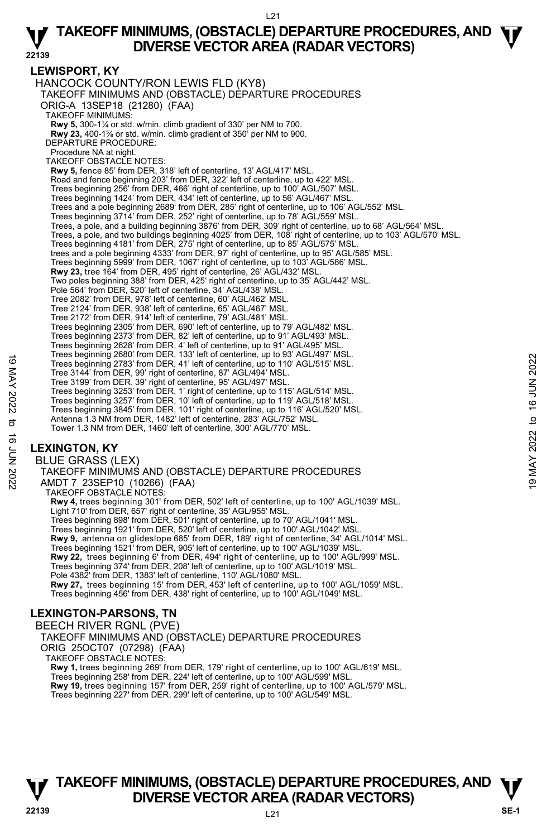# **LEWISPORT, KY**

HANCOCK COUNTY/RON LEWIS FLD (KY8) TAKEOFF MINIMUMS AND (OBSTACLE) DEPARTURE PROCEDURES ORIG-A 13SEP18 (21280) (FAA) TAKEOFF MINIMUMS: **Rwy 5,** 300-1¼ or std. w/min. climb gradient of 330' per NM to 700. **Rwy 23,** 400-1⅝ or std. w/min. climb gradient of 350' per NM to 900. DEPARTURE PROCEDURE: Procedure NA at night. TAKEOFF OBSTACLE NOTES: **Rwy 5,** fence 85' from DER, 318' left of centerline, 13' AGL/417' MSL. Road and fence beginning 203' from DER, 322' left of centerline, up to 422' MSL. Trees beginning 256' from DER, 466' right of centerline, up to 100' AGL/507' MSL. Trees beginning 1424' from DER, 434' left of centerline, up to 56' AGL/467' MSL. Trees and a pole beginning 2689' from DER, 285' right of centerline, up to 106' AGL/552' MSL. Trees beginning 3714' from DER, 252' right of centerline, up to 78' AGL/559' MSL. Trees, a pole, and a building beginning 3876' from DER, 309' right of centerline, up to 68' AGL/564' MSL. Trees, a pole, and two buildings beginning 4025' from DER, 108' right of centerline, up to 103' AGL/570' MSL. Trees beginning 4181' from DER, 275' right of centerline, up to 85' AGL/575' MSL. trees and a pole beginning 4333' from DER, 97' right of centerline, up to 95' AGL/585' MSL.<br>Trees beginning 5999' from DER, 1067' right of centerline, up to 103' AGL/586' MSL.<br>**Rwy 23,** tree 164' from DER, 495' right of c Two poles beginning 388' from DER, 425' right of centerline, up to 35' AGL/442' MSL. Pole 564' from DER, 520' left of centerline, 34' AGL/438' MSL. Tree 2082' from DER, 978' left of centerline, 60' AGL/462' MSL. Tree 2124' from DER, 938' left of centerline, 65' AGL/467' MSL. Tree 2172' from DER, 914' left of centerline, 79' AGL/481' MSL. Trees beginning 2305' from DER, 690' left of centerline, up to 79' AGL/482' MSL. Trees beginning 2373' from DER, 82' left of centerline, up to 91' AGL/493' MSL. Trees beginning 2628' from DER, 4' left of centerline, up to 91' AGL/495' MSL. Trees beginning 2680' from DER, 133' left of centerline, up to 93' AGL/497' MSL. Trees beginning 2783' from DER, 41' left of centerline, up to 110' AGL/515' MSL. Tree 3144' from DER, 99' right of centerline, 87' AGL/494' MSL. Tree 3199' from DER, 39' right of centerline, 95' AGL/497' MSL. Trees beginning 3253' from DER, 1' right of centerline, up to 115' AGL/514' MSL. Trees beginning 3257' from DER, 10' left of centerline, up to 119' AGL/518' MSL. Trees beginning 3845' from DER, 101' right of centerline, up to 116' AGL/520' MSL. Antenna 1.3 NM from DER, 1482' left of centerline, 283' AGL/752' MSL. Tower 1.3 NM from DER, 1460' left of centerline, 300' AGL/770' MSL. Trees beginning 2000 in DER, 13 et al. of centerline, up to 9.9 ANGL/497 MSL.<br>
Tree 3144' from DER, 99' right of centerline, 87' AGL/494' MSL.<br>
Tree 3199' from DER, 99' right of centerline, 87' AGL/494' MSL.<br>
Trees beginni

# **LEXINGTON, KY**

BLUE GRASS (LEX) TAKEOFF MINIMUMS AND (OBSTACLE) DEPARTURE PROCEDURES AMDT 7 23SEP10 (10266) (FAA) TAKEOFF OBSTACLE NOTES: **Rwy 4,** trees beginning 301' from DER, 502' left of centerline, up to 100' AGL/1039' MSL. Light 710' from DER, 657' right of centerline, 35' AGL/955' MSL. Trees beginning 898' from DER, 501' right of centerline, up to 70' AGL/1041' MSL. Trees beginning 1921' from DER, 520' left of centerline, up to 100' AGL/1042' MSL. **Rwy 9,** antenna on glideslope 685' from DER, 189' right of centerline, 34' AGL/1014' MSL. Trees beginning 1521' from DER, 905' left of centerline, up to 100' AGL/1039' MSL. **Rwy 22,** trees beginning 6' from DER, 494' right of centerline, up to 100' AGL/999' MSL. Trees beginning 374' from DER, 208' left of centerline, up to 100' AGL/1019' MSL. Pole 4382' from DER, 1383' left of centerline, 110' AGL/1080' MSL. **Rwy 27,** trees beginning 15' from DER, 453' left of centerline, up to 100' AGL/1059' MSL. Trees beginning 456' from DER, 438' right of centerline, up to 100' AGL/1049' MSL.

# **LEXINGTON-PARSONS, TN**

BEECH RIVER RGNL (PVE)

TAKEOFF MINIMUMS AND (OBSTACLE) DEPARTURE PROCEDURES ORIG 25OCT07 (07298) (FAA)

TAKEOFF OBSTACLE NOTES:

**Rwy 1,** trees beginning 269' from DER, 179' right of centerline, up to 100' AGL/619' MSL. Trees beginning 258' from DER, 224' left of centerline, up to 100' AGL/599' MSL. **Rwy 19,** trees beginning 157' from DER, 259' right of centerline, up to 100' AGL/579' MSL.

Trees beginning 227' from DER, 299' left of centerline, up to 100' AGL/549' MSL.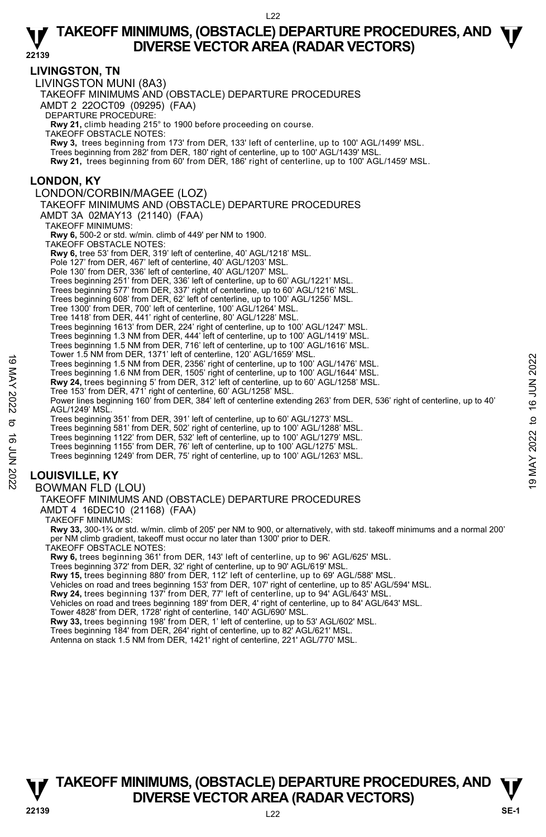**22139 LIVINGSTON, TN**  LIVINGSTON MUNI (8A3) TAKEOFF MINIMUMS AND (OBSTACLE) DEPARTURE PROCEDURES AMDT 2 22OCT09 (09295) (FAA) DEPARTURE PROCEDURE: **Rwy 21,** climb heading 215° to 1900 before proceeding on course. TAKEOFF OBSTACLE NOTES: **Rwy 3,** trees beginning from 173' from DER, 133' left of centerline, up to 100' AGL/1499' MSL. Trees beginning from 282' from DER, 180' right of centerline, up to 100' AGL/1439' MSL. **Rwy 21,** trees beginning from 60' from DER, 186' right of centerline, up to 100' AGL/1459' MSL. **LONDON, KY**  LONDON/CORBIN/MAGEE (LOZ) TAKEOFF MINIMUMS AND (OBSTACLE) DEPARTURE PROCEDURES AMDT 3A 02MAY13 (21140) (FAA) TAKEOFF MINIMUMS: **Rwy 6,** 500-2 or std. w/min. climb of 449' per NM to 1900. TAKEOFF OBSTACLE NOTES: **Rwy 6,** tree 53' from DER, 319' left of centerline, 40' AGL/1218' MSL. Pole 127' from DER, 467' left of centerline, 40' AGL/1203' MSL. Pole 130' from DER, 336' left of centerline, 40' AGL/1207' MSL. Trees beginning 251' from DER, 336' left of centerline, up to 60' AGL/1221' MSL. Trees beginning 577' from DER, 337' right of centerline, up to 60' AGL/1216' MSL. Trees beginning 608' from DER, 62' left of centerline, up to 100' AGL/1256' MSL. Tree 1300' from DER, 700' left of centerline, 100' AGL/1264' MSL. Tree 1418' from DER, 441' right of centerline, 80' AGL/1228' MSL. Trees beginning 1613' from DER, 224' right of centerline, up to 100' AGL/1247' MSL. Trees beginning 1.3 NM from DER, 444' left of centerline, up to 100' AGL/1419' MSL. Trees beginning 1.5 NM from DER, 716' left of centerline, up to 100' AGL/1616' MSL. Tower 1.5 NM from DER, 1371' left of centerline, 120' AGL/1659' MSL. Trees beginning 1.5 NM from DER, 2356' right of centerline, up to 100' AGL/1476' MSL. Trees beginning 1.6 NM from DER, 1505' right of centerline, up to 100' AGL/1644' MSL. **Rwy 24,** trees beginning 5' from DER, 312' left of centerline, up to 60' AGL/1258' MSL. Tree 153' from DER, 471' right of centerline, 60' AGL/1258' MSL. Power lines beginning 160' from DER, 384' left of centerline extending 263' from DER, 536' right of centerline, up to 40' AGL/1249' MSL. Trees beginning 351' from DER, 391' left of centerline, up to 60' AGL/1273' MSL. Trees beginning 581' from DER, 502' right of centerline, up to 100' AGL/1288' MSL. Trees beginning 1122' from DER, 532' left of centerline, up to 100' AGL/1279' MSL. Trees beginning 1155' from DER, 76' left of centerline, up to 100' AGL/1275' MSL. Trees beginning 1249' from DER, 75' right of centerline, up to 100' AGL/1263' MSL. **LOUISVILLE, KY**  BOWMAN FLD (LOU) TAKEOFF MINIMUMS AND (OBSTACLE) DEPARTURE PROCEDURES AMDT 4 16DEC10 (21168) (FAA) TAKEOFF MINIMUMS: **Rwy 33,** 300-1¾ or std. w/min. climb of 205' per NM to 900, or alternatively, with std. takeoff minimums and a normal 200' per NM climb gradient, takeoff must occur no later than 1300' prior to DER. TAKEOFF OBSTACLE NOTES: **Rwy 6,** trees beginning 361' from DER, 143' left of centerline, up to 96' AGL/625' MSL. Trees beginning 372' from DER, 32' right of centerline, up to 90' AGL/619' MSL. Trees beginning 1.5 NM from DER, 2356' right of centerline, up to 100' AGL/1476' MSL.<br>
Trees beginning 1.5 NM from DER, 1505' right of centerline, up to 100' AGL/1476' MSL.<br> **EVALUATE:** The set beginning 5 from DER, 1505'

**Rwy 15,** trees beginning 880' from DER, 112' left of centerline, up to 69' AGL/588' MSL.

Vehicles on road and trees beginning 153' from DER, 107' right of centerline, up to 85' AGL/594' MSL.

**Rwy 24,** trees beginning 137' from DER, 77' left of centerline, up to 94' AGL/643' MSL.

Vehicles on road and trees beginning 189' from DER, 4' right of centerline, up to 84' AGL/643' MSL.

Tower 4828' from DER, 1728' right of centerline, 140' AGL/690' MSL.

**Rwy 33,** trees beginning 198' from DER, 1' left of centerline, up to 53' AGL/602' MSL.

Trees beginning 184' from DER, 264' right of centerline, up to 82' AGL/621' MSL.<br>Antenna on stack 1.5 NM from DER, 1421' right of centerline, 221' AGL/770' MSL.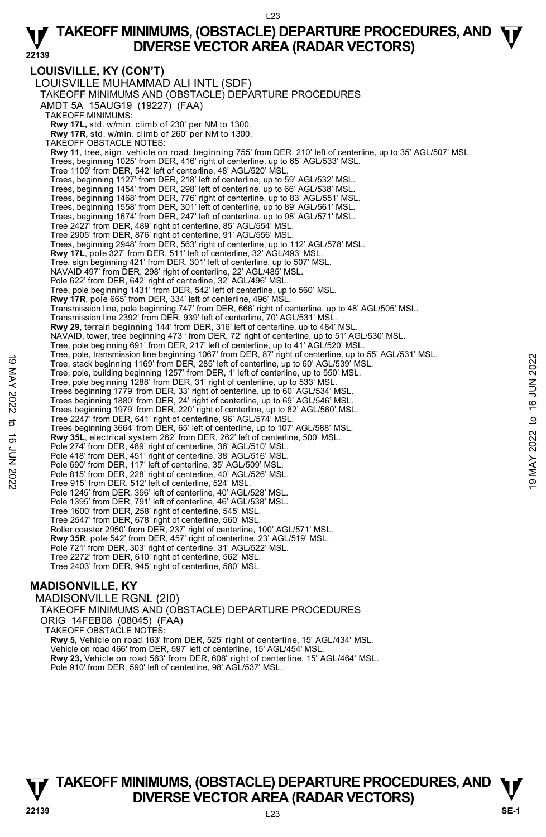**LOUISVILLE, KY (CON'T)**  LOUISVILLE MUHAMMAD ALI INTL (SDF) TAKEOFF MINIMUMS AND (OBSTACLE) DEPARTURE PROCEDURES AMDT 5A 15AUG19 (19227) (FAA) TAKEOFF MINIMUMS: **Rwy 17L,** std. w/min. climb of 230' per NM to 1300. **Rwy 17R,** std. w/min. climb of 260' per NM to 1300. TAKEOFF OBSTACLE NOTES: **Rwy 11**, tree, sign, vehicle on road, beginning 755' from DER, 210' left of centerline, up to 35' AGL/507' MSL. Trees, beginning 1025' from DER, 416' right of centerline, up to 65' AGL/533' MSL. Tree 1109' from DER, 542' left of centerline, 48' AGL/520' MSL. Trees, beginning 1127' from DER, 218' left of centerline, up to 59' AGL/532' MSL. Trees, beginning 1454' from DER, 298' left of centerline, up to 66' AGL/538' MSL. Trees, beginning 1468' from DER, 776' right of centerline, up to 83' AGL/551' MSL. Trees, beginning 1558' from DER, 301' left of centerline, up to 89' AGL/561' MSL. Trees, beginning 1674' from DER, 247' left of centerline, up to 98' AGL/571' MSL. Tree 2427' from DER, 489' right of centerline, 85' AGL/554' MSL. Tree 2905' from DER, 876' right of centerline, 91' AGL/556' MSL. Trees, beginning 2948' from DER, 563' right of centerline, up to 112' AGL/578' MSL. **Rwy 17L**, pole 327' from DER, 511' left of centerline, 32' AGL/493' MSL. Tree, sign beginning 421' from DER, 301' left of centerline, up to 507' MSL. NAVAID 497' from DER, 298' right of centerline, 22' AGL/485' MSL. Pole 622' from DER, 642' right of centerline, 32' AGL/496' MSL. Tree, pole beginning 1431' from DER, 542' left of centerline, up to 560' MSL. **Rwy 17R**, pole 665' from DER, 334' left of centerline, 496' MSL. Transmission line, pole beginning 747' from DER, 666' right of centerline, up to 48' AGL/505' MSL. Transmission line 2392' from DER, 939' left of centerline, 70' AGL/531' MSI **Rwy 29**, terrain beginning 144' from DER, 316' left of centerline, up to 484' MSL. NAVAID, tower, tree beginning 473 ' from DER, 72' right of centerline, up to 51' AGL/530' MSL. Tree, pole beginning 691' from DER, 217' left of centerline, up to 41' AGL/520' MSL.<br>Tree, pole, transmission line beginning 1067' from DER, 87' right of centerline, up to 55' AGL/531' MSL. Tree, stack beginning 1169' from DER, 285' left of centerline, up to 60' AGL/539' MSL. Tree, pole, building beginning 1257' from DER, 1' left of centerline, up to 550' MSL. Tree, pole beginning 1288' from DER, 31' right of centerline, up to 533' MSL. Trees beginning 1779' from DER, 33' right of centerline, up to 60' AGL/534' MSL. Trees beginning 1880' from DER, 24' right of centerline, up to 69' AGL/546' MSL. Trees beginning 1979' from DER, 220' right of centerline, up to 82' AGL/560' MSL. Tree 2247' from DER, 641' right of centerline, 96' AGL/574' MSL. Trees beginning 3664' from DER, 65' left of centerline, up to 107' AGL/588' MSL. **Rwy 35L**, electrical system 262' from DER, 262' left of centerline, 500' MSL. Pole 274' from DER, 489' right of centerline, 36' AGL/510' MSL. Pole 418' from DER, 451' right of centerline, 38' AGL/516' MSL. Pole 690' from DER, 117' left of centerline, 35' AGL/509' MSL. Pole 815' from DER, 228' right of centerline, 40' AGL/526' MSL. Tree 915' from DER, 512' left of centerline, 524' MSL. Pole 1245' from DER, 396' left of centerline, 40' AGL/528' MSL. Pole 1395' from DER, 791' left of centerline, 46' AGL/538' MSL. Tree 1600' from DER, 258' right of centerline, 545' MSL. Tree 2547' from DER, 678' right of centerline, 560' MSL. Roller coaster 2950' from DER, 237' right of centerline, 100' AGL/571' MSL. **Rwy 35R**, pole 542' from DER, 457' right of centerline, 23' AGL/519' MSL. Pole 721' from DER, 303' right of centerline, 31' AGL/522' MSL. Tree 2272' from DER, 610' right of centerline, 562' MSL. Tree 2403' from DER, 945' right of centerline, 580' MSL. Tree, stack beginning 169 from DER, 285' left of centerline, up to 60' AGL/539' MSL.<br>
Tree, stack beginning 1287' from DER, 1' left of centerline, up to 60' AGL/539' MSL.<br>
Tree, pole beginning 1288' from DER, 1' left of ce

## **MADISONVILLE, KY**

MADISONVILLE RGNL (2I0) TAKEOFF MINIMUMS AND (OBSTACLE) DEPARTURE PROCEDURES ORIG 14FEB08 (08045) (FAA) TAKEOFF OBSTACLE NOTES: **Rwy 5,** Vehicle on road 163' from DER, 525' right of centerline, 15' AGL/434' MSL. Vehicle on road 466' from DER, 597' left of centerline, 15' AGL/454' MSL. **Rwy 23,** Vehicle on road 563' from DER, 608' right of centerline, 15' AGL/464' MSL. Pole 910' from DER, 590' left of centerline, 98' AGL/537' MSL.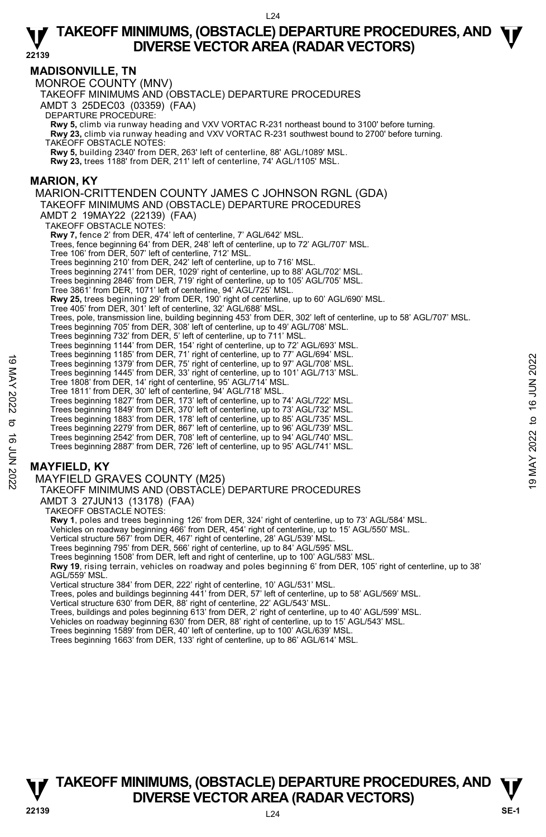## **MADISONVILLE, TN**

MONROE COUNTY (MNV) TAKEOFF MINIMUMS AND (OBSTACLE) DEPARTURE PROCEDURES AMDT 3 25DEC03 (03359) (FAA) DEPARTURE PROCEDURE: **Rwy 5,** climb via runway heading and VXV VORTAC R-231 northeast bound to 3100' before turning. **Rwy 23,** climb via runway heading and VXV VORTAC R-231 southwest bound to 2700' before turning. TAKEOFF OBSTACLE NOTES: **Rwy 5,** building 2340' from DER, 263' left of centerline, 88' AGL/1089' MSL. **Rwy 23,** trees 1188' from DER, 211' left of centerline, 74' AGL/1105' MSL. **MARION, KY**  MARION-CRITTENDEN COUNTY JAMES C JOHNSON RGNL (GDA) TAKEOFF MINIMUMS AND (OBSTACLE) DEPARTURE PROCEDURES AMDT 2 19MAY22 (22139) (FAA) TAKEOFF OBSTACLE NOTES: **Rwy 7,** fence 2' from DER, 474' left of centerline, 7' AGL/642' MSL. Trees, fence beginning 64' from DER, 248' left of centerline, up to 72' AGL/707' MSL. Tree 106' from DER, 507' left of centerline, 712' MSL. Trees beginning 210' from DER, 242' left of centerline, up to 716' MSL. Trees beginning 2741' from DER, 1029' right of centerline, up to 88' AGL/702' MSL. Trees beginning 2846' from DER, 719' right of centerline, up to 105' AGL/705' MSL. Tree 3861' from DER, 1071' left of centerline, 94' AGL/725' MSL. **Rwy 25,** trees beginning 29' from DER, 190' right of centerline, up to 60' AGL/690' MSL. Tree 405' from DER, 301' left of centerline, 32' AGL/688' MSL. Trees, pole, transmission line, building beginning 453' from DER, 302' left of centerline, up to 58' AGL/707' MSL.<br>Trees beginning 705' from DER, 308' left of centerline, up to 49' AGL/708' MSL. Trees beginning 732' from DER, 5' left of centerline, up to 711' MSL. Trees beginning 1144' from DER, 154' right of centerline, up to 72' AGL/693' MSL. Trees beginning 1185' from DER, 71' right of centerline, up to 77' AGL/694' MSL. Trees beginning 1379' from DER, 75' right of centerline, up to 97' AGL/708' MSL. Trees beginning 1445' from DER, 33' right of centerline, up to 101' AGL/713' MSL. Tree 1808' from DER, 14' right of centerline, 95' AGL/714' MSL. Tree 1811' from DER, 30' left of centerline, 94' AGL/718' MSL. Trees beginning 1827' from DER, 173' left of centerline, up to 74' AGL/722' MSL. Trees beginning 1849' from DER, 370' left of centerline, up to 73' AGL/732' MSL. Trees beginning 1883' from DER, 178' left of centerline, up to 85' AGL/735' MSL. Trees beginning 2279' from DER, 867' left of centerline, up to 96' AGL/739' MSL. Trees beginning 2542' from DER, 708' left of centerline, up to 94' AGL/740' MSL. Trees beginning 2887' from DER, 726' left of centerline, up to 95' AGL/741' MSL. **MAYFIELD, KY**  MAYFIELD GRAVES COUNTY (M25) TAKEOFF MINIMUMS AND (OBSTACLE) DEPARTURE PROCEDURES AMDT 3 27JUN13 (13178) (FAA) Trees beginning 1369 from DER, 77 igint of centerline, up to 37' AGL/708' MSL.<br>
Trees beginning 1379' from DER, 33' right of centerline, up to 101' AGL/708' MSL.<br>
Tree 1808' from DER, 14' right of centerline, 94' AGL/714'

TAKEOFF OBSTACLE NOTES:

**Rwy 1**, poles and trees beginning 126' from DER, 324' right of centerline, up to 73' AGL/584' MSL.

Vehicles on roadway beginning 466' from DER, 454' right of centerline, up to 15' AGL/550' MSL.

Vertical structure 567' from DER, 467' right of centerline, 28' AGL/539' MSL.

Trees beginning 795' from DER, 566' right of centerline, up to 84' AGL/595' MSL.

Trees beginning 1508' from DER, left and right of centerline, up to 100' AGL/583' MSL. **Rwy 19**, rising terrain, vehicles on roadway and poles beginning 6' from DER, 105' right of centerline, up to 38'

AGL/559' MSL.

Vertical structure 384' from DER, 222' right of centerline, 10' AGL/531' MSL.

Trees, poles and buildings beginning 441' from DER, 57' left of centerline, up to 58' AGL/569' MSL. Vertical structure 630' from DER, 88' right of centerline, 22' AGL/543' MSL.

Trees, buildings and poles beginning 613' from DER, 2' right of centerline, up to 40' AGL/599' MSL. Vehicles on roadway beginning 630' from DER, 88' right of centerline, up to 15' AGL/543' MSL.

Trees beginning 1589' from DER, 40' left of centerline, up to 100' AGL/639' MSL. Trees beginning 1663' from DER, 133' right of centerline, up to 86' AGL/614' MSL.

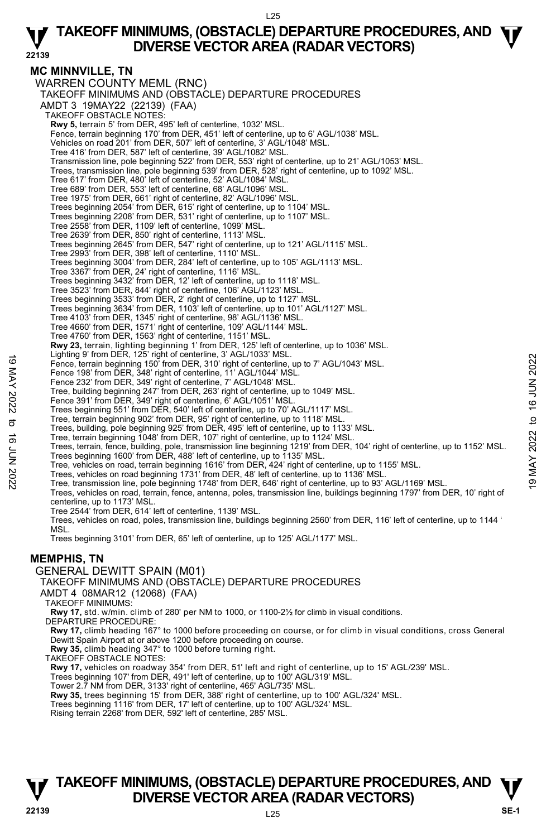#### **MC MINNVILLE, TN**  WARREN COUNTY MEML (RNC) TAKEOFF MINIMUMS AND (OBSTACLE) DEPARTURE PROCEDURES AMDT 3 19MAY22 (22139) (FAA) TAKEOFF OBSTACLE NOTES: **Rwy 5,** terrain 5' from DER, 495' left of centerline, 1032' MSL. Fence, terrain beginning 170' from DER, 451' left of centerline, up to 6' AGL/1038' MSL. Vehicles on road 201' from DER, 507' left of centerline, 3' AGL/1048' MSL. Tree 416' from DER, 587' left of centerline, 39' AGL/1082' MSL. Transmission line, pole beginning 522' from DER, 553' right of centerline, up to 21' AGL/1053' MSL. Trees, transmission line, pole beginning 539' from DER, 528' right of centerline, up to 1092' MSL. Tree 617' from DER, 480' left of centerline, 52' AGL/1084' MSL. Tree 689' from DER, 553' left of centerline, 68' AGL/1096' MSL. Tree 1975' from DER, 661' right of centerline, 82' AGL/1096' MSL. Trees beginning 2054' from DER, 615' right of centerline, up to 1104' MSL. Trees beginning 2208' from DER, 531' right of centerline, up to 1107' MSL. Tree 2558' from DER, 1109' left of centerline, 1099' MSL. Tree 2639' from DER, 850' right of centerline, 1113' MSL. Trees beginning 2645' from DER, 547' right of centerline, up to 121' AGL/1115' MSL. Tree 2993' from DER, 398' left of centerline, 1110' MSL. Trees beginning 3004' from DER, 284' left of centerline, up to 105' AGL/1113' MSL. Tree 3367' from DER, 24' right of centerline, 1116' MSL. Trees beginning 3432' from DER, 12' left of centerline, up to 1118' MSL. Tree 3523' from DER, 844' right of centerline, 106' AGL/1123' MSL. Trees beginning 3533' from DER, 2' right of centerline, up to 1127' MSL. Trees beginning 3634' from DER, 1103' left of centerline, up to 101' AGL/1127' MSL. Tree 4103' from DER, 1345' right of centerline, 98' AGL/1136' MSL. Tree 4660' from DER, 1571' right of centerline, 109' AGL/1144' MSL. Tree 4760' from DER, 1563' right of centerline, 1151' MSL. **Rwy 23,** terrain, lighting beginning 1' from DER, 125' left of centerline, up to 1036' MSL.<br>Lighting 9' from DER, 125' right of centerline, 3' AGL/1033' MSL. Fence, terrain beginning 150' from DER, 310' right of centerline, up to 7' AGL/1043' MSL. Fence 198' from DER, 348' right of centerline, 11' AGL/1044' MSL. Fence 232' from DER, 349' right of centerline, 7' AGL/1048' MSL. Tree, building beginning 247' from DER, 263' right of centerline, up to 1049' MSL. Fence 391' from DER, 349' right of centerline, 6' AGL/1051' MSL. Trees beginning 551' from DER, 540' left of centerline, up to 70' AGL/1117' MSL. Tree, terrain beginning 902' from DER, 95' right of centerline, up to 1118' MSL. Trees, building, pole beginning 925' from DER, 495' left of centerline, up to 1133' MSL. Tree, terrain beginning 1048' from DER, 107' right of centerline, up to 1124' MSL. Trees, terrain, fence, building, pole, transmission line beginning 1219' from DER, 104' right of centerline, up to 1152' MSL. Trees beginning 1600' from DER, 488' left of centerline, up to 1135' MSL. Tree, vehicles on road, terrain beginning 1616' from DER, 424' right of centerline, up to 1155' MSL. Lignumg is noni DER, 326 right of centerline, and both of Pence, terrain beginning 150' from DER, 310' right of centerline, up to 7' AGL/1043' MSL.<br>
Fence 198' from DER, 348' right of centerline, 11' AGL/1044' MSL.<br>
Tree, Trees, vehicles on road, terrain, fence, antenna, poles, transmission line, buildings beginning 1797' from DER, 10' right of centerline, up to 1173' MSL. Tree 2544' from DER, 614' left of centerline, 1139' MSL. Trees, vehicles on road, poles, transmission line, buildings beginning 2560' from DER, 116' left of centerline, up to 1144 ' **MSL** Trees beginning 3101' from DER, 65' left of centerline, up to 125' AGL/1177' MSL. **MEMPHIS, TN**  GENERAL DEWITT SPAIN (M01) TAKEOFF MINIMUMS AND (OBSTACLE) DEPARTURE PROCEDURES AMDT 4 08MAR12 (12068) (FAA) TAKEOFF MINIMUMS: **Rwy 17,** std. w/min. climb of 280' per NM to 1000, or 1100-2½ for climb in visual conditions. DEPARTURE PROCEDURE: **Rwy 17,** climb heading 167° to 1000 before proceeding on course, or for climb in visual conditions, cross General Dewitt Spain Airport at or above 1200 before proceeding on course. **Rwy 35,** climb heading 347° to 1000 before turning right. TAKEOFF OBSTACLE NOTES: **Rwy 17,** vehicles on roadway 354' from DER, 51' left and right of centerline, up to 15' AGL/239' MSL.

Trees beginning 107' from DER, 491' left of centerline, up to 100' AGL/319' MSL.

Tower 2.7 NM from DER, 3133' right of centerline, 465' AGL/735' MSL.

**Rwy 35,** trees beginning 15' from DER, 388' right of centerline, up to 100' AGL/324' MSL.

Trees beginning 1116' from DER, 17' left of centerline, up to 100' AGL/324' MSL.

Rising terrain 2268' from DER, 592' left of centerline, 285' MSL.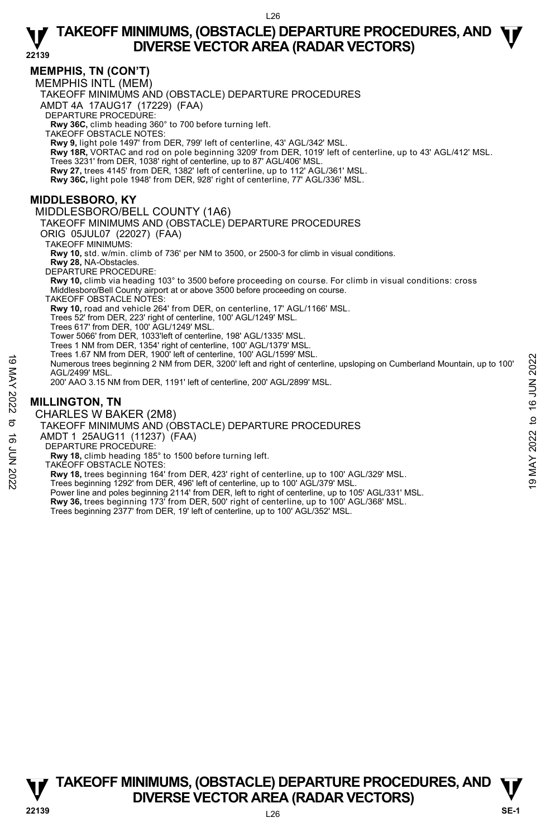## **MEMPHIS, TN (CON'T)**

MEMPHIS INTL (MEM)

TAKEOFF MINIMUMS AND (OBSTACLE) DEPARTURE PROCEDURES

AMDT 4A 17AUG17 (17229) (FAA)

DEPARTURE PROCEDURE:

**Rwy 36C,** climb heading 360° to 700 before turning left. TAKEOFF OBSTACLE NOTES:

**Rwy 9,** light pole 1497' from DER, 799' left of centerline, 43' AGL/342' MSL. **Rwy 18R,** VORTAC and rod on pole beginning 3209' from DER, 1019' left of centerline, up to 43' AGL/412' MSL.

Trees 3231' from DER, 1038' right of centerline, up to 87' AGL/406' MSL

**Rwy 27,** trees 4145' from DER, 1382' left of centerline, up to 112' AGL/361' MSL.

**Rwy 36C,** light pole 1948' from DER, 928' right of centerline, 77' AGL/336' MSL.

# **MIDDLESBORO, KY**

MIDDLESBORO/BELL COUNTY (1A6)

TAKEOFF MINIMUMS AND (OBSTACLE) DEPARTURE PROCEDURES

ORIG 05JUL07 (22027) (FAA)

TAKEOFF MINIMUMS:

**Rwy 10,** std. w/min. climb of 736' per NM to 3500, or 2500-3 for climb in visual conditions.

**Rwy 28,** NA-Obstacles. DEPARTURE PROCEDURE:

**Rwy 10,** climb via heading 103° to 3500 before proceeding on course. For climb in visual conditions: cross Middlesboro/Bell County airport at or above 3500 before proceeding on course.

TAKEOFF OBSTACLE NOTES:

**Rwy 10,** road and vehicle 264' from DER, on centerline, 17' AGL/1166' MSL.

Trees 52' from DER, 223' right of centerline, 100' AGL/1249' MSL. Trees 617' from DER, 100' AGL/1249' MSL.

Tower 5066' from DER, 1033'left of centerline, 198' AGL/1335' MSL.

Trees 1 NM from DER, 1354' right of centerline, 100' AGL/1379' MSL. Trees 1.67 NM from DER, 1900' left of centerline, 100' AGL/1599' MSL.

Numerous trees beginning 2 NM from DER, 3200' left and right of centerline, upsloping on Cumberland Mountain, up to 100' AGL/2499' MSL. The Section Willine Describe the Centerline, 100 AGL/399 MSL.<br>
Numerous tres beginning 2 NM from DER, 3200' left and right of centerline, upsloping on Cumberland Mountain, up to 100'<br>
AGL/2499' MSL.<br>
200' AAO 3.15 NM from

200' AAO 3.15 NM from DER, 1191' left of centerline, 200' AGL/2899' MSL.

# **MILLINGTON, TN**

CHARLES W BAKER (2M8)

TAKEOFF MINIMUMS AND (OBSTACLE) DEPARTURE PROCEDURES

AMDT 1 25AUG11 (11237) (FAA)

DEPARTURE PROCEDURE:

**Rwy 18,** climb heading 185° to 1500 before turning left.

TAKEOFF OBSTACLE NOTES:

Power line and poles beginning 2114' from DER, left to right of centerline, up to 105' AGL/331' MSL. **Rwy 36,** trees beginning 173' from DER, 500' right of centerline, up to 100' AGL/368' MSL.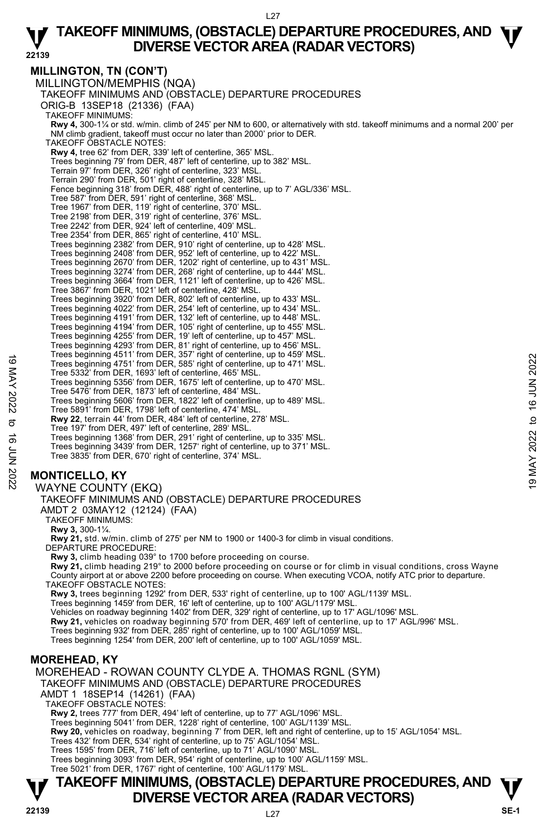# **MILLINGTON, TN (CON'T)**

MILLINGTON/MEMPHIS (NQA) TAKEOFF MINIMUMS AND (OBSTACLE) DEPARTURE PROCEDURES ORIG-B 13SEP18 (21336) (FAA) TAKEOFF MINIMUMS: **Rwy 4,** 300-1¼ or std. w/min. climb of 245' per NM to 600, or alternatively with std. takeoff minimums and a normal 200' per NM climb gradient, takeoff must occur no later than 2000' prior to DER. TAKEOFF OBSTACLE NOTES: **Rwy 4,** tree 62' from DER, 339' left of centerline, 365' MSL. Trees beginning 79' from DER, 487' left of centerline, up to 382' MSL. Terrain 97' from DER, 326' right of centerline, 323' MSL. Terrain 290' from DER, 501' right of centerline, 328' MSL. Fence beginning 318' from DER, 488' right of centerline, up to 7' AGL/336' MSL. Tree 587' from DER, 591' right of centerline, 368' MSL. Tree 1967' from DER, 119' right of centerline, 370' MSL. Tree 2198' from DER, 319' right of centerline, 376' MSL. Tree 2242' from DER, 924' left of centerline, 409' MSL. Tree 2354' from DER, 865' right of centerline, 410' MSL. Trees beginning 2382' from DER, 910' right of centerline, up to 428' MSL. Trees beginning 2408' from DER, 952' left of centerline, up to 422' MSL. Trees beginning 2670' from DER, 1202' right of centerline, up to 431' MSL. Trees beginning 3274' from DER, 268' right of centerline, up to 444' MSL. Trees beginning 3664' from DER, 1121' left of centerline, up to 426' MSL. Tree 3867' from DER, 1021' left of centerline, 428' MSL. Trees beginning 3920' from DER, 802' left of centerline, up to 433' MSL. Trees beginning 4022' from DER, 254' left of centerline, up to 434' MSL. Trees beginning 4191' from DER, 132' left of centerline, up to 448' MSL. Trees beginning 4194' from DER, 105' right of centerline, up to 455' MSL. Trees beginning 4255' from DER, 19' left of centerline, up to 457' MSL. Trees beginning 4293' from DER, 81' right of centerline, up to 456' MSL. Trees beginning 4511' from DER, 357' right of centerline, up to 459' MSL. Trees beginning 4751' from DER, 585' right of centerline, up to 471' MSL. Tree 5332' from DER, 1693' left of centerline, 465' MSL. Trees beginning 5356' from DER, 1675' left of centerline, up to 470' MSL. Tree 5476' from DER, 1873' left of centerline, 484' MSL. Trees beginning 5606' from DER, 1822' left of centerline, up to 489' MSL. Tree 5891' from DER, 1798' left of centerline, 474' MSL. **Rwy 22**, terrain 44' from DER, 484' left of centerline, 278' MSL. Tree 197' from DER, 497' left of centerline, 289' MSL. Trees beginning 1368' from DER, 291' right of centerline, up to 335' MSL. Trees beginning 3439' from DER, 1257' right of centerline, up to 371' MSL. Tree 3835' from DER, 670' right of centerline, 374' MSL. Trees beginning 4751' from DER, 357' right of centerline, up to 471' MSL.<br>
Trees beginning 4751' from DER, 1683' left of centerline, up to 470' MSL.<br>
Trees beginning 5366' from DER, 1675' left of centerline, up to 470' MS

# **MONTICELLO, KY**

## WAYNE COUNTY (EKQ)

TAKEOFF MINIMUMS AND (OBSTACLE) DEPARTURE PROCEDURES

AMDT 2 03MAY12 (12124) (FAA)

TAKEOFF MINIMUMS:

**Rwy 3,** 300-1¼.

**Rwy 21,** std. w/min. climb of 275' per NM to 1900 or 1400-3 for climb in visual conditions. DEPARTURE PROCEDURE:

**Rwy 3,** climb heading 039° to 1700 before proceeding on course.

**Rwy 21,** climb heading 219° to 2000 before proceeding on course or for climb in visual conditions, cross Wayne County airport at or above 2200 before proceeding on course. When executing VCOA, notify ATC prior to departure. TAKEOFF OBSTACLE NOTES:

**Rwy 3,** trees beginning 1292' from DER, 533' right of centerline, up to 100' AGL/1139' MSL.

Trees beginning 1459' from DER, 16' left of centerline, up to 100' AGL/1179' MSL.

Vehicles on roadway beginning 1402' from DER, 329' right of centerline, up to 17' AGL/1096' MSL.

**Rwy 21,** vehicles on roadway beginning 570' from DER, 469' left of centerline, up to 17' AGL/996' MSL.

Trees beginning 932' from DER, 285' right of centerline, up to 100' AGL/1059' MSL. Trees beginning 1254' from DER, 200' left of centerline, up to 100' AGL/1059' MSL.

# **MOREHEAD, KY**

MOREHEAD - ROWAN COUNTY CLYDE A. THOMAS RGNL (SYM) TAKEOFF MINIMUMS AND (OBSTACLE) DEPARTURE PROCEDURES AMDT 1 18SEP14 (14261) (FAA) TAKEOFF OBSTACLE NOTES:

**Rwy 2,** trees 777' from DER, 494' left of centerline, up to 77' AGL/1096' MSL.

Trees beginning 5041' from DER, 1228' right of centerline, 100' AGL/1139' MSL.

**Rwy 20,** vehicles on roadway, beginning 7' from DER, left and right of centerline, up to 15' AGL/1054' MSL.

Trees 432' from DER, 534' right of centerline, up to 75' AGL/1054' MSL. Trees 1595' from DER, 716' left of centerline, up to 71' AGL/1090' MSL.

Trees beginning 3093' from DER, 954' right of centerline, up to 100' AGL/1159' MSL. Tree 5021' from DER, 1767' right of centerline, 100' AGL/1179' MSL.

# **T T TAKEOFF MINIMUMS, (OBSTACLE) DEPARTURE PROCEDURES, AND DIVERSE VECTOR AREA (RADAR VECTORS) We consider the SE-1**  $\frac{1}{22139}$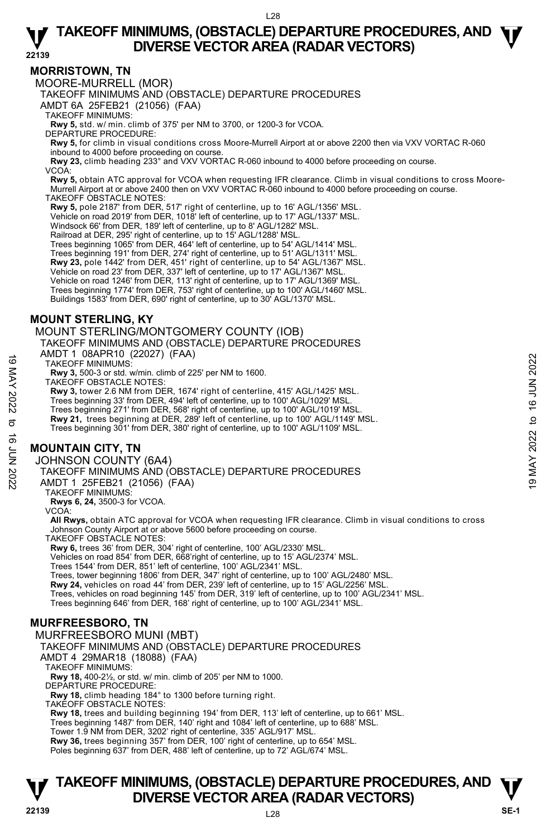## **MORRISTOWN, TN**

MOORE-MURRELL (MOR)

TAKEOFF MINIMUMS AND (OBSTACLE) DEPARTURE PROCEDURES

AMDT 6A 25FEB21 (21056) (FAA)

TAKEOFF MINIMUMS:

**Rwy 5,** std. w/ min. climb of 375' per NM to 3700, or 1200-3 for VCOA. DEPARTURE PROCEDURE:

**Rwy 5,** for climb in visual conditions cross Moore-Murrell Airport at or above 2200 then via VXV VORTAC R-060 inbound to 4000 before proceeding on course.

**Rwy 23,** climb heading 233° and VXV VORTAC R-060 inbound to 4000 before proceeding on course. VCOA:

 **Rwy 5,** obtain ATC approval for VCOA when requesting IFR clearance. Climb in visual conditions to cross Moore-Murrell Airport at or above 2400 then on VXV VORTAC R-060 inbound to 4000 before proceeding on course. TAKEOFF OBSTACLE NOTES:

**Rwy 5,** pole 2187' from DER, 517' right of centerline, up to 16' AGL/1356' MSL.

Vehicle on road 2019' from DER, 1018' left of centerline, up to 17' AGL/1337' MSL.

Windsock 66' from DER, 189' left of centerline, up to 8' AGL/1282' MSL.

Railroad at DER, 295' right of centerline, up to 15' AGL/1288' MSL.

Trees beginning 1065' from DER, 464' left of centerline, up to 54' AGL/1414' MSL.

Trees beginning 191' from DER, 274' right of centerline, up to 51' AGL/1311' MSL.<br>**Rwy 23,** pole 1442' from DER, 451' right of centerline, up to 54' AGL/1367' MSL.

Vehicle on road 23' from DER, 337' left of centerline, up to 17' AGL/1367' MSL.

Vehicle on road 1246' from DER, 113' right of centerline, up to 17' AGL/1369' MSL.<br>Trees beginning 1774' from DER, 753' right of centerline, up to 100' AGL/1460' MSL.

Buildings 1583' from DER, 690' right of centerline, up to 30' AGL/1370' MSL.

**MOUNT STERLING, KY** 

MOUNT STERLING/MONTGOMERY COUNTY (IOB)

TAKEOFF MINIMUMS AND (OBSTACLE) DEPARTURE PROCEDURES

AMDT 1 08APR10 (22027) (FAA)

TAKEOFF MINIMUMS:

**Rwy 3,** 500-3 or std. w/min. climb of 225' per NM to 1600.

TAKEOFF OBSTACLE NOTES:

**Rwy 3,** tower 2.6 NM from DER, 1674' right of centerline, 415' AGL/1425' MSL. Trees beginning 33' from DER, 494' left of centerline, up to 100' AGL/1029' MSL. Trees beginning 271' from DER, 568' right of centerline, up to 100' AGL/1019' MSL. **Rwy 21,** trees beginning at DER, 289' left of centerline, up to 100' AGL/1149' MSL. TAKEOFF MINIMUMS:<br>
TAKEOFF MINIMUMS:<br>
TAKEOFF MINIMUMS:<br>
TAKEOFF MINIMUMS:<br>
TAKEOFF MINIMUMS:<br>
TAKEOFF MINIMUMS:<br>
TAKEOFF MINIMUMS:<br>
NOUNT 2.6 NM from DER, 1674' right of centerline, 415' AGL/1425' MSL.<br>
Trees beginning

Trees beginning 301' from DER, 380' right of centerline, up to 100' AGL/1109' MSL.

# **MOUNTAIN CITY, TN**

## JOHNSON COUNTY (6A4)

TAKEOFF MINIMUMS AND (OBSTACLE) DEPARTURE PROCEDURES

AMDT 1 25FEB21 (21056) (FAA)

TAKEOFF MINIMUMS:

**Rwys 6, 24,** 3500-3 for VCOA. VCOA:

**All Rwys,** obtain ATC approval for VCOA when requesting IFR clearance. Climb in visual conditions to cross Johnson County Airport at or above 5600 before proceeding on course.

TAKEOFF OBSTACLE NOTES:

**Rwy 6,** trees 36' from DER, 304' right of centerline, 100' AGL/2330' MSL.

Vehicles on road 854' from DER, 668'right of centerline, up to 15' AGL/2374' MSL.

Trees 1544' from DER, 851' left of centerline, 100' AGL/2341' MSL. Trees, tower beginning 1806' from DER, 347' right of centerline, up to 100' AGL/2480' MSL.

**Rwy 24,** vehicles on road 44' from DER, 239' left of centerline, up to 15' AGL/2256' MSL.

Trees, vehicles on road beginning 145' from DER, 319' left of centerline, up to 100' AGL/2341' MSL. Trees beginning 646' from DER, 168' right of centerline, up to 100' AGL/2341' MSL.

## **MURFREESBORO, TN**

MURFREESBORO MUNI (MBT) TAKEOFF MINIMUMS AND (OBSTACLE) DEPARTURE PROCEDURES AMDT 4 29MAR18 (18088) (FAA) TAKEOFF MINIMUMS: **Rwy 18,** 400-2½, or std. w/ min. climb of 205' per NM to 1000. DEPARTURE PROCEDURE: **Rwy 18, climb heading 184° to 1300 before turning right.** TAKEOFF OBSTACLE NOTES: **Rwy 18,** trees and building beginning 194' from DER, 113' left of centerline, up to 661' MSL. Trees beginning 1487' from DER, 140' right and 1084' left of centerline, up to 688' MSL. Tower 1.9 NM from DER, 3202' right of centerline, 335' AGL/917' MSL. **Rwy 36,** trees beginning 357' from DER, 100' right of centerline, up to 654' MSL. Poles beginning 637' from DER, 488' left of centerline, up to 72' AGL/674' MSL.

# **T T TAKEOFF MINIMUMS, (OBSTACLE) DEPARTURE PROCEDURES, AND DIVERSE VECTOR AREA (RADAR VECTORS) We consider the SE-1**  $\frac{1}{22139}$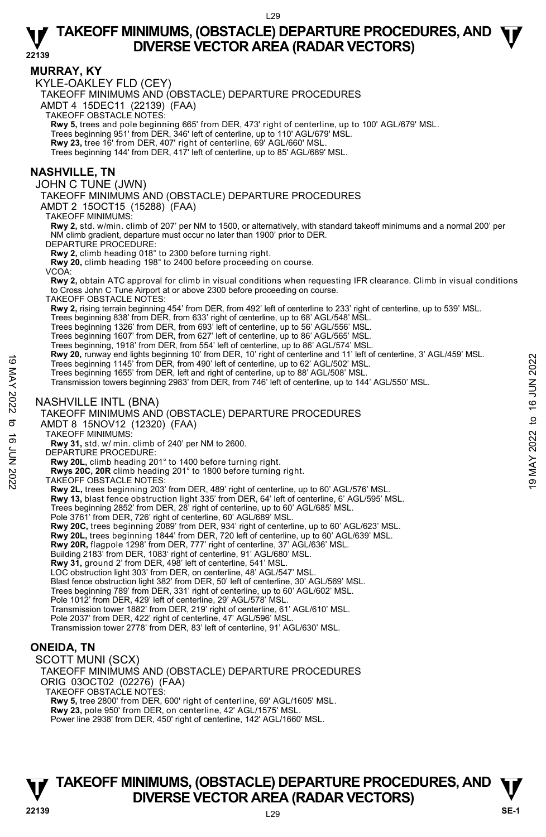**22139** 

## **MURRAY, KY**

KYLE-OAKLEY FLD (CEY)

TAKEOFF MINIMUMS AND (OBSTACLE) DEPARTURE PROCEDURES

AMDT 4 15DEC11 (22139) (FAA)

TAKEOFF OBSTACLE NOTES:

**Rwy 5,** trees and pole beginning 665' from DER, 473' right of centerline, up to 100' AGL/679' MSL.<br>Trees beginning 951' from DER, 346' left of centerline, up to 110' AGL/679' MSL.

**Rwy 23,** tree 16' from DER, 407' right of centerline, 69' AGL/660' MSL.

Trees beginning 144' from DER, 417' left of centerline, up to 85' AGL/689' MSL.

## **NASHVILLE, TN**

JOHN C TUNE (JWN)

TAKEOFF MINIMUMS AND (OBSTACLE) DEPARTURE PROCEDURES

AMDT 2 15OCT15 (15288) (FAA)

TAKEOFF MINIMUMS:

**Rwy 2,** std. w/min. climb of 207' per NM to 1500, or alternatively, with standard takeoff minimums and a normal 200' per NM climb gradient, departure must occur no later than 1900' prior to DER.

DEPARTURE PROCEDURE:

**Rwy 2,** climb heading 018° to 2300 before turning right.

**Rwy 20,** climb heading 198° to 2400 before proceeding on course.

VCOA:

**Rwy 2,** obtain ATC approval for climb in visual conditions when requesting IFR clearance. Climb in visual conditions to Cross John C Tune Airport at or above 2300 before proceeding on course.

TAKEOFF OBSTACLE NOTES:

**Rwy 2,** rising terrain beginning 454' from DER, from 492' left of centerline to 233' right of centerline, up to 539' MSL.

Trees beginning 838' from DER, from 633' right of centerline, up to 68' AGL/548' MSL.<br>Trees beginning 1326' from DER, from 693' left of centerline, up to 56' AGL/556' MSL.

Trees beginning 1607' from DER, from 627' left of centerline, up to 86' AGL/565' MSL.

Trees beginning, 1918' from DER, from 554' left of centerline, up to 86' AGL/574' MSL.

**Rwy 20,** runway end lights beginning 10' from DER, 10' right of centerline and 11' left of centerline, 3' AGL/459' MSL.

Trees beginning 1145' from DER, from 490' left of centerline, up to 62' AGL/502' MSL.

Trees beginning 1655' from DER, left and right of centerline, up to 88' AGL/508' MSL.

Transmission towers beginning 2983' from DER, from 746' left of centerline, up to 144' AGL/550' MSL. Trees beginning 1145' from DER, from 490' left of centerline, up to 62' AGL/508' MSL.<br>
Trees beginning 1145' from DER, from 490' left of centerline, up to 62' AGL/508' MSL.<br>
Trees beginning 1655' from DER, left and right

## NASHVILLE INTL (BNA)

TAKEOFF MINIMUMS AND (OBSTACLE) DEPARTURE PROCEDURES

AMDT 8 15NOV12 (12320) (FAA)

TAKEOFF MINIMUMS:

**Rwy 31,** std. w/ min. climb of 240' per NM to 2600.

DEPARTURE PROCEDURE:

**Rwy 20L,** climb heading 201° to 1400 before turning right.

**Rwys 20C, 20R** climb heading 201° to 1800 before turning right.

TAKEOFF OBSTACLE NOTES:

**Rwy 2L,** trees beginning 203' from DER, 489' right of centerline, up to 60' AGL/576' MSL.

**Rwy 13,** blast fence obstruction light 335' from DER, 64' left of centerline, 6' AGL/595' MSL.

Trees beginning 2852' from DER, 28' right of centerline, up to 60' AGL/685' MSL. Pole 3761' from DER, 726' right of centerline, 60' AGL/689' MSL.

**Rwy 20C,** trees beginning 2089' from DER, 934' right of centerline, up to 60' AGL/623' MSL.

**Rwy 20L,** trees beginning 1844' from DER, 720 left of centerline, up to 60' AGL/639' MSL.<br>**Rwy 20R,** flagpole 1298' from DER, 777' right of centerline, 37' AGL/636' MSL.

Building 2183' from DER, 1083' right of centerline, 91' AGL/680' MSL.

**Rwy 31,** ground 2' from DER, 498' left of centerline, 541' MSL. LOC obstruction light 303' from DER, on centerline, 48' AGL/547' MSL.

Blast fence obstruction light 382' from DER, 50' left of centerline, 30' AGL/569' MSL.

Trees beginning 789' from DER, 331' right of centerline, up to 60' AGL/602' MSL.

Pole 1012' from DER, 429' left of centerline, 29' AGL/578' MSL

Transmission tower 1882' from DER, 219' right of centerline, 61' AGL/610' MSL.

Pole 2037' from DER, 422' right of centerline, 47' AGL/596' MSL.

Transmission tower 2778' from DER, 83' left of centerline, 91' AGL/630' MSL.

# **ONEIDA, TN**

SCOTT MUNI (SCX)

TAKEOFF MINIMUMS AND (OBSTACLE) DEPARTURE PROCEDURES ORIG 03OCT02 (02276) (FAA) TAKEOFF OBSTACLE NOTES:

**Rwy 5,** tree 2800' from DER, 600' right of centerline, 69' AGL/1605' MSL.

**Rwy 23,** pole 950' from DER, on centerline, 42' AGL/1575' MSL.

Power line 2938' from DER, 450' right of centerline, 142' AGL/1660' MSL.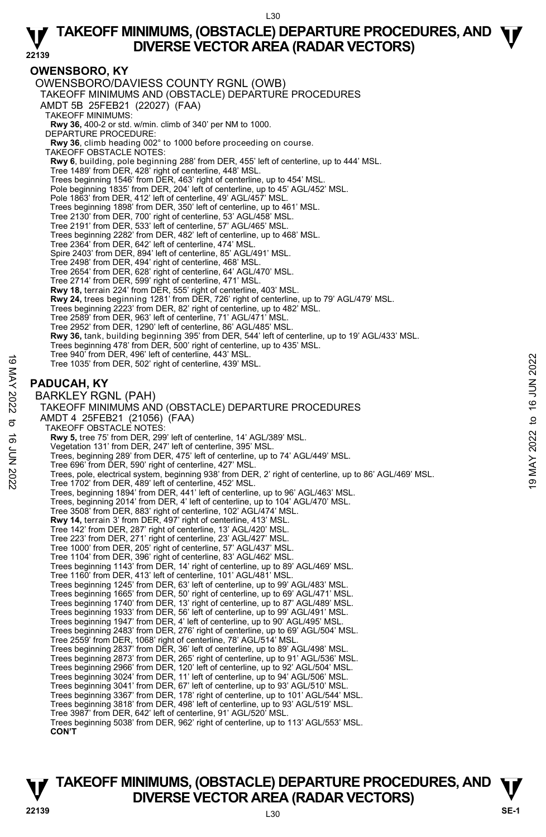#### **22139 OWENSBORO, KY**  OWENSBORO/DAVIESS COUNTY RGNL (OWB) TAKEOFF MINIMUMS AND (OBSTACLE) DEPARTURE PROCEDURES AMDT 5B 25FEB21 (22027) (FAA) TAKEOFF MINIMUMS: **Rwy 36,** 400-2 or std. w/min. climb of 340' per NM to 1000. DEPARTURE PROCEDURE: **Rwy 36**, climb heading 002° to 1000 before proceeding on course. TAKEOFF OBSTACLE NOTES: **Rwy 6**, building, pole beginning 288' from DER, 455' left of centerline, up to 444' MSL.<br>Tree 1489' from DER, 428' right of centerline, 448' MSL. Trees beginning 1546' from DER, 463' right of centerline, up to 454' MSL. Pole beginning 1835' from DER, 204' left of centerline, up to 45' AGL/452' MSL. Pole 1863' from DER, 412' left of centerline, 49' AGL/457' MSL. Trees beginning 1898' from DER, 350' left of centerline, up to 461' MSL. Tree 2130' from DER, 700' right of centerline, 53' AGL/458' MSL. Tree 2191' from DER, 533' left of centerline, 57' AGL/465' MSL. Trees beginning 2282' from DER, 482' left of centerline, up to 468' MSL. Tree 2364' from DER, 642' left of centerline, 474' MSL. Spire 2403' from DER, 894' left of centerline, 85' AGL/491' MSL. Tree 2498' from DER, 494' right of centerline, 468' MSL. Tree 2654' from DER, 628' right of centerline, 64' AGL/470' MSL. Tree 2714' from DER, 599' right of centerline, 471' MSL.<br>**Rwy 18,** terrain 224' from DER, 555' right of centerline, 403' MSL. **Rwy 24,** trees beginning 1281' from DER, 726' right of centerline, up to 79' AGL/479' MSL. Trees beginning 2223' from DER, 82' right of centerline, up to 482' MSL. Tree 2589' from DER, 963' left of centerline, 71' AGL/471' MSL. Tree 2952' from DER, 1290' left of centerline, 86' AGL/485' MSL. **Rwy 36,** tank, building beginning 395' from DER, 544' left of centerline, up to 19' AGL/433' MSL. Trees beginning 478' from DER, 500' right of centerline, up to 435' MSL. Tree 940' from DER, 496' left of centerline, 443' MSL. Tree 1035' from DER, 502' right of centerline, 439' MSL. **PADUCAH, KY**  BARKLEY RGNL (PAH) TAKEOFF MINIMUMS AND (OBSTACLE) DEPARTURE PROCEDURES AMDT 4 25FEB21 (21056) (FAA) TAKEOFF OBSTACLE NOTES: **Rwy 5,** tree 75' from DER, 299' left of centerline, 14' AGL/389' MSL.<br>Vegetation 131' from DER, 247' left of centerline, 395' MSL. Trees, beginning 289' from DER, 475' left of centerline, up to 74' AGL/449' MSL. Tree 696' from DER, 590' right of centerline, 427' MSL. Tree 4036' from DER, 490' electrical system, and NSL.<br>
Tree 1035' from DER, 502' right of centerline, 439' MSL.<br> **BARKLEY RGNL (PAH)**<br>
TAKEOFF MINIMUMS AND (OBSTACLE) DEPARTURE PROCEDURES<br>
AMDT 4 25FEB21 (21056) (FAA)<br>
TAK Trees, beginning 1894' from DER, 441' left of centerline, up to 96' AGL/463' MSL. Trees, beginning 2014' from DER, 4' left of centerline, up to 104' AGL/470' MSL. Tree 3508' from DER, 883' right of centerline, 102' AGL/474' MSL. **Rwy 14,** terrain 3' from DER, 497' right of centerline, 413' MSL. Tree 142' from DER, 287' right of centerline, 13' AGL/420' MSL. Tree 223' from DER, 271' right of centerline, 23' AGL/427' MSL. Tree 1000' from DER, 205' right of centerline, 57' AGL/437' MSL. Tree 1104' from DER, 396' right of centerline, 83' AGL/462' MSL. Trees beginning 1143' from DER, 14' right of centerline, up to 89' AGL/469' MSL. Tree 1160' from DER, 413' left of centerline, 101' AGL/481' MSL. Trees beginning 1245' from DER, 63' left of centerline, up to 99' AGL/483' MSL. Trees beginning 1665' from DER, 50' right of centerline, up to 69' AGL/471' MSL. Trees beginning 1740' from DER, 13' right of centerline, up to 87' AGL/489' MSL. Trees beginning 1933' from DER, 56' left of centerline, up to 99' AGL/491' MSL. Trees beginning 1947' from DER, 4' left of centerline, up to 90' AGL/495' MSL. Trees beginning 2483' from DER, 276' right of centerline, up to 69' AGL/504' MSL. Tree 2559' from DER, 1068' right of centerline, 78' AGL/514' MSL. Trees beginning 2837' from DER, 36' left of centerline, up to 89' AGL/498' MSL. Trees beginning 2873' from DER, 265' right of centerline, up to 91' AGL/536' MSL. Trees beginning 2966' from DER, 120' left of centerline, up to 92' AGL/504' MSL. Trees beginning 3024' from DER, 11' left of centerline, up to 94' AGL/506' MSL. Trees beginning 3041' from DER, 67' left of centerline, up to 93' AGL/510' MSL. Trees beginning 3367' from DER, 178' right of centerline, up to 101' AGL/544' MSL. Trees beginning 3818' from DER, 498' left of centerline, up to 93' AGL/519' MSL. Tree 3987' from DER, 642' left of centerline, 91' AGL/520' MSL. Trees beginning 5038' from DER, 962' right of centerline, up to 113' AGL/553' MSL.  **CON'T**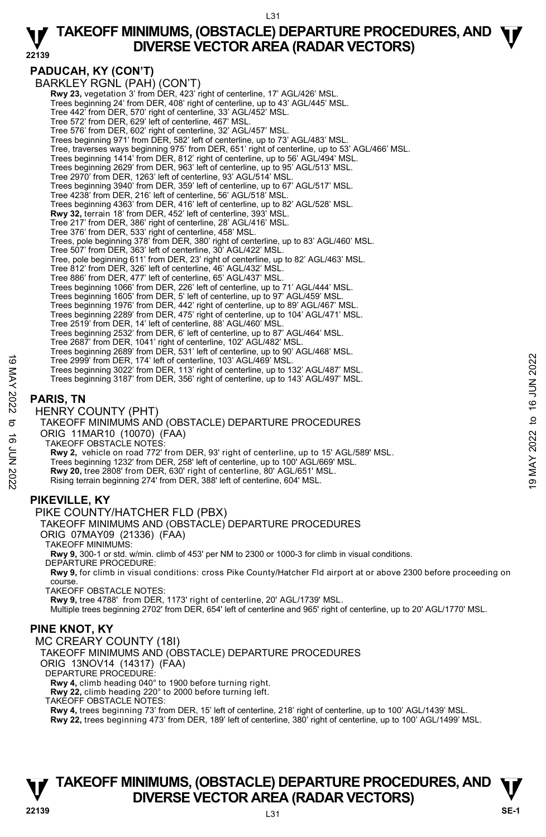#### L31

# **TAKEOFF MINIMUMS, (OBSTACLE) DEPARTURE PROCEDURES, AND**  $\Psi$ **<br>DIVERSE VECTOR AREA (RADAR VECTORS) DIVERSE VECTOR AREA (RADAR VECTORS)**

**22139** 

**PADUCAH, KY (CON'T)**  BARKLEY RGNL (PAH) (CON'T) **Rwy 23, vegetation 3' from DER, 423' right of centerline, 17' AGL/426' MSL** Trees beginning 24' from DER, 408' right of centerline, up to 43' AGL/445' MSL. Tree 442' from DER, 570' right of centerline, 33' AGL/452' MSL. Tree 572' from DER, 629' left of centerline, 467' MSL. Tree 576' from DER, 602' right of centerline, 32' AGL/457' MSL. Trees beginning 971' from DER, 582' left of centerline, up to 73' AGL/483' MSL. Tree, traverses ways beginning 975' from DER, 651' right of centerline, up to 53' AGL/466' MSL. Trees beginning 1414' from DER, 812' right of centerline, up to 56' AGL/494' MSL. Trees beginning 2629' from DER, 963' left of centerline, up to 95' AGL/513' MSL. Tree 2970' from DER, 1263' left of centerline, 93' AGL/514' MSL. Trees beginning 3940' from DER, 359' left of centerline, up to 67' AGL/517' MSL. Tree 4238' from DER, 216' left of centerline, 56' AGL/518' MSL. Trees beginning 4363' from DER, 416' left of centerline, up to 82' AGL/528' MSL.  **Rwy 32,** terrain 18' from DER, 452' left of centerline, 393' MSL. Tree 217' from DER, 386' right of centerline, 28' AGL/416' MSL. Tree 376' from DER, 533' right of centerline, 458' MSL. Trees, pole beginning 378' from DER, 380' right of centerline, up to 83' AGL/460' MSL. Tree 507' from DER, 363' left of centerline, 30' AGL/422' MSL. Tree, pole beginning 611' from DER, 23' right of centerline, up to 82' AGL/463' MSL. Tree 812' from DER, 326' left of centerline, 46' AGL/432' MSL. Tree 886' from DER, 477' left of centerline, 65' AGL/437' MSL. Trees beginning 1066' from DER, 226' left of centerline, up to 71' AGL/444' MSL. Trees beginning 1605' from DER, 5' left of centerline, up to 97' AGL/459' MSL. Trees beginning 1976' from DER, 442' right of centerline, up to 89' AGL/467' MSL. Trees beginning 2289' from DER, 475' right of centerline, up to 104' AGL/471' MSL. Tree 2519' from DER, 14' left of centerline, 88' AGL/460' MSL. Trees beginning 2532' from DER, 6' left of centerline, up to 87' AGL/464' MSL. Tree 2687' from DER, 1041' right of centerline, 102' AGL/482' MSL. Trees beginning 2689' from DER, 531' left of centerline, up to 90' AGL/468' MSL. Tree 2999' from DER, 174' left of centerline, 103' AGL/469' MSL. Trees beginning 3022' from DER, 113' right of centerline, up to 132' AGL/487' MSL. Trees beginning 3187' from DER, 356' right of centerline, up to 143' AGL/497' MSL. **PARIS, TN**  HENRY COUNTY (PHT) TAKEOFF MINIMUMS AND (OBSTACLE) DEPARTURE PROCEDURES ORIG 11MAR10 (10070) (FAA) TAKEOFF OBSTACLE NOTES: **Rwy 2,** vehicle on road 772' from DER, 93' right of centerline, up to 15' AGL/589' MSL. Trees beginning 1232' from DER, 258' left of centerline, up to 100' AGL/669' MSL. **Rwy 20,** tree 2808' from DER, 630' right of centerline, 80' AGL/651' MSL. Rising terrain beginning 274' from DER, 388' left of centerline, 604' MSL. **PIKEVILLE, KY**  PIKE COUNTY/HATCHER FLD (PBX) TAKEOFF MINIMUMS AND (OBSTACLE) DEPARTURE PROCEDURES ORIG 07MAY09 (21336) (FAA) TAKEOFF MINIMUMS: **Rwy 9,** 300-1 or std. w/min. climb of 453' per NM to 2300 or 1000-3 for climb in visual conditions. DEPARTURE PROCEDURE: **Rwy 9,** for climb in visual conditions: cross Pike County/Hatcher Fld airport at or above 2300 before proceeding on course. TAKEOFF OBSTACLE NOTES: **Rwy 9,** tree 4788' from DER, 1173' right of centerline, 20' AGL/1739' MSL.<br>Multiple trees beginning 2702' from DER, 654' left of centerline and 965' right of centerline, up to 20' AGL/1770' MSL. **PINE KNOT, KY**  MC CREARY COUNTY (18I) TAKEOFF MINIMUMS AND (OBSTACLE) DEPARTURE PROCEDURES ORIG 13NOV14 (14317) (FAA) DEPARTURE PROCEDURE: **Rwy 4,** climb heading 040° to 1900 before turning right. **Rwy 22,** climb heading 220° to 2000 before turning left. TAKEOFF OBSTACLE NOTES: **Rwy 4,** trees beginning 73' from DER, 15' left of centerline, 218' right of centerline, up to 100' AGL/1439' MSL. **Rwy 22,** trees beginning 473' from DER, 189' left of centerline, 380' right of centerline, up to 100' AGL/1499' MSL. Tree 2999' from DER, 174' left of centerline, 103' AGL/469' MSL.<br>
Trees beginning 3022' from DER, 113' right of centerline, up to 132' AGL/487' MSL.<br>
Trees beginning 3187' from DER, 356' right of centerline, up to 143' AG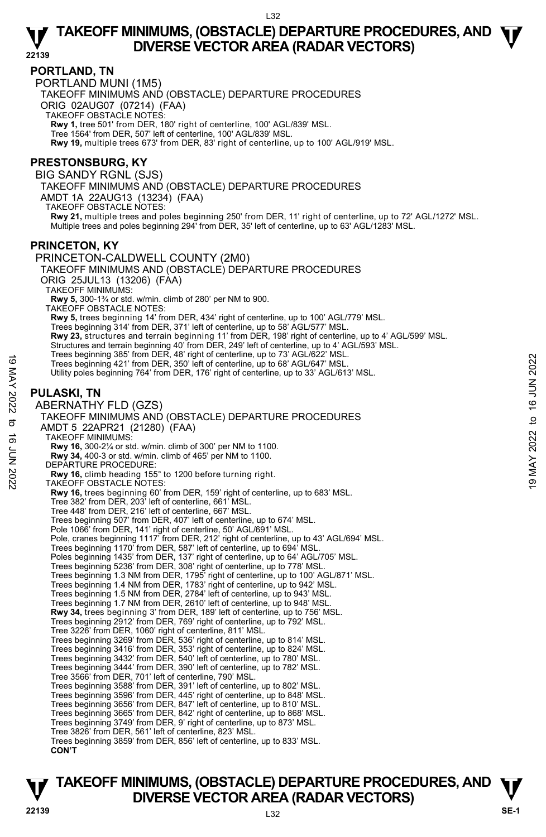## **PORTLAND, TN**

PORTLAND MUNI (1M5) TAKEOFF MINIMUMS AND (OBSTACLE) DEPARTURE PROCEDURES ORIG 02AUG07 (07214) (FAA) TAKEOFF OBSTACLE NOTES: **Rwy 1,** tree 501' from DER, 180' right of centerline, 100' AGL/839' MSL. Tree 1564' from DER, 507' left of centerline, 100' AGL/839' MSL. **Rwy 19,** multiple trees 673' from DER, 83' right of centerline, up to 100' AGL/919' MSL.

# **PRESTONSBURG, KY**

BIG SANDY RGNL (SJS)

TAKEOFF MINIMUMS AND (OBSTACLE) DEPARTURE PROCEDURES

AMDT 1A 22AUG13 (13234) (FAA)

TAKEOFF OBSTACLE NOTES:

**Rwy 21,** multiple trees and poles beginning 250' from DER, 11' right of centerline, up to 72' AGL/1272' MSL.<br>Multiple trees and poles beginning 294' from DER, 35' left of centerline, up to 63' AGL/1283' MSL.

# **PRINCETON, KY**

PRINCETON-CALDWELL COUNTY (2M0) TAKEOFF MINIMUMS AND (OBSTACLE) DEPARTURE PROCEDURES ORIG 25JUL13 (13206) (FAA) TAKEOFF MINIMUMS: **Rwy 5,** 300-1¾ or std. w/min. climb of 280' per NM to 900. TAKEOFF OBSTACLE NOTES: **Rwy 5,** trees beginning 14' from DER, 434' right of centerline, up to 100' AGL/779' MSL.<br>Trees beginning 314' from DER, 371' left of centerline, up to 58' AGL/577' MSL. **Rwy 23,** structures and terrain beginning 11' from DER, 198' right of centerline, up to 4' AGL/599' MSL. Structures and terrain beginning 40' from DER, 249' left of centerline, up to 4' AGL/593' MSL.<br>Trees beginning 385' from DER, 48' right of centerline, up to 73' AGL/622' MSL. Trees beginning 421' from DER, 350' left of centerline, up to 68' AGL/647' MSL. Utility poles beginning 764' from DER, 176' right of centerline, up to 33' AGL/613' MSL. **PULASKI, TN**  ABERNATHY FLD (GZS) TAKEOFF MINIMUMS AND (OBSTACLE) DEPARTURE PROCEDURES AMDT 5 22APR21 (21280) (FAA) TAKEOFF MINIMUMS: **Rwy 16,** 300-2¼ or std. w/min. climb of 300' per NM to 1100. **Rwy 34,** 400-3 or std. w/min. climb of 465' per NM to 1100. DEPARTURE PROCEDURE: **Rwy 16,** climb heading 155° to 1200 before turning right. TAKEOFF OBSTACLE NOTES: **Rwy 16,** trees beginning 60' from DER, 159' right of centerline, up to 683' MSL. Tree 382' from DER, 203' left of centerline, 661' MSL. Tree 448' from DER, 216' left of centerline, 667' MSL. Trees beginning 507' from DER, 407' left of centerline, up to 674' MSL. Pole 1066' from DER, 141' right of centerline, 50' AGL/691' MSL. Pole, cranes beginning 1117' from DER, 212' right of centerline, up to 43' AGL/694' MSL. Trees beginning 1170' from DER, 587' left of centerline, up to 694' MSL. Poles beginning 1435' from DER, 137' right of centerline, up to 64' AGL/705' MSL. Trees beginning 5236' from DER, 308' right of centerline, up to 778' MSL. Trees beginning 1.3 NM from DER, 1795' right of centerline, up to 100' AGL/871' MSL. Trees beginning 1.4 NM from DER, 1783' right of centerline, up to 942' MSL. Trees beginning 1.5 NM from DER, 2784' left of centerline, up to 943' MSL. Trees beginning 1.7 NM from DER, 2610' left of centerline, up to 948' MSL. **Rwy 34,** trees beginning 3' from DER, 189' left of centerline, up to 756' MSL. Trees beginning 2912' from DER, 769' right of centerline, up to 792' MSL. Tree 3226' from DER, 1060' right of centerline, 811' MSL. Trees beginning 3269' from DER, 536' right of centerline, up to 814' MSL. Trees beginning 3416' from DER, 353' right of centerline, up to 824' MSL. Trees beginning 3432' from DER, 540' left of centerline, up to 780' MSL. Trees beginning 3444' from DER, 390' left of centerline, up to 782' MSL. Tree 3566' from DER, 701' left of centerline, 790' MSL. Trees beginning 3588' from DER, 391' left of centerline, up to 802' MSL. Trees beginning 3596' from DER, 445' right of centerline, up to 848' MSL. Trees beginning 3656' from DER, 847' left of centerline, up to 810' MSL. Trees beginning 3665' from DER, 842' right of centerline, up to 868' MSL. Trees beginning 3749' from DER, 9' right of centerline, up to 873' MSL. Tree 3826' from DER, 561' left of centerline, 823' MSL. Trees beginning 3859' from DER, 856' left of centerline, up to 833' MSL. **CON'T** Trees beginning 363 'lom DER, 350' left of centerline, up to 18 AGL/647' MSL.<br>
Trees beginning 421' from DER, 350' left of centerline, up to 68 AGL/647' MSL.<br>
Utility poles beginning 764' from DER, 176' right of centerlin

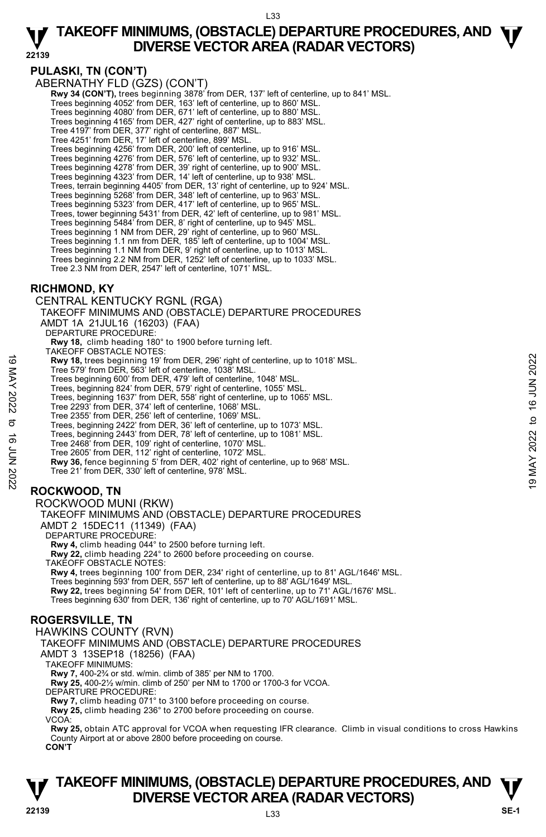# **PULASKI, TN (CON'T)**

ABERNATHY FLD (GZS) (CON'T)

 **Rwy 34 (CON'T),** trees beginning 3878' from DER, 137' left of centerline, up to 841' MSL.

Trees beginning 4052' from DER, 163' left of centerline, up to 860' MSL.

Trees beginning 4080' from DER, 671' left of centerline, up to 880' MSL.

Trees beginning 4165' from DER, 427' right of centerline, up to 883' MSL.

Tree 4197' from DER, 377' right of centerline, 887' MSL.

Tree 4251' from DER, 17' left of centerline, 899' MSL. Trees beginning 4256' from DER, 200' left of centerline, up to 916' MSL.

Trees beginning 4276' from DER, 576' left of centerline, up to 932' MSL. Trees beginning 4278' from DER, 39' right of centerline, up to 900' MSL.

Trees beginning 4323' from DER, 14' left of centerline, up to 938' MSL.

Trees, terrain beginning 4405' from DER, 13' right of centerline, up to 924' MSL. Trees beginning 5268' from DER, 348' left of centerline, up to 963' MSL.

Trees beginning 5323' from DER, 417' left of centerline, up to 965' MSL.

Trees, tower beginning 5431' from DER, 42' left of centerline, up to 981' MSL.

Trees beginning 5484' from DER, 8' right of centerline, up to 945' MSL. Trees beginning 1 NM from DER, 29' right of centerline, up to 960' MSL.

Trees beginning 1.1 nm from DER, 185' left of centerline, up to 1004' MSL.

Trees beginning 1.1 NM from DER, 9' right of centerline, up to 1013' MSL. Trees beginning 2.2 NM from DER, 1252' left of centerline, up to 1033' MSL.

Tree 2.3 NM from DER, 2547' left of centerline, 1071' MSL.

## **RICHMOND, KY**

CENTRAL KENTUCKY RGNL (RGA) TAKEOFF MINIMUMS AND (OBSTACLE) DEPARTURE PROCEDURES AMDT 1A 21JUL16 (16203) (FAA) DEPARTURE PROCEDURE: **Rwy 18,** climb heading 180° to 1900 before turning left. TAKEOFF OBSTACLE NOTES: **Rwy 18,** trees beginning 19' from DER, 296' right of centerline, up to 1018' MSL. Tree 579' from DER, 563' left of centerline, 1038' MSL. Trees beginning 600' from DER, 479' left of centerline, 1048' MSL. Trees, beginning 824' from DER, 579' right of centerline, 1055' MSL. Trees, beginning 1637' from DER, 558' right of centerline, up to 1065' MSL. Tree 2293' from DER, 374' left of centerline, 1068' MSL. Tree 2355' from DER, 256' left of centerline, 1069' MSL. Trees, beginning 2422' from DER, 36' left of centerline, up to 1073' MSL. Trees, beginning 2443' from DER, 78' left of centerline, up to 1081' MSL. Tree 2468' from DER, 109' right of centerline, 1070' MSL. Tree 2605' from DER, 112' right of centerline, 1072' MSL. **Rwy 36,** fence beginning 5' from DER, 402' right of centerline, up to 968' MSL. Tree 21' from DER, 330' left of centerline, 978' MSL. **ROCKWOOD, TN**  ROCKWOOD MUNI (RKW) TAKEOFF MINIMUMS AND (OBSTACLE) DEPARTURE PROCEDURES AMDT 2 15DEC11 (11349) (FAA) 19 May 18, trees beginning 19 from DER, 296' right of centerline, up to 1018' MSL.<br>
Trees beginning 600' from DER, 479' left of centerline, 1048' MSL.<br>
Trees beginning 600' from DER, 479' left of centerline, 1048' MSL.<br>

DEPARTURE PROCEDURE:

**Rwy 4,** climb heading 044° to 2500 before turning left.

**Rwy 22,** climb heading 224° to 2600 before proceeding on course.

TAKEOFF OBSTACLE NOTES:

**Rwy 4,** trees beginning 100' from DER, 234' right of centerline, up to 81' AGL/1646' MSL. Trees beginning 593' from DER, 557' left of centerline, up to 88' AGL/1649' MSL. **Rwy 22,** trees beginning 54' from DER, 101' left of centerline, up to 71' AGL/1676' MSL. Trees beginning 630' from DER, 136' right of centerline, up to 70' AGL/1691' MSL.

# **ROGERSVILLE, TN**

HAWKINS COUNTY (RVN) TAKEOFF MINIMUMS AND (OBSTACLE) DEPARTURE PROCEDURES AMDT 3 13SEP18 (18256) (FAA) TAKEOFF MINIMUMS: **Rwy 7,** 400-2¾ or std. w/min. climb of 385' per NM to 1700. **Rwy 25,** 400-2½ w/min. climb of 250' per NM to 1700 or 1700-3 for VCOA. DEPARTURE PROCEDURE: **Rwy 7,** climb heading 071° to 3100 before proceeding on course. **Rwy 25,** climb heading 236° to 2700 before proceeding on course. VCOA: **Rwy 25,** obtain ATC approval for VCOA when requesting IFR clearance. Climb in visual conditions to cross Hawkins County Airport at or above 2800 before proceeding on course. **CON'T**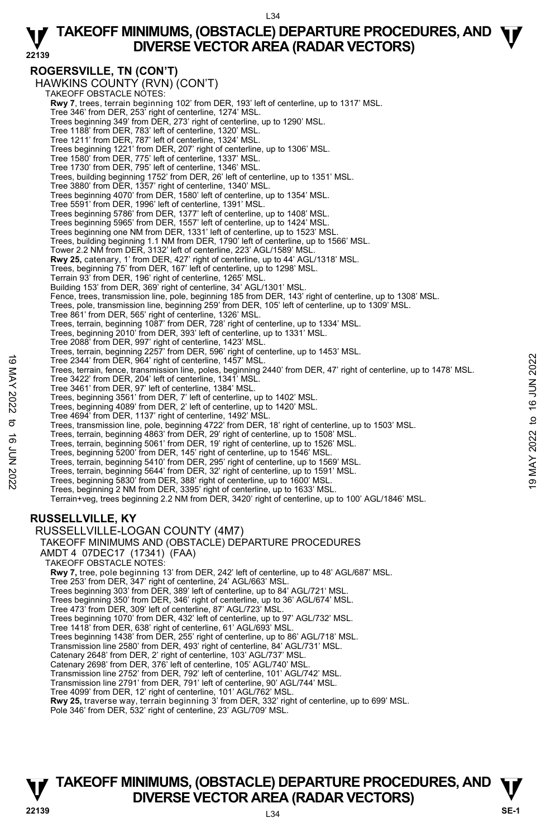# **ROGERSVILLE, TN (CON'T)**

HAWKINS COUNTY (RVN) (CON'T) TAKEOFF OBSTACLE NOTES: **Rwy 7**, trees, terrain beginning 102' from DER, 193' left of centerline, up to 1317' MSL. Tree 346' from DER, 253' right of centerline, 1274' MSL. Trees beginning 349' from DER, 273' right of centerline, up to 1290' MSL. Tree 1188' from DER, 783' left of centerline, 1320' MSL. Tree 1211' from DER, 787' left of centerline, 1324' MSL. Trees beginning 1221' from DER, 207' right of centerline, up to 1306' MSL. Tree 1580' from DER, 775' left of centerline, 1337' MSL. Tree 1730' from DER, 795' left of centerline, 1346' MSL. Trees, building beginning 1752' from DER, 26' left of centerline, up to 1351' MSL. Tree 3880' from DER, 1357' right of centerline, 1340' MSL. Trees beginning 4070' from DER, 1580' left of centerline, up to 1354' MSL. Tree 5591' from DER, 1996' left of centerline, 1391' MSL. Trees beginning 5786' from DER, 1377' left of centerline, up to 1408' MSL. Trees beginning 5965' from DER, 1557' left of centerline, up to 1424' MSL. Trees beginning one NM from DER, 1331' left of centerline, up to 1523' MSL. Trees, building beginning 1.1 NM from DER, 1790' left of centerline, up to 1566' MSL. Tower 2.2 NM from DER, 3132' left of centerline, 223' AGL/1589' MSL. **Rwy 25,** catenary, 1' from DER, 427' right of centerline, up to 44' AGL/1318' MSL. Trees, beginning 75' from DER, 167' left of centerline, up to 1298' MSL. Terrain 93' from DER, 196' right of centerline, 1265' MSL. Building 153' from DER, 369' right of centerline, 34' AGL/1301' MSL.<br>Fence, trees, transmission line, pole, beginning 185 from DER, 143' right of centerline, up to 1308' MSL. Trees, pole, transmission line, beginning 259' from DER, 105' left of centerline, up to 1309' MSL. Tree 861' from DER, 565' right of centerline, 1326' MSL. Trees, terrain, beginning 1087' from DER, 728' right of centerline, up to 1334' MSL. Trees, beginning 2010' from DER, 393' left of centerline, up to 1331' MSL. Tree 2088' from DER, 997' right of centerline, 1423' MSL. Trees, terrain, beginning 2257' from DER, 596' right of centerline, up to 1453' MSL. Tree 2344' from DER, 964' right of centerline, 1457' MSL. Trees, terrain, fence, transmission line, poles, beginning 2440' from DER, 47' right of centerline, up to 1478' MSL. Tree 3422' from DER, 204' left of centerline, 1341' MSL. Tree 3461' from DER, 97' left of centerline, 1384' MSL. Trees, beginning 3561' from DER, 7' left of centerline, up to 1402' MSL. Trees, beginning 4089' from DER, 2' left of centerline, up to 1420' MSL. Tree 4694' from DER, 1137' right of centerline, 1492' MSL. Trees, transmission line, pole, beginning 4722' from DER, 18' right of centerline, up to 1503' MSL. Trees, terrain, beginning 4863' from DER, 29' right of centerline, up to 1508' MSL. Trees, terrain, beginning 5061' from DER, 19' right of centerline, up to 1526' MSL. Trees, beginning 5200' from DER, 145' right of centerline, up to 1546' MSL. Trees, terrain, beginning 5410' from DER, 295' right of centerline, up to 1569' MSL. Tree 2344 from DER, 964 right of centerline, 1457' MSL.<br>
Tree 3424' from DER, 964' right of centerline, 1457' MSL.<br>
Tree 3422' from DER, 97' left of centerline, 1384' MSL.<br>
Tree 3461' from DER, 97' left of centerline, 1384 Terrain+veg, trees beginning 2.2 NM from DER, 3420' right of centerline, up to 100' AGL/1846' MSL. **RUSSELLVILLE, KY**  RUSSELLVILLE-LOGAN COUNTY (4M7) TAKEOFF MINIMUMS AND (OBSTACLE) DEPARTURE PROCEDURES AMDT 4 07DEC17 (17341) (FAA) TAKEOFF OBSTACLE NOTES: **Rwy 7,** tree, pole beginning 13' from DER, 242' left of centerline, up to 48' AGL/687' MSL. Tree 253' from DER, 347' right of centerline, 24' AGL/663' MSL. Trees beginning 303' from DER, 389' left of centerline, up to 84' AGL/721' MSL. Trees beginning 350' from DER, 346' right of centerline, up to 36' AGL/674' MSL. Tree 473' from DER, 309' left of centerline, 87' AGL/723' MSL. Trees beginning 1070' from DER, 432' left of centerline, up to 97' AGL/732' MSL. Tree 1418' from DER, 638' right of centerline, 61' AGL/693' MSL. Trees beginning 1438' from DER, 255' right of centerline, up to 86' AGL/718' MSL. Transmission line 2580' from DER, 493' right of centerline, 84' AGL/731' MSL.

Catenary 2648' from DER, 2' right of centerline, 103' AGL/737' MSL.

Catenary 2698' from DER, 376' left of centerline, 105' AGL/740' MSL. Transmission line 2752' from DER, 792' left of centerline, 101' AGL/742' MSL.

Transmission line 2791' from DER, 791' left of centerline, 90' AGL/744' MSL.

Tree 4099' from DER, 12' right of centerline, 101' AGL/762' MSL.<br>**Rwy 25,** traverse way, terrain beginning 3' from DER, 332' right of centerline, up to 699' MSL.

Pole 346' from DER, 532' right of centerline, 23' AGL/709' MSL.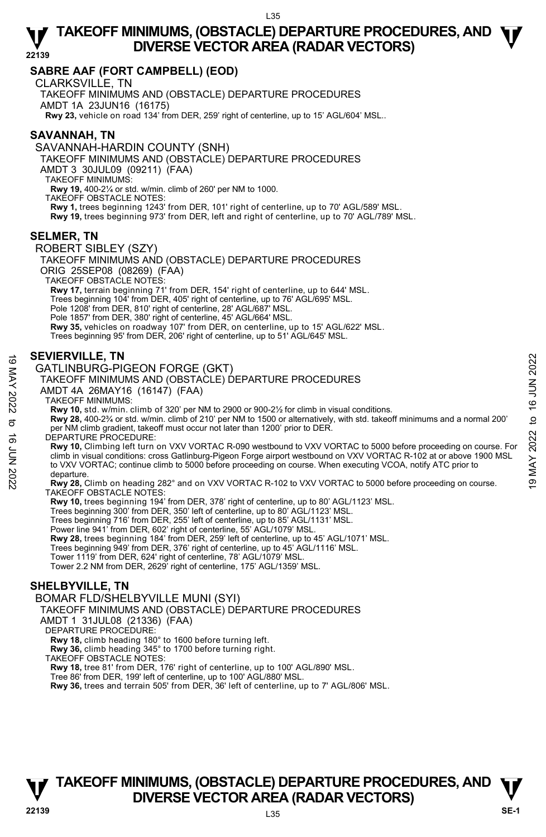# **SABRE AAF (FORT CAMPBELL) (EOD)**

CLARKSVILLE, TN

TAKEOFF MINIMUMS AND (OBSTACLE) DEPARTURE PROCEDURES AMDT 1A 23JUN16 (16175) **Rwy 23,** vehicle on road 134' from DER, 259' right of centerline, up to 15' AGL/604' MSL..

# **SAVANNAH, TN**

SAVANNAH-HARDIN COUNTY (SNH)

TAKEOFF MINIMUMS AND (OBSTACLE) DEPARTURE PROCEDURES

AMDT 3 30JUL09 (09211) (FAA)

TAKEOFF MINIMUMS:

**Rwy 19,** 400-2¼ or std. w/min. climb of 260' per NM to 1000. TAKEOFF OBSTACLE NOTES: **Rwy 1,** trees beginning 1243' from DER, 101' right of centerline, up to 70' AGL/589' MSL. **Rwy 19,** trees beginning 973' from DER, left and right of centerline, up to 70' AGL/789' MSL.

# **SELMER, TN**

ROBERT SIBLEY (SZY) TAKEOFF MINIMUMS AND (OBSTACLE) DEPARTURE PROCEDURES ORIG 25SEP08 (08269) (FAA) TAKEOFF OBSTACLE NOTES: **Rwy 17,** terrain beginning 71' from DER, 154' right of centerline, up to 644' MSL. Trees beginning 104' from DER, 405' right of centerline, up to 76' AGL/695' MSL. Pole 1208' from DER, 810' right of centerline, 28' AGL/687' MSL. Pole 1857' from DER, 380' right of centerline, 45' AGL/664' MSL. **Rwy 35,** vehicles on roadway 107' from DER, on centerline, up to 15' AGL/622' MSL. Trees beginning 95' from DER, 206' right of centerline, up to 51' AGL/645' MSL.

# **SEVIERVILLE, TN**

GATLINBURG-PIGEON FORGE (GKT)

## TAKEOFF MINIMUMS AND (OBSTACLE) DEPARTURE PROCEDURES

AMDT 4A 26MAY16 (16147) (FAA)

#### TAKEOFF MINIMUMS:

**Rwy 10,** std. w/min. climb of 320' per NM to 2900 or 900-2½ for climb in visual conditions. **Rwy 28,** 400-2¾ or std. w/min. climb of 210' per NM to 1500 or alternatively, with std. takeoff minimums and a normal 200' per NM climb gradient, takeoff must occur not later than 1200' prior to DER. DEPARTURE PROCEDURE:

**Rwy 10,** Climbing left turn on VXV VORTAC R-090 westbound to VXV VORTAC to 5000 before proceeding on course. For climb in visual conditions: cross Gatlinburg-Pigeon Forge airport westbound on VXV VORTAC R-102 at or above 1900 MSL to VXV VORTAC; continue climb to 5000 before proceeding on course. When executing VCOA, notify ATC prior to departure **SEVIERVILLE, IN**<br>
GATLINBURG-PIGEON FORGE (GKT)<br>
TAKEOFF MINIMUMS AND (OBSTACLE) DEPARTURE PROCEDURES<br>
AMDT 4A 26MAY16 (16147) (FAA)<br>
TAKEOFF MINIMUMS:<br>
NO TAKEOFF MINIMUMS:<br>
RWY 10, std. w/min. climb of 320' per NM to

#### **Rwy 28,** Climb on heading 282° and on VXV VORTAC R-102 to VXV VORTAC to 5000 before proceeding on course. TAKEOFF OBSTACLE NOTES:

**Rwy 10,** trees beginning 194' from DER, 378' right of centerline, up to 80' AGL/1123' MSL.<br>Trees beginning 300' from DER, 350' left of centerline, up to 80' AGL/1123' MSL. Trees beginning 716' from DER, 255' left of centerline, up to 85' AGL/1131' MSL. Power line 941' from DER, 602' right of centerline, 55' AGL/1079' MSL. **Rwy 28,** trees beginning 184' from DER, 259' left of centerline, up to 45' AGL/1071' MSL. Trees beginning 949' from DER, 376' right of centerline, up to 45' AGL/1116' MSL. Tower 1119' from DER, 624' right of centerline, 78' AGL/1079' MSL. Tower 2.2 NM from DER, 2629' right of centerline, 175' AGL/1359' MSL.

# **SHELBYVILLE, TN**

BOMAR FLD/SHELBYVILLE MUNI (SYI)

TAKEOFF MINIMUMS AND (OBSTACLE) DÉPARTURE PROCEDURES

AMDT 1 31JUL08 (21336) (FAA)

DEPARTURE PROCEDURE:

**Rwy 18,** climb heading 180° to 1600 before turning left.

**Rwy 36,** climb heading 345° to 1700 before turning right.

TAKEOFF OBSTACLE NOTES:

**Rwy 18,** tree 81' from DER, 176' right of centerline, up to 100' AGL/890' MSL.

Tree 86' from DER, 199' left of centerline, up to 100' AGL/880' MSL.

**Rwy 36,** trees and terrain 505' from DER, 36' left of centerline, up to 7' AGL/806' MSL.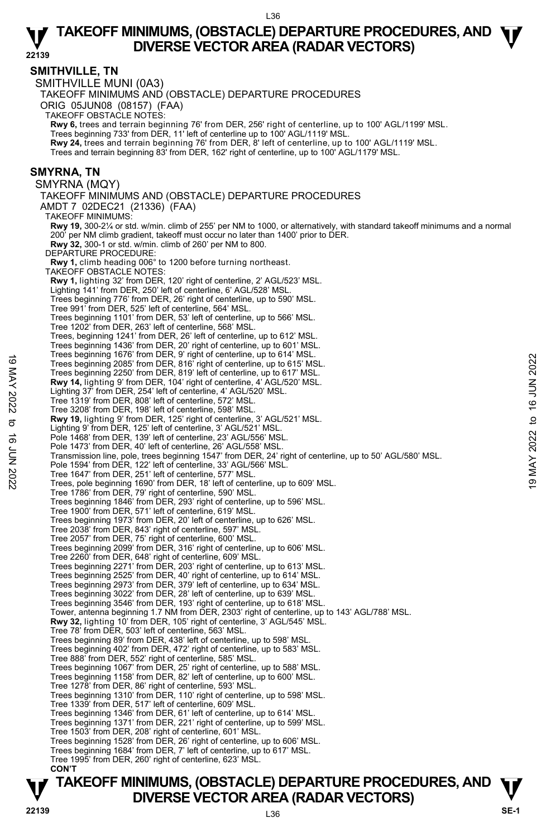**22139 SMITHVILLE, TN**  SMITHVILLE MUNI (0A3) TAKEOFF MINIMUMS AND (OBSTACLE) DEPARTURE PROCEDURES ORIG 05JUN08 (08157) (FAA) TAKEOFF OBSTACLE NOTES: **Rwy 6,** trees and terrain beginning 76' from DER, 256' right of centerline, up to 100' AGL/1199' MSL.<br>Trees beginning 733' from DER, 11' left of centerline up to 100' AGL/1119' MSL. **Rwy 24,** trees and terrain beginning 76' from DER, 8' left of centerline, up to 100' AGL/1119' MSL. Trees and terrain beginning 83' from DER, 162' right of centerline, up to 100' AGL/1179' MSL. **SMYRNA, TN**  SMYRNA (MQY) TAKEOFF MINIMUMS AND (OBSTACLE) DEPARTURE PROCEDURES AMDT 7 02DEC21 (21336) (FAA) TAKEOFF MINIMUMS: **Rwy 19,** 300-2¼ or std. w/min. climb of 255' per NM to 1000, or alternatively, with standard takeoff minimums and a normal 200' per NM climb gradient, takeoff must occur no later than 1400' prior to DER. **Rwy 32,** 300-1 or std. w/min. climb of 260' per NM to 800. DEPARTURE PROCEDURE: **Rwy 1,** climb heading 006° to 1200 before turning northeast. TAKEOFF OBSTACLE NOTES: **Rwy 1,** lighting 32' from DER, 120' right of centerline, 2' AGL/523' MSL. Lighting 141' from DER, 250' left of centerline, 6' AGL/528' MSL. Trees beginning 776' from DER, 26' right of centerline, up to 590' MSL. Tree 991' from DER, 525' left of centerline, 564' MSL. Trees beginning 1101' from DER, 53' left of centerline, up to 566' MSL. Tree 1202' from DER, 263' left of centerline, 568' MSL. Trees, beginning 1241' from DER, 26' left of centerline, up to 612' MSL. Trees beginning 1436' from DER, 20' right of centerline, up to 601' MSL. Trees beginning 1676' from DER, 9' right of centerline, up to 614' MSL. Trees beginning 2085' from DER, 816' right of centerline, up to 615' MSL. Trees beginning 2250' from DER, 819' left of centerline, up to 617' MSL. **Rwy 14,** lighting 9' from DER, 104' right of centerline, 4' AGL/520' MSL. Lighting 37' from DER, 254' left of centerline, 4' AGL/520' MSL. Tree 1319' from DER, 808' left of centerline, 572' MSL. Tree 3208' from DER, 198' left of centerline, 598' MSL. **Rwy 19,** lighting 9' from DER, 125' right of centerline, 3' AGL/521' MSL. Lighting 9' from DER, 125' left of centerline, 3' AGL/521' MSL. Pole 1468' from DER, 139' left of centerline, 23' AGL/556' MSL Pole 1473' from DER, 40' left of centerline, 26' AGL/558' MSL. Transmission line, pole, trees beginning 1547' from DER, 24' right of centerline, up to 50' AGL/580' MSL. Pole 1594' from DER, 122' left of centerline, 33' AGL/566' MSL Tree 1647' from DER, 251' left of centerline, 577' MSL. Trees, pole beginning 1690' from DER, 18' left of centerline, up to 609' MSL. Tree 1786' from DER, 79' right of centerline, 590' MSL. Trees beginning 1846' from DER, 293' right of centerline, up to 596' MSL. Tree 1900' from DER, 571' left of centerline, 619' MSL. Trees beginning 1973' from DER, 20' left of centerline, up to 626' MSL. Tree 2038' from DER, 843' right of centerline, 597' MSL. Tree 2057' from DER, 75' right of centerline, 600' MSL. Trees beginning 2099' from DER, 316' right of centerline, up to 606' MSL. Tree 2260' from DER, 648' right of centerline, 609' MSL. Trees beginning 2271' from DER, 203' right of centerline, up to 613' MSL. Trees beginning 2525' from DER, 40' right of centerline, up to 614' MSL. Trees beginning 2973' from DER, 379' left of centerline, up to 634' MSL. Trees beginning 3022' from DER, 28' left of centerline, up to 639' MSL. Trees beginning 3546' from DER, 193' right of centerline, up to 618' MSL. Tower, antenna beginning 1.7 NM from DER, 2303' right of centerline, up to 143' AGL/788' MSL. **Rwy 32,** lighting 10' from DER, 105' right of centerline, 3' AGL/545' MSL. Tree 78' from DER, 503' left of centerline, 563' MSL. Trees beginning 89' from DER, 438' left of centerline, up to 598' MSL. Trees beginning 402' from DER, 472' right of centerline, up to 583' MSL. Tree 888' from DER, 552' right of centerline, 585' MSL. Trees beginning 1067' from DER, 25' right of centerline, up to 588' MSL. Trees beginning 1158' from DER, 82' left of centerline, up to 600' MSL. Tree 1278' from DER, 86' right of centerline, 593' MSL. Trees beginning 1310' from DER, 110' right of centerline, up to 598' MSL. Tree 1339' from DER, 517' left of centerline, 609' MSL. Trees beginning 1346' from DER, 61' left of centerline, up to 614' MSL. Trees beginning 1371' from DER, 221' right of centerline, up to 599' MSL. Tree 1503' from DER, 208' right of centerline, 601' MSL. Trees beginning 1528' from DER, 26' right of centerline, up to 606' MSL. Trees beginning 1684' from DER, 7' left of centerline, up to 617' MSL. Tree 1995' from DER, 260' right of centerline, 623' MSL. **CON'T**  Trees beginning 1000 in DER, 3 fight of centerline, up to 613' MSL.<br>
Trees beginning 2085' from DER, 819' left of centerline, up to 617' MSL.<br>
Trees beginning 2250' from DER, 104' right of centerline, up to 617' MSL.<br> **Rwy**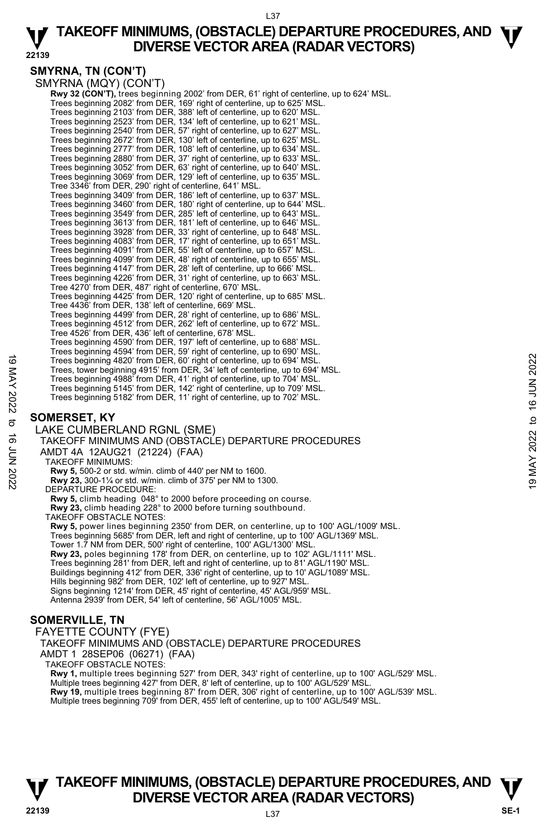#### L37

#### **22139 TAKEOFF MINIMUMS, (OBSTACLE) DEPARTURE PROCEDURES, AND**  $\Psi$ **<br>DIVERSE VECTOR AREA (RADAR VECTORS) DIVERSE VECTOR AREA (RADAR VECTORS)**

# **SMYRNA, TN (CON'T)**

SMYRNA (MQY) (CON'T) **Rwy 32 (CON'T),** trees beginning 2002' from DER, 61' right of centerline, up to 624' MSL.<br>Trees beginning 2082' from DER, 169' right of centerline, up to 625' MSL. Trees beginning 2103' from DER, 388' left of centerline, up to 620' MSL. Trees beginning 2523' from DER, 134' left of centerline, up to 621' MSL. Trees beginning 2540' from DER, 57' right of centerline, up to 627' MSL. Trees beginning 2672' from DER, 130' left of centerline, up to 625' MSL.<br>Trees beginning 2777' from DER, 108' left of centerline, up to 634' MSL.<br>Trees beginning 2880' from DER, 37' right of centerline, up to 633' MSL.<br>Tre Trees beginning 3069' from DER, 129' left of centerline, up to 635' MSL. Tree 3346' from DER, 290' right of centerline, 641' MSL. Trees beginning 3409' from DER, 186' left of centerline, up to 637' MSL. Trees beginning 3460' from DER, 180' right of centerline, up to 644' MSL. Trees beginning 3549' from DER, 285' left of centerline, up to 643' MSL. Trees beginning 3613' from DER, 181' left of centerline, up to 646' MSL. Trees beginning 3928' from DER, 33' right of centerline, up to 648' MSL. Trees beginning 4083' from DER, 17' right of centerline, up to 651' MSL. Trees beginning 4091' from DER, 55' left of centerline, up to 657' MSL. Trees beginning 4099' from DER, 48' right of centerline, up to 655' MSL. Trees beginning 4147' from DER, 28' left of centerline, up to 666' MSL. Trees beginning 4226' from DER, 31' right of centerline, up to 663' MSL. Tree 4270' from DER, 487' right of centerline, 670' MSL. Trees beginning 4425' from DER, 120' right of centerline, up to 685' MSL. Tree 4436' from DER, 138' left of centerline, 669' MSL. Trees beginning 4499' from DER, 28' right of centerline, up to 686' MSL. Trees beginning 4512' from DER, 262' left of centerline, up to 672' MSL. Tree 4526' from DER, 436' left of centerline, 678' MSL. Trees beginning 4590' from DER, 197' left of centerline, up to 688' MSL. Trees beginning 4594' from DER, 59' right of centerline, up to 690' MSL. Trees beginning 4820' from DER, 60' right of centerline, up to 694' MSL. Trees, tower beginning 4915' from DER, 34' left of centerline, up to 694' MSL. Trees beginning 4988' from DER, 41' right of centerline, up to 704' MSL. Trees beginning 5145' from DER, 142' right of centerline, up to 709' MSL. Trees beginning 5182' from DER, 11' right of centerline, up to 702' MSL.

# **SOMERSET, KY**

LAKE CUMBERLAND RGNL (SME) TAKEOFF MINIMUMS AND (OBSTACLE) DEPARTURE PROCEDURES AMDT 4A 12AUG21 (21224) (FAA) TAKEOFF MINIMUMS: **Rwy 5,** 500-2 or std. w/min. climb of 440' per NM to 1600. **Rwy 23,** 300-1¼ or std. w/min. climb of 375' per NM to 1300. DEPARTURE PROCEDURE: **Rwy 5,** climb heading 048° to 2000 before proceeding on course. **Rwy 23,** climb heading 228° to 2000 before turning southbound. TAKEOFF OBSTACLE NOTES: **Rwy 5,** power lines beginning 2350' from DER, on centerline, up to 100' AGL/1009' MSL. Trees beginning 5685' from DER, left and right of centerline, up to 100' AGL/1369' MSL. Tower 1.7 NM from DER, 500' right of centerline, 100' AGL/1300' MSL. **Rwy 23,** poles beginning 178' from DER, on centerline, up to 102' AGL/1111' MSL. Trees beginning 281' from DER, left and right of centerline, up to 81' AGL/1190' MSL. Buildings beginning 412' from DER, 336' right of centerline, up to 10' AGL/1089' MSL. Hills beginning 982' from DER, 102' left of centerline, up to 927' MSL. Signs beginning 1214' from DER, 45' right of centerline, 45' AGL/959' MSL. Antenna 2939' from DER, 54' left of centerline, 56' AGL/1005' MSL. Trees beginning 4820' from DER, 60' right of centerline, up to 694' MSL.<br>
Trees tower beginning 4988' from DER, 34' left of centerline, up to 694' MSL.<br>
Trees beginning 4988' from DER, 41' right of centerline, up to 704'

# **SOMERVILLE, TN**

FAYETTE COUNTY (FYE)

TAKEOFF MINIMUMS AND (OBSTACLE) DEPARTURE PROCEDURES

AMDT 1 28SEP06 (06271) (FAA)

TAKEOFF OBSTACLE NOTES:

**Rwy 1,** multiple trees beginning 527' from DER, 343' right of centerline, up to 100' AGL/529' MSL. Multiple trees beginning 427' from DER, 8' left of centerline, up to 100' AGL/529' MSL. **Rwy 19,** multiple trees beginning 87' from DER, 306' right of centerline, up to 100' AGL/539' MSL.<br>Multiple trees beginning 709' from DER, 455' left of centerline, up to 100' AGL/549' MSL.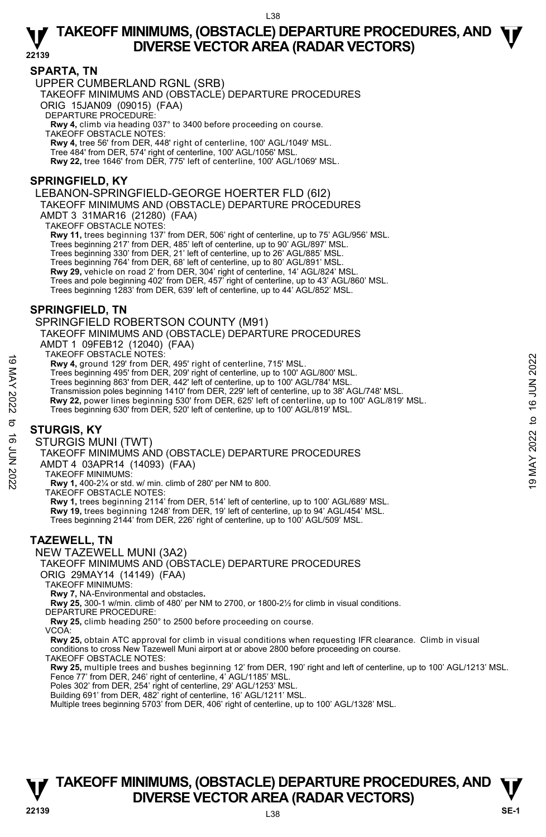**22139** 

## **SPARTA, TN**

UPPER CUMBERLAND RGNL (SRB)

TAKEOFF MINIMUMS AND (OBSTACLE) DEPARTURE PROCEDURES ORIG 15JAN09 (09015) (FAA)

DEPARTURE PROCEDURE:

**Rwy 4,** climb via heading 037° to 3400 before proceeding on course. TAKEOFF OBSTACLE NOTES: **Rwy 4,** tree 56' from DER, 448' right of centerline, 100' AGL/1049' MSL.

Tree 484' from DER, 574' right of centerline, 100' AGL/1056' MSL.

**Rwy 22,** tree 1646' from DER, 775' left of centerline, 100' AGL/1069' MSL.

# **SPRINGFIELD, KY**

LEBANON-SPRINGFIELD-GEORGE HOERTER FLD (6I2)

TAKEOFF MINIMUMS AND (OBSTACLE) DEPARTURE PROCEDURES

AMDT 3 31MAR16 (21280) (FAA)

TAKEOFF OBSTACLE NOTES:

**Rwy 11,** trees beginning 137' from DER, 506' right of centerline, up to 75' AGL/956' MSL.

Trees beginning 217' from DER, 485' left of centerline, up to 90' AGL/897' MSL.

Trees beginning 330' from DER, 21' left of centerline, up to 26' AGL/885' MSL. Trees beginning 764' from DER, 68' left of centerline, up to 80' AGL/891' MSL.

**Rwy 29,** vehicle on road 2' from DER, 304' right of centerline, 14' AGL/824' MSL.

Trees and pole beginning 402' from DER, 457' right of centerline, up to 43' AGL/860' MSL.<br>Trees beginning 1283' from DER, 639' left of centerline, up to 44' AGL/852' MSL.

# **SPRINGFIELD, TN**

SPRINGFIELD ROBERTSON COUNTY (M91)

TAKEOFF MINIMUMS AND (OBSTACLE) DEPARTURE PROCEDURES AMDT 1 09FEB12 (12040) (FAA)

TAKEOFF OBSTACLE NOTES:

**Rwy 4,** ground 129' from DER, 495' right of centerline, 715' MSL.

Trees beginning 495' from DER, 209' right of centerline, up to 100' AGL/800' MSL. Trees beginning 863' from DER, 442' left of centerline, up to 100' AGL/784' MSL.

Transmission poles beginning 1410' from DER, 229' left of centerline, up to 38' AGL/748' MSL. 19 MACUT USS INCLE NOTES.<br>
Trees beginning 495' from DER, 495' right of centerline, up to 100' AGL/800' MSL.<br>
Trees beginning 803' from DER, 209' right of centerline, up to 100' AGL/800' MSL.<br>
Trees beginning 803' from DE

**Rwy 22,** power lines beginning 530' from DER, 625' left of centerline, up to 100' AGL/819' MSL.

Trees beginning 630' from DER, 520' left of centerline, up to 100' AGL/819' MSL.

## **STURGIS, KY**

STURGIS MUNI (TWT)

TAKEOFF MINIMUMS AND (OBSTACLE) DEPARTURE PROCEDURES

AMDT 4 03APR14 (14093) (FAA)

TAKEOFF MINIMUMS:

**Rwy 1,** 400-2¼ or std. w/ min. climb of 280' per NM to 800.

TAKEOFF OBSTACLE NOTES:

**Rwy 1,** trees beginning 2114' from DER, 514' left of centerline, up to 100' AGL/689' MSL. **Rwy 19,** trees beginning 1248' from DER, 19' left of centerline, up to 94' AGL/454' MSL. Trees beginning 2144' from DER, 226' right of centerline, up to 100' AGL/509' MSL.

## **TAZEWELL, TN**

NEW TAZEWELL MUNI (3A2)

TAKEOFF MINIMUMS AND (OBSTACLE) DEPARTURE PROCEDURES

ORIG 29MAY14 (14149) (FAA)

TAKEOFF MINIMUMS:

**Rwy 7,** NA-Environmental and obstacles**.** 

**Rwy 25,** 300-1 w/min. climb of 480' per NM to 2700, or 1800-2½ for climb in visual conditions.

DEPARTURE PROCEDURE:

**Rwy 25,** climb heading 250° to 2500 before proceeding on course.

VCOA:

**Rwy 25,** obtain ATC approval for climb in visual conditions when requesting IFR clearance. Climb in visual conditions to cross New Tazewell Muni airport at or above 2800 before proceeding on course.

TAKEOFF OBSTACLE NOTES:

**Rwy 25,** multiple trees and bushes beginning 12' from DER, 190' right and left of centerline, up to 100' AGL/1213' MSL. Fence 77' from DER, 246' right of centerline, 4' AGL/1185' MSL.

Poles 302' from DER, 254' right of centerline, 29' AGL/1253' MSL.

Building 691' from DER, 482' right of centerline, 16' AGL/1211' MSL. Multiple trees beginning 5703' from DER, 406' right of centerline, up to 100' AGL/1328' MSL.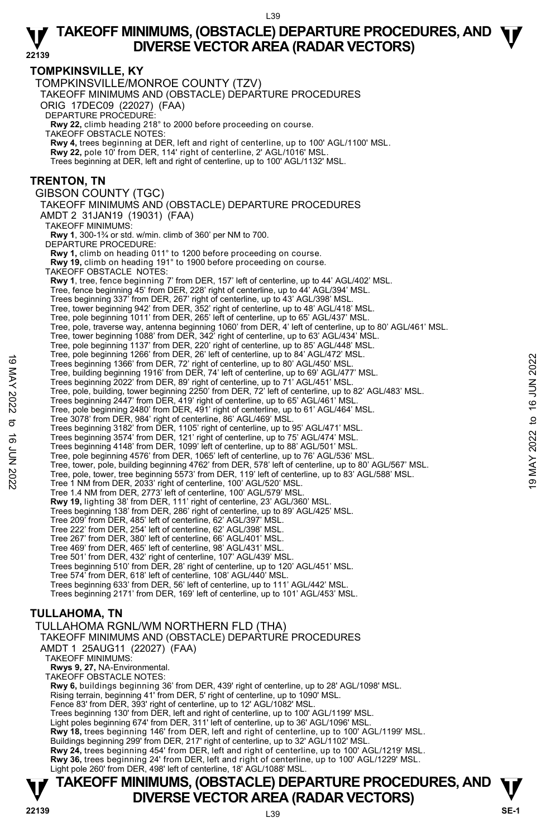**T T TAKEOFF MINIMUMS, (OBSTACLE) DEPARTURE PROCEDURES, AND V** DIVERSE VECTOR AREA (RADAR VECTORS) **V**<br>22139 SE-1 **TOMPKINSVILLE, KY**  TOMPKINSVILLE/MONROE COUNTY (TZV) TAKEOFF MINIMUMS AND (OBSTACLE) DEPARTURE PROCEDURES ORIG 17DEC09 (22027) (FAA) DEPARTURE PROCEDURE: **Rwy 22,** climb heading 218° to 2000 before proceeding on course. TAKEOFF OBSTACLE NOTES: **Rwy 4,** trees beginning at DER, left and right of centerline, up to 100' AGL/1100' MSL. **Rwy 22,** pole 10' from DER, 114' right of centerline, 2' AGL/1016' MSL. Trees beginning at DER, left and right of centerline, up to 100' AGL/1132' MSL. **TRENTON, TN**  GIBSON COUNTY (TGC) TAKEOFF MINIMUMS AND (OBSTACLE) DEPARTURE PROCEDURES AMDT 2 31JAN19 (19031) (FAA) TAKEOFF MINIMUMS: **Rwy 1**, 300-1¾ or std. w/min. climb of 360' per NM to 700. DEPARTURE PROCEDURE: **Rwy 1,** climb on heading 011° to 1200 before proceeding on course. **Rwy 19,** climb on heading 191° to 1900 before proceeding on course. TAKEOFF OBSTACLE NOTES: **Rwy 1**, tree, fence beginning 7' from DER, 157' left of centerline, up to 44' AGL/402' MSL. Tree, fence beginning 45' from DER, 228' right of centerline, up to 44' AGL/394' MSL. Trees beginning 337' from DER, 267' right of centerline, up to 43' AGL/398' MSL. Tree, tower beginning 942' from DER, 352' right of centerline, up to 48' AGL/418' MSL. Tree, pole beginning 1011' from DER, 265' left of centerline, up to 65' AGL/437' MSL.<br>Tree, pole, traverse way, antenna beginning 1060' from DER, 4' left of centerline, up to 80' AGL/461' MSL. Tree, tower beginning 1088' from DER, 342' right of centerline, up to 63' AGL/434' MSL. Tree, pole beginning 1137' from DER, 220' right of centerline, up to 85' AGL/448' MSL.<br>Tree, pole beginning 1266' from DER, 26' left of centerline, up to 84' AGL/472' MSL. Trees beginning 1366' from DER, 72' right of centerline, up to 80' AGL/450' MSL. Tree, building beginning 1916' from DER, 74' left of centerline, up to 69' AGL/477' MSL. Trees beginning 2022' from DER, 89' right of centerline, up to 71' AGL/451' MSL. Tree, pole, building, tower beginning 2250' from DER, 72' left of centerline, up to 82' AGL/483' MSL. Trees beginning 2447' from DER, 419' right of centerline, up to 65' AGL/461' MSL. Tree, pole beginning 2480' from DER, 491' right of centerline, up to 61' AGL/464' MSL. Tree 3078' from DER, 984' right of centerline, 86' AGL/469' MSL. Trees beginning 3182' from DER, 1105' right of centerline, up to 95' AGL/471' MSL. Trees beginning 3574' from DER, 121' right of centerline, up to 75' AGL/474' MSL. Trees beginning 4148' from DER, 1099' left of centerline, up to 88' AGL/501' MSL. Tree, pole beginning 4576' from DER, 1065' left of centerline, up to 76' AGL/536' MSL. Tree, tower, pole, building beginning 4762' from DER, 578' left of centerline, up to 80' AGL/567' MSL. Tree, pole, tower, tree beginning 5573' from DER, 119' left of centerline, up to 83' AGL/588' MSL. Tree 1 NM from DER, 2033' right of centerline, 100' AGL/520' MSL. Tree 1.4 NM from DER, 2773' left of centerline, 100' AGL/579' MSL. **Rwy 19,** lighting 38' from DER, 111' right of centerline, 23' AGL/360' MSL.<br>Trees beginning 138' from DER, 286' right of centerline, up to 89' AGL/425' MSL. Tree 209' from DER, 485' left of centerline, 62' AGL/397' MSL. Tree 222' from DER, 254' left of centerline, 62' AGL/398' MSL. Tree 267' from DER, 380' left of centerline, 66' AGL/401' MSL. Tree 469' from DER, 465' left of centerline, 98' AGL/431' MSL. Tree 501' from DER, 432' right of centerline, 107' AGL/439' MSL. Trees beginning 510' from DER, 28' right of centerline, up to 120' AGL/451' MSL. Tree 574' from DER, 618' left of centerline, 108' AGL/440' MSL. Trees beginning 633' from DER, 56' left of centerline, up to 111' AGL/442' MSL. Trees beginning 2171' from DER, 169' left of centerline, up to 101' AGL/453' MSL. **TULLAHOMA, TN**  TULLAHOMA RGNL/WM NORTHERN FLD (THA) TAKEOFF MINIMUMS AND (OBSTACLE) DEPARTURE PROCEDURES AMDT 1 25AUG11 (22027) (FAA) TAKEOFF MINIMUMS: **Rwys 9, 27,** NA-Environmental. TAKEOFF OBSTACLE NOTES: **Rwy 6,** buildings beginning 36' from DER, 439' right of centerline, up to 28' AGL/1098' MSL. Rising terrain, beginning 41' from DER, 5' right of centerline, up to 1090' MSL. Fence 83' from DER, 393' right of centerline, up to 12' AGL/1082' MSL. Trees beginning 130' from DER, left and right of centerline, up to 100' AGL/1199' MSL. Light poles beginning 674' from DER, 311' left of centerline, up to 36' AGL/1096' MSL. **Rwy 18,** trees beginning 146' from DER, left and right of centerline, up to 100' AGL/1199' MSL. Buildings beginning 299' from DER, 217' right of centerline, up to 32' AGL/1102' MSL. **Rwy 24,** trees beginning 454' from DER, left and right of centerline, up to 100' AGL/1219' MSL. **Rwy 36,** trees beginning 24' from DER, left and right of centerline, up to 100' AGL/1229' MSL.<br>Light pole 260' from DER, 498' left of centerline, 18' AGL/1088' MSL. Tree, bowelogymum 1206 from DER, 72 to the of the line, up to 80' AGL/450' MSL.<br>
Tree, building beginning 1916' from DER, 72' right of centerline, up to 80' AGL/450' MSL.<br>
Tree, building beginning 1916' from DER, 72' left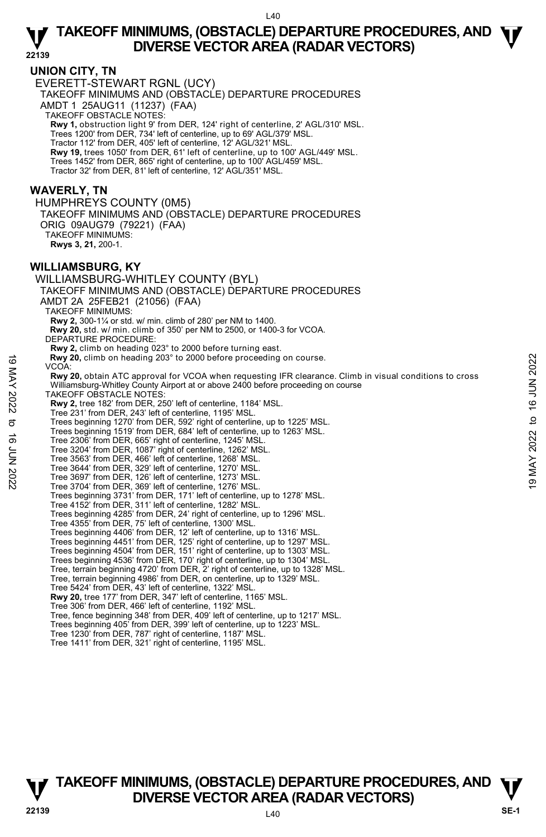**22139** 

## **UNION CITY, TN**

EVERETT-STEWART RGNL (UCY) TAKEOFF MINIMUMS AND (OBSTACLE) DEPARTURE PROCEDURES AMDT 1 25AUG11 (11237) (FAA) TAKEOFF OBSTACLE NOTES: **Rwy 1,** obstruction light 9' from DER, 124' right of centerline, 2' AGL/310' MSL. Trees 1200' from DER, 734' left of centerline, up to 69' AGL/379' MSL. Tractor 112' from DER, 405' left of centerline, 12' AGL/321' MSL. **Rwy 19,** trees 1050' from DER, 61' left of centerline, up to 100' AGL/449' MSL. Trees 1452' from DER, 865' right of centerline, up to 100' AGL/459' MSL. Tractor 32' from DER, 81' left of centerline, 12' AGL/351' MSL.

## **WAVERLY, TN**

HUMPHREYS COUNTY (0M5) TAKEOFF MINIMUMS AND (OBSTACLE) DEPARTURE PROCEDURES ORIG 09AUG79 (79221) (FAA) TAKEOFF MINIMUMS: **Rwys 3, 21,** 200-1.

## **WILLIAMSBURG, KY**

WILLIAMSBURG-WHITLEY COUNTY (BYL) TAKEOFF MINIMUMS AND (OBSTACLE) DEPARTURE PROCEDURES AMDT 2A 25FEB21 (21056) (FAA) TAKEOFF MINIMUMS: **Rwy 2,** 300-1¼ or std. w/ min. climb of 280' per NM to 1400.  **Rwy 20,** std. w/ min. climb of 350' per NM to 2500, or 1400-3 for VCOA. DEPARTURE PROCEDURE: **Rwy 2,** climb on heading 023° to 2000 before turning east. **Rwy 20,** climb on heading 203° to 2000 before proceeding on course. VCOA: **Rwy 20,** obtain ATC approval for VCOA when requesting IFR clearance. Climb in visual conditions to cross Williamsburg-Whitley County Airport at or above 2400 before proceeding on course TAKEOFF OBSTACLE NOTES: **Rwy 2,** tree 182' from DER, 250' left of centerline, 1184' MSL. Tree 231' from DER, 243' left of centerline, 1195' MSL. Trees beginning 1270' from DER, 592' right of centerline, up to 1225' MSL. Trees beginning 1519' from DER, 684' left of centerline, up to 1263' MSL. Tree 2306' from DER, 665' right of centerline, 1245' MSL. Tree 3204' from DER, 1087' right of centerline, 1262' MSL. Tree 3563' from DER, 466' left of centerline, 1268' MSL. Tree 3644' from DER, 329' left of centerline, 1270' MSL. Tree 3697' from DER, 126' left of centerline, 1273' MSL. Tree 3704' from DER, 369' left of centerline, 1276' MSL. Trees beginning 3731' from DER, 171' left of centerline, up to 1278' MSL. Tree 4152' from DER, 311' left of centerline, 1282' MSL. Trees beginning 4285' from DER, 24' right of centerline, up to 1296' MSL. Tree 4355' from DER, 75' left of centerline, 1300' MSL. Trees beginning 4406' from DER, 12' left of centerline, up to 1316' MSL. Trees beginning 4451' from DER, 125' right of centerline, up to 1297' MSL. Trees beginning 4504' from DER, 151' right of centerline, up to 1303' MSL. Trees beginning 4536' from DER, 170' right of centerline, up to 1304' MSL. Tree, terrain beginning 4720' from DER, 2' right of centerline, up to 1328' MSL. Tree, terrain beginning 4986' from DER, on centerline, up to 1329' MSL. Tree 5424' from DER, 43' left of centerline, 1322' MSL. **Rwy 20,** tree 177' from DER, 347' left of centerline, 1165' MSL. Tree 306' from DER, 466' left of centerline, 1192' MSL. Tree, fence beginning 348' from DER, 409' left of centerline, up to 1217' MSL. Trees beginning 405' from DER, 399' left of centerline, up to 1223' MSL. Tree 1230' from DER, 787' right of centerline, 1187' MSL. Rwy 20, climb on heading 203° to 2000 before proceeding on course.<br>
VCOA:<br>
Rwy 20, obtain ATC approval for VCOA when requesting IFR clearance. Climb in visual conditions to cross<br>
Williamsburg-Whitley County Airport at or

Tree 1411' from DER, 321' right of centerline, 1195' MSL.